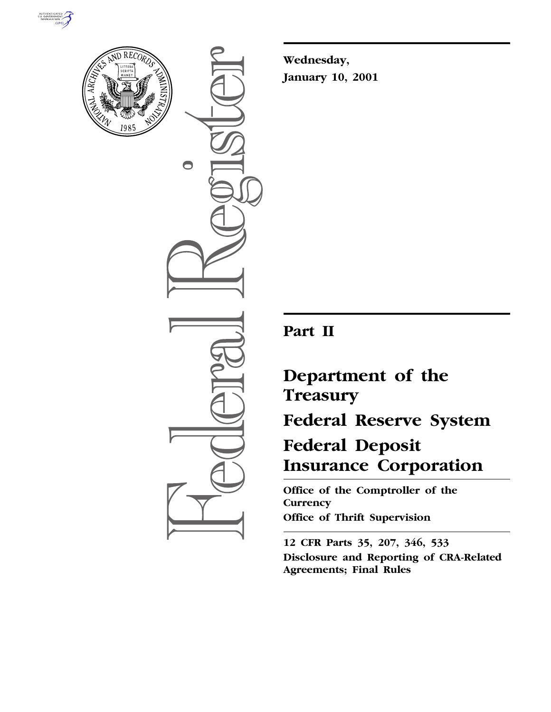



 $\bigcirc$ 

**Wednesday, January 10, 2001**

## **Part II**

# **Department of the Treasury Federal Reserve System Federal Deposit Insurance Corporation**

**Office of the Comptroller of the Currency Office of Thrift Supervision**

**12 CFR Parts 35, 207, 346, 533 Disclosure and Reporting of CRA-Related Agreements; Final Rules**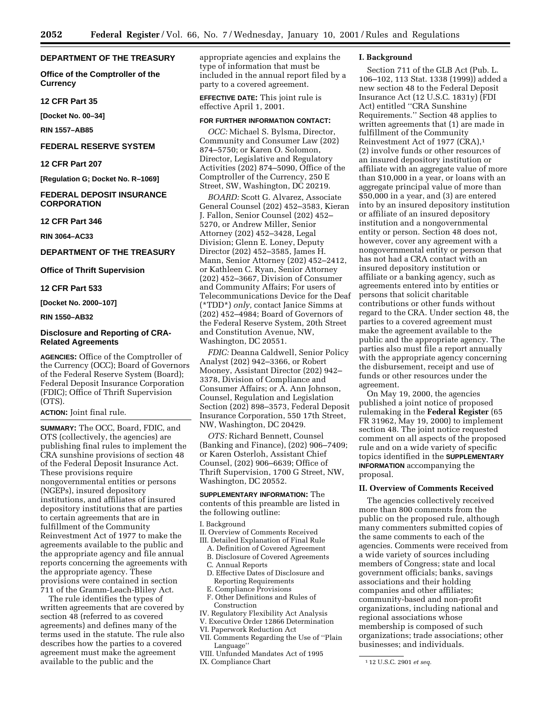#### **DEPARTMENT OF THE TREASURY**

**Office of the Comptroller of the Currency**

**12 CFR Part 35**

**[Docket No. 00–34]**

**RIN 1557–AB85**

## **FEDERAL RESERVE SYSTEM**

## **12 CFR Part 207**

**[Regulation G; Docket No. R–1069]**

## **FEDERAL DEPOSIT INSURANCE CORPORATION**

## **12 CFR Part 346**

**RIN 3064–AC33**

## **DEPARTMENT OF THE TREASURY**

#### **Office of Thrift Supervision**

#### **12 CFR Part 533**

**[Docket No. 2000–107]**

#### **RIN 1550–AB32**

## **Disclosure and Reporting of CRA-Related Agreements**

**AGENCIES:** Office of the Comptroller of the Currency (OCC); Board of Governors of the Federal Reserve System (Board); Federal Deposit Insurance Corporation (FDIC); Office of Thrift Supervision (OTS).

#### **ACTION:** Joint final rule.

**SUMMARY:** The OCC, Board, FDIC, and OTS (collectively, the agencies) are publishing final rules to implement the CRA sunshine provisions of section 48 of the Federal Deposit Insurance Act. These provisions require nongovernmental entities or persons (NGEPs), insured depository institutions, and affiliates of insured depository institutions that are parties to certain agreements that are in fulfillment of the Community Reinvestment Act of 1977 to make the agreements available to the public and the appropriate agency and file annual reports concerning the agreements with the appropriate agency. These provisions were contained in section 711 of the Gramm-Leach-Bliley Act.

The rule identifies the types of written agreements that are covered by section 48 (referred to as covered agreements) and defines many of the terms used in the statute. The rule also describes how the parties to a covered agreement must make the agreement available to the public and the

appropriate agencies and explains the type of information that must be included in the annual report filed by a party to a covered agreement.

**EFFECTIVE DATE:** This joint rule is effective April 1, 2001.

## **FOR FURTHER INFORMATION CONTACT:**

*OCC:* Michael S. Bylsma, Director, Community and Consumer Law (202) 874–5750; or Karen O. Solomon, Director, Legislative and Regulatory Activities (202) 874–5090, Office of the Comptroller of the Currency, 250 E Street, SW, Washington, DC 20219.

*BOARD:* Scott G. Alvarez, Associate General Counsel (202) 452–3583, Kieran J. Fallon, Senior Counsel (202) 452– 5270, or Andrew Miller, Senior Attorney (202) 452–3428, Legal Division; Glenn E. Loney, Deputy Director (202) 452–3585, James H. Mann, Senior Attorney (202) 452–2412, or Kathleen C. Ryan, Senior Attorney (202) 452–3667, Division of Consumer and Community Affairs; For users of Telecommunications Device for the Deaf (\*TDD\*) *only,* contact Janice Simms at (202) 452–4984; Board of Governors of the Federal Reserve System, 20th Street and Constitution Avenue, NW, Washington, DC 20551.

*FDIC:* Deanna Caldwell, Senior Policy Analyst (202) 942–3366, or Robert Mooney, Assistant Director (202) 942– 3378, Division of Compliance and Consumer Affairs; or A. Ann Johnson, Counsel, Regulation and Legislation Section (202) 898–3573, Federal Deposit Insurance Corporation, 550 17th Street, NW, Washington, DC 20429.

*OTS:* Richard Bennett, Counsel (Banking and Finance), (202) 906–7409; or Karen Osterloh, Assistant Chief Counsel, (202) 906–6639; Office of Thrift Supervision, 1700 G Street, NW, Washington, DC 20552.

**SUPPLEMENTARY INFORMATION:** The contents of this preamble are listed in the following outline:

#### I. Background

- II. Overview of Comments Received
- III. Detailed Explanation of Final Rule
	- A. Definition of Covered Agreement
	- B. Disclosure of Covered Agreements C. Annual Reports
	- D. Effective Dates of Disclosure and Reporting Requirements
	- E. Compliance Provisions
	- F. Other Definitions and Rules of Construction
- IV. Regulatory Flexibility Act Analysis
- V. Executive Order 12866 Determination
- VI. Paperwork Reduction Act
- VII. Comments Regarding the Use of "Plain Language''
- VIII. Unfunded Mandates Act of 1995
- IX. Compliance Chart

#### **I. Background**

Section 711 of the GLB Act (Pub. L. 106–102, 113 Stat. 1338 (1999)) added a new section 48 to the Federal Deposit Insurance Act (12 U.S.C. 1831y) (FDI Act) entitled ''CRA Sunshine Requirements.'' Section 48 applies to written agreements that (1) are made in fulfillment of the Community Reinvestment Act of 1977 (CRA),1 (2) involve funds or other resources of an insured depository institution or affiliate with an aggregate value of more than \$10,000 in a year, or loans with an aggregate principal value of more than \$50,000 in a year, and (3) are entered into by an insured depository institution or affiliate of an insured depository institution and a nongovernmental entity or person. Section 48 does not, however, cover any agreement with a nongovernmental entity or person that has not had a CRA contact with an insured depository institution or affiliate or a banking agency, such as agreements entered into by entities or persons that solicit charitable contributions or other funds without regard to the CRA. Under section 48, the parties to a covered agreement must make the agreement available to the public and the appropriate agency. The parties also must file a report annually with the appropriate agency concerning the disbursement, receipt and use of funds or other resources under the agreement.

On May 19, 2000, the agencies published a joint notice of proposed rulemaking in the **Federal Register** (65 FR 31962, May 19, 2000) to implement section 48. The joint notice requested comment on all aspects of the proposed rule and on a wide variety of specific topics identified in the **SUPPLEMENTARY INFORMATION** accompanying the proposal.

#### **II. Overview of Comments Received**

The agencies collectively received more than 800 comments from the public on the proposed rule, although many commenters submitted copies of the same comments to each of the agencies. Comments were received from a wide variety of sources including members of Congress; state and local government officials; banks, savings associations and their holding companies and other affiliates; community-based and non-profit organizations, including national and regional associations whose membership is composed of such organizations; trade associations; other businesses; and individuals.

<sup>1</sup> 12 U.S.C. 2901 *et seq.*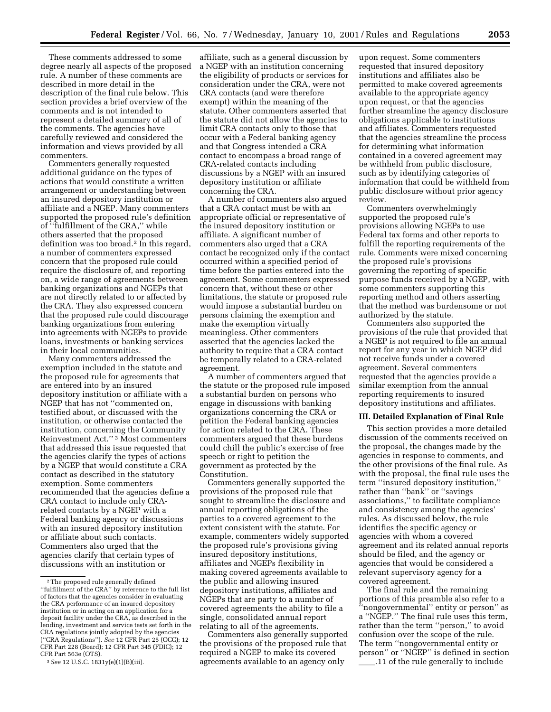These comments addressed to some degree nearly all aspects of the proposed rule. A number of these comments are described in more detail in the description of the final rule below. This section provides a brief overview of the comments and is not intended to represent a detailed summary of all of the comments. The agencies have carefully reviewed and considered the information and views provided by all commenters.

Commenters generally requested additional guidance on the types of actions that would constitute a written arrangement or understanding between an insured depository institution or affiliate and a NGEP. Many commenters supported the proposed rule's definition of ''fulfillment of the CRA,'' while others asserted that the proposed definition was too broad.2 In this regard, a number of commenters expressed concern that the proposed rule could require the disclosure of, and reporting on, a wide range of agreements between banking organizations and NGEPs that are not directly related to or affected by the CRA. They also expressed concern that the proposed rule could discourage banking organizations from entering into agreements with NGEPs to provide loans, investments or banking services in their local communities.

Many commenters addressed the exemption included in the statute and the proposed rule for agreements that are entered into by an insured depository institution or affiliate with a NGEP that has not ''commented on, testified about, or discussed with the institution, or otherwise contacted the institution, concerning the Community Reinvestment Act.'' 3 Most commenters that addressed this issue requested that the agencies clarify the types of actions by a NGEP that would constitute a CRA contact as described in the statutory exemption. Some commenters recommended that the agencies define a CRA contact to include only CRArelated contacts by a NGEP with a Federal banking agency or discussions with an insured depository institution or affiliate about such contacts. Commenters also urged that the agencies clarify that certain types of discussions with an institution or

affiliate, such as a general discussion by a NGEP with an institution concerning the eligibility of products or services for consideration under the CRA, were not CRA contacts (and were therefore exempt) within the meaning of the statute. Other commenters asserted that the statute did not allow the agencies to limit CRA contacts only to those that occur with a Federal banking agency and that Congress intended a CRA contact to encompass a broad range of CRA-related contacts including discussions by a NGEP with an insured depository institution or affiliate concerning the CRA.

A number of commenters also argued that a CRA contact must be with an appropriate official or representative of the insured depository institution or affiliate. A significant number of commenters also urged that a CRA contact be recognized only if the contact occurred within a specified period of time before the parties entered into the agreement. Some commenters expressed concern that, without these or other limitations, the statute or proposed rule would impose a substantial burden on persons claiming the exemption and make the exemption virtually meaningless. Other commenters asserted that the agencies lacked the authority to require that a CRA contact be temporally related to a CRA-related agreement.

A number of commenters argued that the statute or the proposed rule imposed a substantial burden on persons who engage in discussions with banking organizations concerning the CRA or petition the Federal banking agencies for action related to the CRA. These commenters argued that these burdens could chill the public's exercise of free speech or right to petition the government as protected by the Constitution.

Commenters generally supported the provisions of the proposed rule that sought to streamline the disclosure and annual reporting obligations of the parties to a covered agreement to the extent consistent with the statute. For example, commenters widely supported the proposed rule's provisions giving insured depository institutions, affiliates and NGEPs flexibility in making covered agreements available to the public and allowing insured depository institutions, affiliates and NGEPs that are party to a number of covered agreements the ability to file a single, consolidated annual report relating to all of the agreements.

Commenters also generally supported the provisions of the proposed rule that required a NGEP to make its covered agreements available to an agency only

upon request. Some commenters requested that insured depository institutions and affiliates also be permitted to make covered agreements available to the appropriate agency upon request, or that the agencies further streamline the agency disclosure obligations applicable to institutions and affiliates. Commenters requested that the agencies streamline the process for determining what information contained in a covered agreement may be withheld from public disclosure, such as by identifying categories of information that could be withheld from public disclosure without prior agency review.

Commenters overwhelmingly supported the proposed rule's provisions allowing NGEPs to use Federal tax forms and other reports to fulfill the reporting requirements of the rule. Comments were mixed concerning the proposed rule's provisions governing the reporting of specific purpose funds received by a NGEP, with some commenters supporting this reporting method and others asserting that the method was burdensome or not authorized by the statute.

Commenters also supported the provisions of the rule that provided that a NGEP is not required to file an annual report for any year in which NGEP did not receive funds under a covered agreement. Several commenters requested that the agencies provide a similar exemption from the annual reporting requirements to insured depository institutions and affiliates.

#### **III. Detailed Explanation of Final Rule**

This section provides a more detailed discussion of the comments received on the proposal, the changes made by the agencies in response to comments, and the other provisions of the final rule. As with the proposal, the final rule uses the term ''insured depository institution,'' rather than ''bank'' or ''savings associations,'' to facilitate compliance and consistency among the agencies' rules. As discussed below, the rule identifies the specific agency or agencies with whom a covered agreement and its related annual reports should be filed, and the agency or agencies that would be considered a relevant supervisory agency for a covered agreement.

The final rule and the remaining portions of this preamble also refer to a ''nongovernmental'' entity or person'' as a ''NGEP.'' The final rule uses this term, rather than the term ''person,'' to avoid confusion over the scope of the rule. The term ''nongovernmental entity or person'' or ''NGEP'' is defined in section 11 of the rule generally to include

<sup>2</sup>The proposed rule generally defined ''fulfillment of the CRA'' by reference to the full list of factors that the agencies consider in evaluating the CRA performance of an insured depository institution or in acting on an application for a deposit facility under the CRA, as described in the lending, investment and service tests set forth in the CRA regulations jointly adopted by the agencies (''CRA Regulations''). *See* 12 CFR Part 25 (OCC); 12 CFR Part 228 (Board); 12 CFR Part 345 (FDIC); 12 CFR Part 563e (OTS).

<sup>3</sup>*See* 12 U.S.C. 1831y(e)(1)(B)(iii).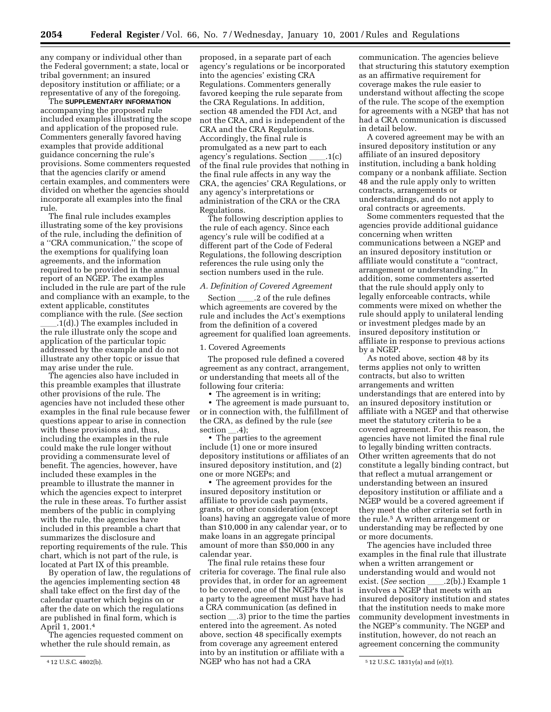any company or individual other than the Federal government; a state, local or tribal government; an insured depository institution or affiliate; or a representative of any of the foregoing.

The **SUPPLEMENTARY INFORMATION** accompanying the proposed rule included examples illustrating the scope and application of the proposed rule. Commenters generally favored having examples that provide additional guidance concerning the rule's provisions. Some commenters requested that the agencies clarify or amend certain examples, and commenters were divided on whether the agencies should incorporate all examples into the final rule.

The final rule includes examples illustrating some of the key provisions of the rule, including the definition of a ''CRA communication,'' the scope of the exemptions for qualifying loan agreements, and the information required to be provided in the annual report of an NGEP. The examples included in the rule are part of the rule and compliance with an example, to the extent applicable, constitutes compliance with the rule. (*See* section

 $\dot{I}$ .1(d).) The examples included in the rule illustrate only the scope and application of the particular topic addressed by the example and do not illustrate any other topic or issue that may arise under the rule.

The agencies also have included in this preamble examples that illustrate other provisions of the rule. The agencies have not included these other examples in the final rule because fewer questions appear to arise in connection with these provisions and, thus, including the examples in the rule could make the rule longer without providing a commensurate level of benefit. The agencies, however, have included these examples in the preamble to illustrate the manner in which the agencies expect to interpret the rule in these areas. To further assist members of the public in complying with the rule, the agencies have included in this preamble a chart that summarizes the disclosure and reporting requirements of the rule. This chart, which is not part of the rule, is located at Part IX of this preamble.

By operation of law, the regulations of the agencies implementing section 48 shall take effect on the first day of the calendar quarter which begins on or after the date on which the regulations are published in final form, which is April 1, 2001.4

The agencies requested comment on whether the rule should remain, as

proposed, in a separate part of each agency's regulations or be incorporated into the agencies' existing CRA Regulations. Commenters generally favored keeping the rule separate from the CRA Regulations. In addition, section 48 amended the FDI Act, and not the CRA, and is independent of the CRA and the CRA Regulations. Accordingly, the final rule is promulgated as a new part to each agency's regulations. Section  $\qquad \qquad .1(c)$ of the final rule provides that nothing in the final rule affects in any way the CRA, the agencies' CRA Regulations, or any agency's interpretations or administration of the CRA or the CRA Regulations.

The following description applies to the rule of each agency. Since each agency's rule will be codified at a different part of the Code of Federal Regulations, the following description references the rule using only the section numbers used in the rule.

## *A. Definition of Covered Agreement*

Section \_\_\_\_\_.2 of the rule defines which agreements are covered by the rule and includes the Act's exemptions from the definition of a covered agreement for qualified loan agreements.

#### 1. Covered Agreements

The proposed rule defined a covered agreement as any contract, arrangement, or understanding that meets all of the following four criteria:

The agreement is in writing;

• The agreement is made pursuant to, or in connection with, the fulfillment of the CRA, as defined by the rule (*see* section .4);

• The parties to the agreement include (1) one or more insured depository institutions or affiliates of an insured depository institution, and (2) one or more NGEPs; and

• The agreement provides for the insured depository institution or affiliate to provide cash payments, grants, or other consideration (except loans) having an aggregate value of more than \$10,000 in any calendar year, or to make loans in an aggregate principal amount of more than \$50,000 in any calendar year.

4 12 U.S.C. 4802(b). 5 12 U.S.C. 1831y(a) and (e)(1). NGEP who has not had a CRA The final rule retains these four criteria for coverage. The final rule also provides that, in order for an agreement to be covered, one of the NGEPs that is a party to the agreement must have had a CRA communication (as defined in section \_\_\_.3) prior to the time the parties entered into the agreement. As noted above, section 48 specifically exempts from coverage any agreement entered into by an institution or affiliate with a

communication. The agencies believe that structuring this statutory exemption as an affirmative requirement for coverage makes the rule easier to understand without affecting the scope of the rule. The scope of the exemption for agreements with a NGEP that has not had a CRA communication is discussed in detail below.

A covered agreement may be with an insured depository institution or any affiliate of an insured depository institution, including a bank holding company or a nonbank affiliate. Section 48 and the rule apply only to written contracts, arrangements or understandings, and do not apply to oral contracts or agreements.

Some commenters requested that the agencies provide additional guidance concerning when written communications between a NGEP and an insured depository institution or affiliate would constitute a ''contract, arrangement or understanding.'' In addition, some commenters asserted that the rule should apply only to legally enforceable contracts, while comments were mixed on whether the rule should apply to unilateral lending or investment pledges made by an insured depository institution or affiliate in response to previous actions by a NGEP.

As noted above, section 48 by its terms applies not only to written contracts, but also to written arrangements and written understandings that are entered into by an insured depository institution or affiliate with a NGEP and that otherwise meet the statutory criteria to be a covered agreement. For this reason, the agencies have not limited the final rule to legally binding written contracts. Other written agreements that do not constitute a legally binding contract, but that reflect a mutual arrangement or understanding between an insured depository institution or affiliate and a NGEP would be a covered agreement if they meet the other criteria set forth in the rule.5 A written arrangement or understanding may be reflected by one or more documents.

The agencies have included three examples in the final rule that illustrate when a written arrangement or understanding would and would not exist. (*See* section .2(b).) Example 1 involves a NGEP that meets with an insured depository institution and states that the institution needs to make more community development investments in the NGEP's community. The NGEP and institution, however, do not reach an agreement concerning the community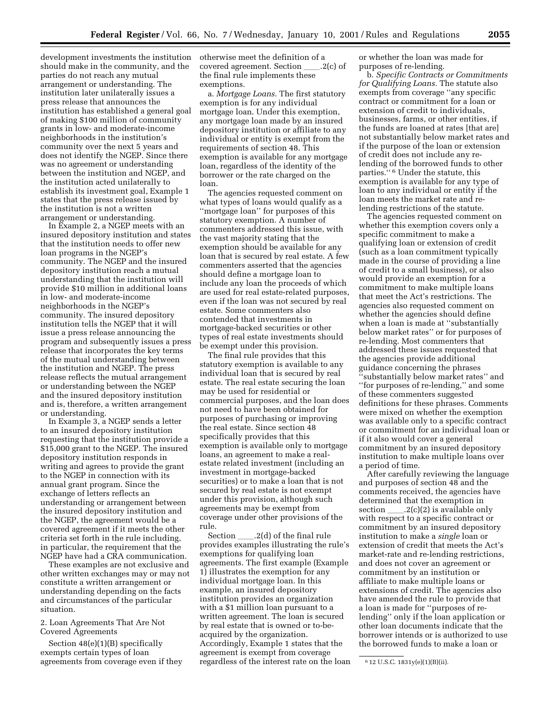development investments the institution should make in the community, and the parties do not reach any mutual arrangement or understanding. The institution later unilaterally issues a press release that announces the institution has established a general goal of making \$100 million of community grants in low- and moderate-income neighborhoods in the institution's community over the next 5 years and does not identify the NGEP. Since there was no agreement or understanding between the institution and NGEP, and the institution acted unilaterally to establish its investment goal, Example 1 states that the press release issued by the institution is not a written arrangement or understanding.

In Example 2, a NGEP meets with an insured depository institution and states that the institution needs to offer new loan programs in the NGEP's community. The NGEP and the insured depository institution reach a mutual understanding that the institution will provide \$10 million in additional loans in low- and moderate-income neighborhoods in the NGEP's community. The insured depository institution tells the NGEP that it will issue a press release announcing the program and subsequently issues a press release that incorporates the key terms of the mutual understanding between the institution and NGEP. The press release reflects the mutual arrangement or understanding between the NGEP and the insured depository institution and is, therefore, a written arrangement or understanding.

In Example 3, a NGEP sends a letter to an insured depository institution requesting that the institution provide a \$15,000 grant to the NGEP. The insured depository institution responds in writing and agrees to provide the grant to the NGEP in connection with its annual grant program. Since the exchange of letters reflects an understanding or arrangement between the insured depository institution and the NGEP, the agreement would be a covered agreement if it meets the other criteria set forth in the rule including, in particular, the requirement that the NGEP have had a CRA communication.

These examples are not exclusive and other written exchanges may or may not constitute a written arrangement or understanding depending on the facts and circumstances of the particular situation.

2. Loan Agreements That Are Not Covered Agreements

Section 48(e)(1)(B) specifically exempts certain types of loan agreements from coverage even if they otherwise meet the definition of a covered agreement. Section \_\_\_\_.2(c) of the final rule implements these exemptions.

a. *Mortgage Loans.* The first statutory exemption is for any individual mortgage loan. Under this exemption, any mortgage loan made by an insured depository institution or affiliate to any individual or entity is exempt from the requirements of section 48. This exemption is available for any mortgage loan, regardless of the identity of the borrower or the rate charged on the loan.

The agencies requested comment on what types of loans would qualify as a ''mortgage loan'' for purposes of this statutory exemption. A number of commenters addressed this issue, with the vast majority stating that the exemption should be available for any loan that is secured by real estate. A few commenters asserted that the agencies should define a mortgage loan to include any loan the proceeds of which are used for real estate-related purposes, even if the loan was not secured by real estate. Some commenters also contended that investments in mortgage-backed securities or other types of real estate investments should be exempt under this provision.

The final rule provides that this statutory exemption is available to any individual loan that is secured by real estate. The real estate securing the loan may be used for residential or commercial purposes, and the loan does not need to have been obtained for purposes of purchasing or improving the real estate. Since section 48 specifically provides that this exemption is available only to mortgage loans, an agreement to make a realestate related investment (including an investment in mortgage-backed securities) or to make a loan that is not secured by real estate is not exempt under this provision, although such agreements may be exempt from coverage under other provisions of the rule.

Section  $\_\_2(d)$  of the final rule provides examples illustrating the rule's exemptions for qualifying loan agreements. The first example (Example 1) illustrates the exemption for any individual mortgage loan. In this example, an insured depository institution provides an organization with a \$1 million loan pursuant to a written agreement. The loan is secured by real estate that is owned or to-beacquired by the organization. Accordingly, Example 1 states that the agreement is exempt from coverage regardless of the interest rate on the loan or whether the loan was made for purposes of re-lending.

b. *Specific Contracts or Commitments for Qualifying Loans.* The statute also exempts from coverage ''any specific contract or commitment for a loan or extension of credit to individuals, businesses, farms, or other entities, if the funds are loaned at rates [that are] not substantially below market rates and if the purpose of the loan or extension of credit does not include any relending of the borrowed funds to other parties.'' 6 Under the statute, this exemption is available for any type of loan to any individual or entity if the loan meets the market rate and relending restrictions of the statute.

The agencies requested comment on whether this exemption covers only a specific commitment to make a qualifying loan or extension of credit (such as a loan commitment typically made in the course of providing a line of credit to a small business), or also would provide an exemption for a commitment to make multiple loans that meet the Act's restrictions. The agencies also requested comment on whether the agencies should define when a loan is made at ''substantially below market rates'' or for purposes of re-lending. Most commenters that addressed these issues requested that the agencies provide additional guidance concerning the phrases ''substantially below market rates'' and ''for purposes of re-lending,'' and some of these commenters suggested definitions for these phrases. Comments were mixed on whether the exemption was available only to a specific contract or commitment for an individual loan or if it also would cover a general commitment by an insured depository institution to make multiple loans over a period of time.

After carefully reviewing the language and purposes of section 48 and the comments received, the agencies have determined that the exemption in section  $\rule{1em}{0.15mm} \ldots$  .2(c)(2) is available only with respect to a specific contract or commitment by an insured depository institution to make a *single* loan or extension of credit that meets the Act's market-rate and re-lending restrictions, and does not cover an agreement or commitment by an institution or affiliate to make multiple loans or extensions of credit. The agencies also have amended the rule to provide that a loan is made for ''purposes of relending'' only if the loan application or other loan documents indicate that the borrower intends or is authorized to use the borrowed funds to make a loan or

<sup>6</sup> 12 U.S.C. 1831y(e)(1)(B)(ii).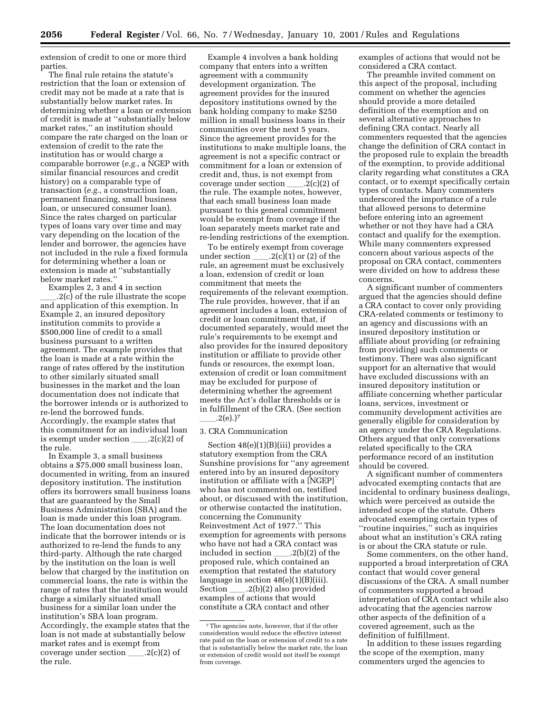extension of credit to one or more third parties.

The final rule retains the statute's restriction that the loan or extension of credit may not be made at a rate that is substantially below market rates. In determining whether a loan or extension of credit is made at ''substantially below market rates,'' an institution should compare the rate charged on the loan or extension of credit to the rate the institution has or would charge a comparable borrower (*e.g.*, a NGEP with similar financial resources and credit history) on a comparable type of transaction (*e.g.*, a construction loan, permanent financing, small business loan, or unsecured consumer loan). Since the rates charged on particular types of loans vary over time and may vary depending on the location of the lender and borrower, the agencies have not included in the rule a fixed formula for determining whether a loan or extension is made at ''substantially below market rates.''

Examples 2, 3 and 4 in section 2(c) of the rule illustrate the scope and application of this exemption. In Example 2, an insured depository institution commits to provide a \$500,000 line of credit to a small business pursuant to a written agreement. The example provides that the loan is made at a rate within the range of rates offered by the institution to other similarly situated small businesses in the market and the loan documentation does not indicate that the borrower intends or is authorized to re-lend the borrowed funds. Accordingly, the example states that this commitment for an individual loan is exempt under section  $\_\_2(c)(2)$  of the rule.

In Example 3, a small business obtains a \$75,000 small business loan, documented in writing, from an insured depository institution. The institution offers its borrowers small business loans that are guaranteed by the Small Business Administration (SBA) and the loan is made under this loan program. The loan documentation does not indicate that the borrower intends or is authorized to re-lend the funds to any third-party. Although the rate charged by the institution on the loan is well below that charged by the institution on commercial loans, the rate is within the range of rates that the institution would charge a similarly situated small business for a similar loan under the institution's SBA loan program. Accordingly, the example states that the loan is not made at substantially below market rates and is exempt from coverage under section  $\_\_2(c)(2)$  of the rule.

Example 4 involves a bank holding company that enters into a written agreement with a community development organization. The agreement provides for the insured depository institutions owned by the bank holding company to make \$250 million in small business loans in their communities over the next 5 years. Since the agreement provides for the institutions to make multiple loans, the agreement is not a specific contract or commitment for a loan or extension of credit and, thus, is not exempt from coverage under section  $\_\_2(c)(2)$  of the rule. The example notes, however, that each small business loan made pursuant to this general commitment would be exempt from coverage if the loan separately meets market rate and re-lending restrictions of the exemption.

To be entirely exempt from coverage under section  $\_\_2(c)(1)$  or (2) of the rule, an agreement must be exclusively a loan, extension of credit or loan commitment that meets the requirements of the relevant exemption. The rule provides, however, that if an agreement includes a loan, extension of credit or loan commitment that, if documented separately, would meet the rule's requirements to be exempt and also provides for the insured depository institution or affiliate to provide other funds or resources, the exempt loan, extension of credit or loan commitment may be excluded for purpose of determining whether the agreement meets the Act's dollar thresholds or is in fulfillment of the CRA. (See section  $.2(e).$ <sup>7</sup>

#### 3. CRA Communication

Section 48(e)(1)(B)(iii) provides a statutory exemption from the CRA Sunshine provisions for ''any agreement entered into by an insured depository institution or affiliate with a [NGEP] who has not commented on, testified about, or discussed with the institution, or otherwise contacted the institution, concerning the Community Reinvestment Act of 1977.'' This exemption for agreements with persons who have not had a CRA contact was included in section  $\qquad$  .2(b)(2) of the proposed rule, which contained an exemption that restated the statutory language in section 48(e)(1)(B)(iii). Section \_\_\_\_\_.2(b)(2) also provided examples of actions that would constitute a CRA contact and other

examples of actions that would not be considered a CRA contact.

The preamble invited comment on this aspect of the proposal, including comment on whether the agencies should provide a more detailed definition of the exemption and on several alternative approaches to defining CRA contact. Nearly all commenters requested that the agencies change the definition of CRA contact in the proposed rule to explain the breadth of the exemption, to provide additional clarity regarding what constitutes a CRA contact, or to exempt specifically certain types of contacts. Many commenters underscored the importance of a rule that allowed persons to determine before entering into an agreement whether or not they have had a CRA contact and qualify for the exemption. While many commenters expressed concern about various aspects of the proposal on CRA contact, commenters were divided on how to address these concerns.

A significant number of commenters argued that the agencies should define a CRA contact to cover only providing CRA-related comments or testimony to an agency and discussions with an insured depository institution or affiliate about providing (or refraining from providing) such comments or testimony. There was also significant support for an alternative that would have excluded discussions with an insured depository institution or affiliate concerning whether particular loans, services, investment or community development activities are generally eligible for consideration by an agency under the CRA Regulations. Others argued that only conversations related specifically to the CRA performance record of an institution should be covered.

A significant number of commenters advocated exempting contacts that are incidental to ordinary business dealings, which were perceived as outside the intended scope of the statute. Others advocated exempting certain types of ''routine inquiries,'' such as inquiries about what an institution's CRA rating is or about the CRA statute or rule.

Some commenters, on the other hand, supported a broad interpretation of CRA contact that would cover general discussions of the CRA. A small number of commenters supported a broad interpretation of CRA contact while also advocating that the agencies narrow other aspects of the definition of a covered agreement, such as the definition of fulfillment.

In addition to these issues regarding the scope of the exemption, many commenters urged the agencies to

<sup>7</sup>The agencies note, however, that if the other consideration would reduce the effective interest rate paid on the loan or extension of credit to a rate that is substantially below the market rate, the loan or extension of credit would not itself be exempt from coverage.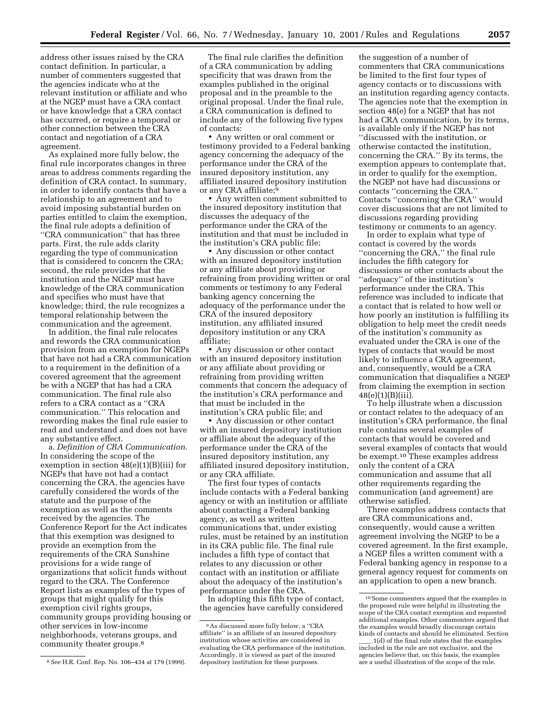address other issues raised by the CRA contact definition. In particular, a number of commenters suggested that the agencies indicate who at the relevant institution or affiliate and who at the NGEP must have a CRA contact or have knowledge that a CRA contact has occurred, or require a temporal or other connection between the CRA contact and negotiation of a CRA agreement.

As explained more fully below, the final rule incorporates changes in three areas to address comments regarding the definition of CRA contact. In summary, in order to identify contacts that have a relationship to an agreement and to avoid imposing substantial burden on parties entitled to claim the exemption, the final rule adopts a definition of ''CRA communication'' that has three parts. First, the rule adds clarity regarding the type of communication that is considered to concern the CRA; second, the rule provides that the institution and the NGEP must have knowledge of the CRA communication and specifies who must have that knowledge; third, the rule recognizes a temporal relationship between the communication and the agreement.

In addition, the final rule relocates and rewords the CRA communication provision from an exemption for NGEPs that have not had a CRA communication to a requirement in the definition of a covered agreement that the agreement be with a NGEP that has had a CRA communication. The final rule also refers to a CRA contact as a ''CRA communication.'' This relocation and rewording makes the final rule easier to read and understand and does not have any substantive effect.

a. *Definition of CRA Communication.* In considering the scope of the exemption in section 48(e)(1)(B)(iii) for NGEPs that have not had a contact concerning the CRA, the agencies have carefully considered the words of the statute and the purpose of the exemption as well as the comments received by the agencies. The Conference Report for the Act indicates that this exemption was designed to provide an exemption from the requirements of the CRA Sunshine provisions for a wide range of organizations that solicit funds without regard to the CRA. The Conference Report lists as examples of the types of groups that might qualify for this exemption civil rights groups, community groups providing housing or other services in low-income neighborhoods, veterans groups, and community theater groups.8

The final rule clarifies the definition of a CRA communication by adding specificity that was drawn from the examples published in the original proposal and in the preamble to the original proposal. Under the final rule, a CRA communication is defined to include any of the following five types of contacts:

• Any written or oral comment or testimony provided to a Federal banking agency concerning the adequacy of the performance under the CRA of the insured depository institution, any affiliated insured depository institution or any CRA affiliate;9

• Any written comment submitted to the insured depository institution that discusses the adequacy of the performance under the CRA of the institution and that must be included in the institution's CRA public file;

• Any discussion or other contact with an insured depository institution or any affiliate about providing or refraining from providing written or oral comments or testimony to any Federal banking agency concerning the adequacy of the performance under the CRA of the insured depository institution, any affiliated insured depository institution or any CRA affiliate;

• Any discussion or other contact with an insured depository institution or any affiliate about providing or refraining from providing written comments that concern the adequacy of the institution's CRA performance and that must be included in the institution's CRA public file; and

• Any discussion or other contact with an insured depository institution or affiliate about the adequacy of the performance under the CRA of the insured depository institution, any affiliated insured depository institution, or any CRA affiliate.

The first four types of contacts include contacts with a Federal banking agency or with an institution or affiliate about contacting a Federal banking agency, as well as written communications that, under existing rules, must be retained by an institution in its CRA public file. The final rule includes a fifth type of contact that relates to any discussion or other contact with an institution or affiliate about the adequacy of the institution's performance under the CRA.

In adopting this fifth type of contact, the agencies have carefully considered

the suggestion of a number of commenters that CRA communications be limited to the first four types of agency contacts or to discussions with an institution regarding agency contacts. The agencies note that the exemption in section 48(e) for a NGEP that has not had a CRA communication, by its terms, is available only if the NGEP has not ''discussed with the institution, or otherwise contacted the institution, concerning the CRA.'' By its terms, the exemption appears to contemplate that, in order to qualify for the exemption, the NGEP not have had discussions or contacts ''concerning the CRA.'' Contacts ''concerning the CRA'' would cover discussions that are not limited to discussions regarding providing testimony or comments to an agency.

In order to explain what type of contact is covered by the words ''concerning the CRA,'' the final rule includes the fifth category for discussions or other contacts about the ''adequacy'' of the institution's performance under the CRA. This reference was included to indicate that a contact that is related to how well or how poorly an institution is fulfilling its obligation to help meet the credit needs of the institution's community as evaluated under the CRA is one of the types of contacts that would be most likely to influence a CRA agreement, and, consequently, would be a CRA communication that disqualifies a NGEP from claiming the exemption in section 48(e)(1)(B)(iii).

To help illustrate when a discussion or contact relates to the adequacy of an institution's CRA performance, the final rule contains several examples of contacts that would be covered and several examples of contacts that would be exempt.10 These examples address only the content of a CRA communication and assume that all other requirements regarding the communication (and agreement) are otherwise satisfied.

Three examples address contacts that are CRA communications and, consequently, would cause a written agreement involving the NGEP to be a covered agreement. In the first example, a NGEP files a written comment with a Federal banking agency in response to a general agency request for comments on an application to open a new branch.

<sup>8</sup>*See* H.R. Conf. Rep. No. 106–434 at 179 (1999).

<sup>9</sup>As discussed more fully below, a ''CRA affiliate'' is an affiliate of an insured depository institution whose activities are considered in evaluating the CRA performance of the institution. Accordingly, it is viewed as part of the insured depository institution for these purposes.

<sup>10</sup>Some commenters argued that the examples in the proposed rule were helpful in illustrating the scope of the CRA contact exemption and requested additional examples. Other commenters argued that the examples would broadly discourage certain kinds of contacts and should be eliminated. Section .1(d) of the final rule states that the examples included in the rule are not exclusive, and the agencies believe that, on this basis, the examples are a useful illustration of the scope of the rule.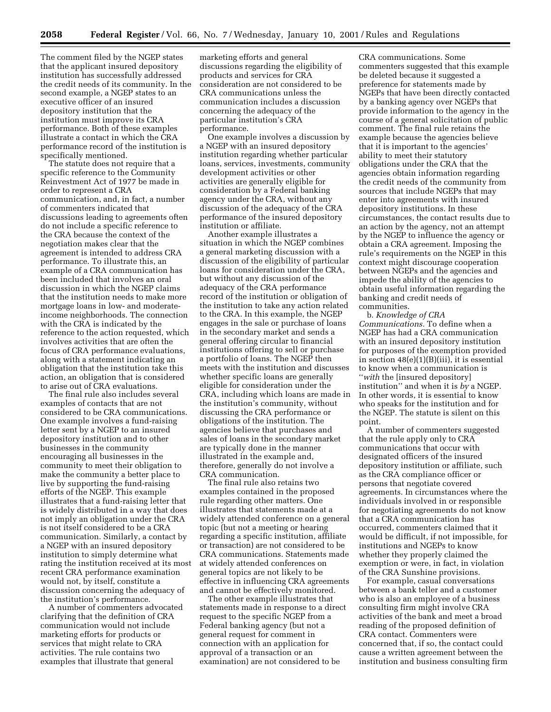The comment filed by the NGEP states that the applicant insured depository institution has successfully addressed the credit needs of its community. In the second example, a NGEP states to an executive officer of an insured depository institution that the institution must improve its CRA performance. Both of these examples illustrate a contact in which the CRA performance record of the institution is specifically mentioned.

The statute does not require that a specific reference to the Community Reinvestment Act of 1977 be made in order to represent a CRA communication, and, in fact, a number of commenters indicated that discussions leading to agreements often do not include a specific reference to the CRA because the context of the negotiation makes clear that the agreement is intended to address CRA performance. To illustrate this, an example of a CRA communication has been included that involves an oral discussion in which the NGEP claims that the institution needs to make more mortgage loans in low- and moderateincome neighborhoods. The connection with the CRA is indicated by the reference to the action requested, which involves activities that are often the focus of CRA performance evaluations, along with a statement indicating an obligation that the institution take this action, an obligation that is considered to arise out of CRA evaluations.

The final rule also includes several examples of contacts that are not considered to be CRA communications. One example involves a fund-raising letter sent by a NGEP to an insured depository institution and to other businesses in the community encouraging all businesses in the community to meet their obligation to make the community a better place to live by supporting the fund-raising efforts of the NGEP. This example illustrates that a fund-raising letter that is widely distributed in a way that does not imply an obligation under the CRA is not itself considered to be a CRA communication. Similarly, a contact by a NGEP with an insured depository institution to simply determine what rating the institution received at its most recent CRA performance examination would not, by itself, constitute a discussion concerning the adequacy of the institution's performance.

A number of commenters advocated clarifying that the definition of CRA communication would not include marketing efforts for products or services that might relate to CRA activities. The rule contains two examples that illustrate that general

marketing efforts and general discussions regarding the eligibility of products and services for CRA consideration are not considered to be CRA communications unless the communication includes a discussion concerning the adequacy of the particular institution's CRA performance.

One example involves a discussion by a NGEP with an insured depository institution regarding whether particular loans, services, investments, community development activities or other activities are generally eligible for consideration by a Federal banking agency under the CRA, without any discussion of the adequacy of the CRA performance of the insured depository institution or affiliate.

Another example illustrates a situation in which the NGEP combines a general marketing discussion with a discussion of the eligibility of particular loans for consideration under the CRA, but without any discussion of the adequacy of the CRA performance record of the institution or obligation of the institution to take any action related to the CRA. In this example, the NGEP engages in the sale or purchase of loans in the secondary market and sends a general offering circular to financial institutions offering to sell or purchase a portfolio of loans. The NGEP then meets with the institution and discusses whether specific loans are generally eligible for consideration under the CRA, including which loans are made in the institution's community, without discussing the CRA performance or obligations of the institution. The agencies believe that purchases and sales of loans in the secondary market are typically done in the manner illustrated in the example and, therefore, generally do not involve a CRA communication.

The final rule also retains two examples contained in the proposed rule regarding other matters. One illustrates that statements made at a widely attended conference on a general topic (but not a meeting or hearing regarding a specific institution, affiliate or transaction) are not considered to be CRA communications. Statements made at widely attended conferences on general topics are not likely to be effective in influencing CRA agreements and cannot be effectively monitored.

The other example illustrates that statements made in response to a direct request to the specific NGEP from a Federal banking agency (but not a general request for comment in connection with an application for approval of a transaction or an examination) are not considered to be

CRA communications. Some commenters suggested that this example be deleted because it suggested a preference for statements made by NGEPs that have been directly contacted by a banking agency over NGEPs that provide information to the agency in the course of a general solicitation of public comment. The final rule retains the example because the agencies believe that it is important to the agencies' ability to meet their statutory obligations under the CRA that the agencies obtain information regarding the credit needs of the community from sources that include NGEPs that may enter into agreements with insured depository institutions. In these circumstances, the contact results due to an action by the agency, not an attempt by the NGEP to influence the agency or obtain a CRA agreement. Imposing the rule's requirements on the NGEP in this context might discourage cooperation between NGEPs and the agencies and impede the ability of the agencies to obtain useful information regarding the banking and credit needs of communities.

b. *Knowledge of CRA Communications.* To define when a NGEP has had a CRA communication with an insured depository institution for purposes of the exemption provided in section  $48(e)(1)(B)(iii)$ , it is essential to know when a communication is ''*with* the [insured depository] institution'' and when it is *by* a NGEP. In other words, it is essential to know who speaks for the institution and for the NGEP. The statute is silent on this point.

A number of commenters suggested that the rule apply only to CRA communications that occur with designated officers of the insured depository institution or affiliate, such as the CRA compliance officer or persons that negotiate covered agreements. In circumstances where the individuals involved in or responsible for negotiating agreements do not know that a CRA communication has occurred, commenters claimed that it would be difficult, if not impossible, for institutions and NGEPs to know whether they properly claimed the exemption or were, in fact, in violation of the CRA Sunshine provisions.

For example, casual conversations between a bank teller and a customer who is also an employee of a business consulting firm might involve CRA activities of the bank and meet a broad reading of the proposed definition of CRA contact. Commenters were concerned that, if so, the contact could cause a written agreement between the institution and business consulting firm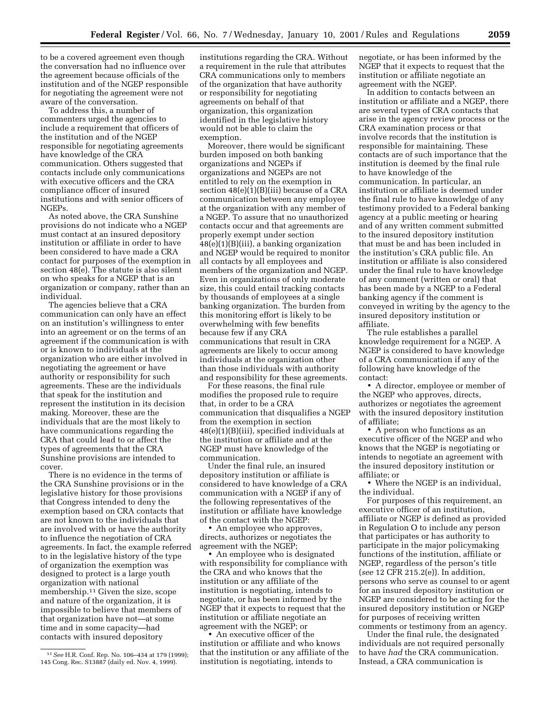to be a covered agreement even though the conversation had no influence over the agreement because officials of the institution and of the NGEP responsible for negotiating the agreement were not aware of the conversation.

To address this, a number of commenters urged the agencies to include a requirement that officers of the institution and of the NGEP responsible for negotiating agreements have knowledge of the CRA communication. Others suggested that contacts include only communications with executive officers and the CRA compliance officer of insured institutions and with senior officers of NGEPs.

As noted above, the CRA Sunshine provisions do not indicate who a NGEP must contact at an insured depository institution or affiliate in order to have been considered to have made a CRA contact for purposes of the exemption in section 48(e). The statute is also silent on who speaks for a NGEP that is an organization or company, rather than an individual.

The agencies believe that a CRA communication can only have an effect on an institution's willingness to enter into an agreement or on the terms of an agreement if the communication is with or is known to individuals at the organization who are either involved in negotiating the agreement or have authority or responsibility for such agreements. These are the individuals that speak for the institution and represent the institution in its decision making. Moreover, these are the individuals that are the most likely to have communications regarding the CRA that could lead to or affect the types of agreements that the CRA Sunshine provisions are intended to cover.

There is no evidence in the terms of the CRA Sunshine provisions or in the legislative history for those provisions that Congress intended to deny the exemption based on CRA contacts that are not known to the individuals that are involved with or have the authority to influence the negotiation of CRA agreements. In fact, the example referred to in the legislative history of the type of organization the exemption was designed to protect is a large youth organization with national membership.11 Given the size, scope and nature of the organization, it is impossible to believe that members of that organization have not—at some time and in some capacity—had contacts with insured depository

institutions regarding the CRA. Without a requirement in the rule that attributes CRA communications only to members of the organization that have authority or responsibility for negotiating agreements on behalf of that organization, this organization identified in the legislative history would not be able to claim the exemption.

Moreover, there would be significant burden imposed on both banking organizations and NGEPs if organizations and NGEPs are not entitled to rely on the exemption in section 48(e)(1)(B)(iii) because of a CRA communication between any employee at the organization with any member of a NGEP. To assure that no unauthorized contacts occur and that agreements are properly exempt under section  $48(e)(1)(B)(iii)$ , a banking organization and NGEP would be required to monitor all contacts by all employees and members of the organization and NGEP. Even in organizations of only moderate size, this could entail tracking contacts by thousands of employees at a single banking organization. The burden from this monitoring effort is likely to be overwhelming with few benefits because few if any CRA communications that result in CRA agreements are likely to occur among individuals at the organization other than those individuals with authority and responsibility for these agreements.

For these reasons, the final rule modifies the proposed rule to require that, in order to be a CRA communication that disqualifies a NGEP from the exemption in section 48(e)(1)(B)(iii), specified individuals at the institution or affiliate and at the NGEP must have knowledge of the communication.

Under the final rule, an insured depository institution or affiliate is considered to have knowledge of a CRA communication with a NGEP if any of the following representatives of the institution or affiliate have knowledge of the contact with the NGEP:

• An employee who approves, directs, authorizes or negotiates the agreement with the NGEP;

• An employee who is designated with responsibility for compliance with the CRA and who knows that the institution or any affiliate of the institution is negotiating, intends to negotiate, or has been informed by the NGEP that it expects to request that the institution or affiliate negotiate an agreement with the NGEP; or

• An executive officer of the institution or affiliate and who knows that the institution or any affiliate of the institution is negotiating, intends to

negotiate, or has been informed by the NGEP that it expects to request that the institution or affiliate negotiate an agreement with the NGEP.

In addition to contacts between an institution or affiliate and a NGEP, there are several types of CRA contacts that arise in the agency review process or the CRA examination process or that involve records that the institution is responsible for maintaining. These contacts are of such importance that the institution is deemed by the final rule to have knowledge of the communication. In particular, an institution or affiliate is deemed under the final rule to have knowledge of any testimony provided to a Federal banking agency at a public meeting or hearing and of any written comment submitted to the insured depository institution that must be and has been included in the institution's CRA public file. An institution or affiliate is also considered under the final rule to have knowledge of any comment (written or oral) that has been made by a NGEP to a Federal banking agency if the comment is conveyed in writing by the agency to the insured depository institution or affiliate.

The rule establishes a parallel knowledge requirement for a NGEP. A NGEP is considered to have knowledge of a CRA communication if any of the following have knowledge of the contact:

• A director, employee or member of the NGEP who approves, directs, authorizes or negotiates the agreement with the insured depository institution of affiliate;

• A person who functions as an executive officer of the NGEP and who knows that the NGEP is negotiating or intends to negotiate an agreement with the insured depository institution or affiliate; or

• Where the NGEP is an individual, the individual.

For purposes of this requirement, an executive officer of an institution, affiliate or NGEP is defined as provided in Regulation O to include any person that participates or has authority to participate in the major policymaking functions of the institution, affiliate or NGEP, regardless of the person's title (*see* 12 CFR 215.2(e)). In addition, persons who serve as counsel to or agent for an insured depository institution or NGEP are considered to be acting for the insured depository institution or NGEP for purposes of receiving written comments or testimony from an agency.

Under the final rule, the designated individuals are not required personally to have *had* the CRA communication. Instead, a CRA communication is

<sup>11</sup>*See* H.R. Conf. Rep. No. 106–434 at 179 (1999); 145 Cong. Rec. S13887 (daily ed. Nov. 4, 1999).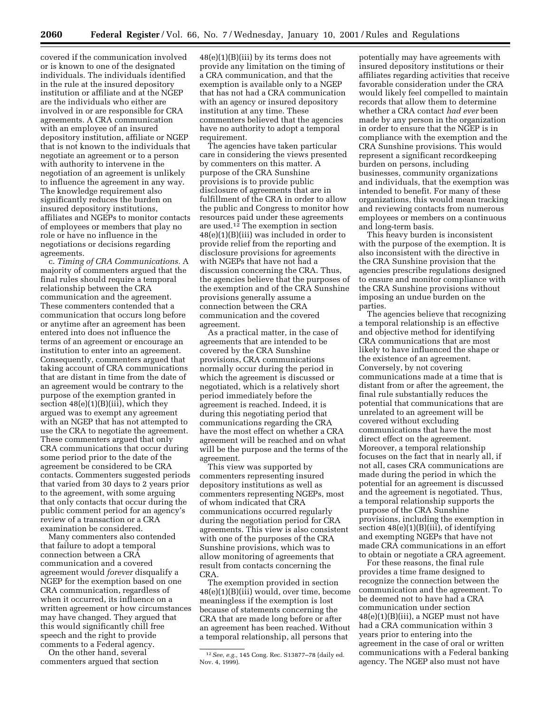covered if the communication involved or is known to one of the designated individuals. The individuals identified in the rule at the insured depository institution or affiliate and at the NGEP are the individuals who either are involved in or are responsible for CRA agreements. A CRA communication with an employee of an insured depository institution, affiliate or NGEP that is not known to the individuals that negotiate an agreement or to a person with authority to intervene in the negotiation of an agreement is unlikely to influence the agreement in any way. The knowledge requirement also significantly reduces the burden on insured depository institutions, affiliates and NGEPs to monitor contacts of employees or members that play no role or have no influence in the negotiations or decisions regarding agreements.

c. *Timing of CRA Communications.* A majority of commenters argued that the final rules should require a temporal relationship between the CRA communication and the agreement. These commenters contended that a communication that occurs long before or anytime after an agreement has been entered into does not influence the terms of an agreement or encourage an institution to enter into an agreement. Consequently, commenters argued that taking account of CRA communications that are distant in time from the date of an agreement would be contrary to the purpose of the exemption granted in section  $48(e)(1)(B)(iii)$ , which they argued was to exempt any agreement with an NGEP that has not attempted to use the CRA to negotiate the agreement. These commenters argued that only CRA communications that occur during some period prior to the date of the agreement be considered to be CRA contacts. Commenters suggested periods that varied from 30 days to 2 years prior to the agreement, with some arguing that only contacts that occur during the public comment period for an agency's review of a transaction or a CRA examination be considered.

Many commenters also contended that failure to adopt a temporal connection between a CRA communication and a covered agreement would *forever* disqualify a NGEP for the exemption based on one CRA communication, regardless of when it occurred, its influence on a written agreement or how circumstances may have changed. They argued that this would significantly chill free speech and the right to provide comments to a Federal agency.

On the other hand, several commenters argued that section

48(e)(1)(B)(iii) by its terms does not provide any limitation on the timing of a CRA communication, and that the exemption is available only to a NGEP that has not had a CRA communication with an agency or insured depository institution at any time. These commenters believed that the agencies have no authority to adopt a temporal requirement.

The agencies have taken particular care in considering the views presented by commenters on this matter. A purpose of the CRA Sunshine provisions is to provide public disclosure of agreements that are in fulfillment of the CRA in order to allow the public and Congress to monitor how resources paid under these agreements are used.12 The exemption in section 48(e)(1)(B)(iii) was included in order to provide relief from the reporting and disclosure provisions for agreements with NGEPs that have not had a discussion concerning the CRA. Thus, the agencies believe that the purposes of the exemption and of the CRA Sunshine provisions generally assume a connection between the CRA communication and the covered agreement.

As a practical matter, in the case of agreements that are intended to be covered by the CRA Sunshine provisions, CRA communications normally occur during the period in which the agreement is discussed or negotiated, which is a relatively short period immediately before the agreement is reached. Indeed, it is during this negotiating period that communications regarding the CRA have the most effect on whether a CRA agreement will be reached and on what will be the purpose and the terms of the agreement.

This view was supported by commenters representing insured depository institutions as well as commenters representing NGEPs, most of whom indicated that CRA communications occurred regularly during the negotiation period for CRA agreements. This view is also consistent with one of the purposes of the CRA Sunshine provisions, which was to allow monitoring of agreements that result from contacts concerning the CRA.

The exemption provided in section 48(e)(1)(B)(iii) would, over time, become meaningless if the exemption is lost because of statements concerning the CRA that are made long before or after an agreement has been reached. Without a temporal relationship, all persons that

potentially may have agreements with insured depository institutions or their affiliates regarding activities that receive favorable consideration under the CRA would likely feel compelled to maintain records that allow them to determine whether a CRA contact *had ever* been made by any person in the organization in order to ensure that the NGEP is in compliance with the exemption and the CRA Sunshine provisions. This would represent a significant recordkeeping burden on persons, including businesses, community organizations and individuals, that the exemption was intended to benefit. For many of these organizations, this would mean tracking and reviewing contacts from numerous employees or members on a continuous and long-term basis.

This heavy burden is inconsistent with the purpose of the exemption. It is also inconsistent with the directive in the CRA Sunshine provision that the agencies prescribe regulations designed to ensure and monitor compliance with the CRA Sunshine provisions without imposing an undue burden on the parties.

The agencies believe that recognizing a temporal relationship is an effective and objective method for identifying CRA communications that are most likely to have influenced the shape or the existence of an agreement. Conversely, by not covering communications made at a time that is distant from or after the agreement, the final rule substantially reduces the potential that communications that are unrelated to an agreement will be covered without excluding communications that have the most direct effect on the agreement. Moreover, a temporal relationship focuses on the fact that in nearly all, if not all, cases CRA communications are made during the period in which the potential for an agreement is discussed and the agreement is negotiated. Thus, a temporal relationship supports the purpose of the CRA Sunshine provisions, including the exemption in section  $48(e)(1)(B)(iii)$ , of identifying and exempting NGEPs that have not made CRA communications in an effort to obtain or negotiate a CRA agreement.

For these reasons, the final rule provides a time frame designed to recognize the connection between the communication and the agreement. To be deemed not to have had a CRA communication under section  $48(e)(1)(B)(iii)$ , a NGEP must not have had a CRA communication within 3 years prior to entering into the agreement in the case of oral or written communications with a Federal banking agency. The NGEP also must not have

<sup>12</sup>*See, e.g.,* 145 Cong. Rec. S13877–78 (daily ed. Nov. 4, 1999).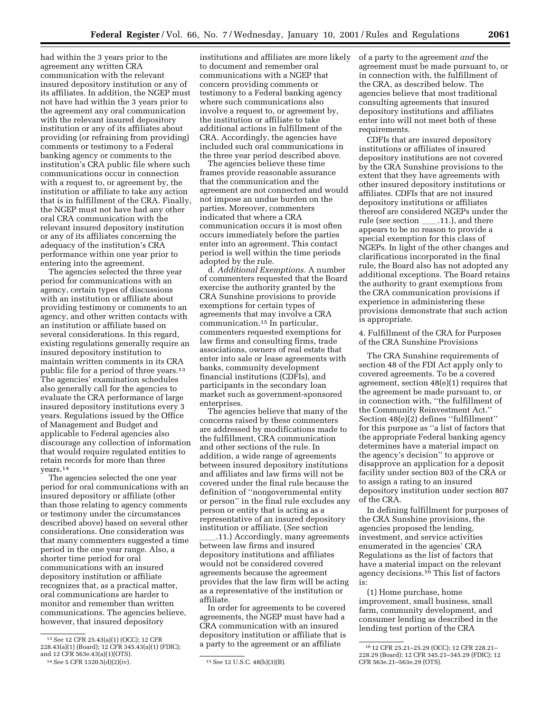its affiliates. In addition, the NGEP must providing (or refraining from providing) institutions and affiliates are more likely to document and remember oral communications with a NGEP that concern providing comments or testimony to a Federal banking agency where such communications also involve a request to, or agreement by, the institution or affiliate to take additional actions in fulfillment of the CRA. Accordingly, the agencies have

> the three year period described above. The agencies believe these time frames provide reasonable assurance that the communication and the agreement are not connected and would not impose an undue burden on the parties. Moreover, commenters indicated that where a CRA communication occurs it is most often occurs immediately before the parties enter into an agreement. This contact period is well within the time periods adopted by the rule.

included such oral communications in

d. *Additional Exemptions.* A number of commenters requested that the Board exercise the authority granted by the CRA Sunshine provisions to provide exemptions for certain types of agreements that may involve a CRA communication.15 In particular, commenters requested exemptions for law firms and consulting firms, trade associations, owners of real estate that enter into sale or lease agreements with banks, community development financial institutions (CDFIs), and participants in the secondary loan market such as government-sponsored enterprises.

The agencies believe that many of the concerns raised by these commenters are addressed by modifications made to the fulfillment, CRA communication and other sections of the rule. In addition, a wide range of agreements between insured depository institutions and affiliates and law firms will not be covered under the final rule because the definition of ''nongovernmental entity or person'' in the final rule excludes any person or entity that is acting as a representative of an insured depository institution or affiliate. (*See* section

.11.) Accordingly, many agreements between law firms and insured depository institutions and affiliates would not be considered covered agreements because the agreement provides that the law firm will be acting as a representative of the institution or affiliate.

In order for agreements to be covered agreements, the NGEP must have had a CRA communication with an insured depository institution or affiliate that is a party to the agreement or an affiliate

13*See* 12 CFR 25.43(a)(1) (OCC); 12 CFR 228.43(a)(1) (Board); 12 CFR 345.43(a)(1) (FDIC);

The agencies selected the one year period for oral communications with an insured depository or affiliate (other than those relating to agency comments or testimony under the circumstances described above) based on several other considerations. One consideration was that many commenters suggested a time period in the one year range. Also, a

had within the 3 years prior to the agreement any written CRA communication with the relevant insured depository institution or any of

not have had within the 3 years prior to the agreement any oral communication with the relevant insured depository institution or any of its affiliates about

comments or testimony to a Federal banking agency or comments to the institution's CRA public file where such communications occur in connection with a request to, or agreement by, the institution or affiliate to take any action that is in fulfillment of the CRA. Finally, the NGEP must not have had any other oral CRA communication with the relevant insured depository institution or any of its affiliates concerning the adequacy of the institution's CRA performance within one year prior to

entering into the agreement.

The agencies selected the three year period for communications with an agency, certain types of discussions with an institution or affiliate about providing testimony or comments to an agency, and other written contacts with an institution or affiliate based on several considerations. In this regard, existing regulations generally require an insured depository institution to maintain written comments in its CRA public file for a period of three years.13 The agencies' examination schedules also generally call for the agencies to evaluate the CRA performance of large insured depository institutions every 3 years. Regulations issued by the Office of Management and Budget and applicable to Federal agencies also discourage any collection of information that would require regulated entities to retain records for more than three

and 12 CFR 563e.43(a)(1)(OTS).

shorter time period for oral communications with an insured depository institution or affiliate recognizes that, as a practical matter, oral communications are harder to monitor and remember than written communications. The agencies believe, however, that insured depository

years.14

of a party to the agreement *and* the agreement must be made pursuant to, or in connection with, the fulfillment of the CRA, as described below. The agencies believe that most traditional consulting agreements that insured depository institutions and affiliates enter into will not meet both of these requirements.

CDFIs that are insured depository institutions or affiliates of insured depository institutions are not covered by the CRA Sunshine provisions to the extent that they have agreements with other insured depository institutions or affiliates. CDFIs that are not insured depository institutions or affiliates thereof are considered NGEPs under the rule (*see* section \_\_\_\_\_.11.), and there appears to be no reason to provide a special exemption for this class of NGEPs. In light of the other changes and clarifications incorporated in the final rule, the Board also has not adopted any additional exceptions. The Board retains the authority to grant exemptions from the CRA communication provisions if experience in administering these provisions demonstrate that such action is appropriate.

4. Fulfillment of the CRA for Purposes of the CRA Sunshine Provisions

The CRA Sunshine requirements of section 48 of the FDI Act apply only to covered agreements. To be a covered agreement, section 48(e)(1) requires that the agreement be made pursuant to, or in connection with, ''the fulfillment of the Community Reinvestment Act.'' Section 48(e)(2) defines ''fulfillment'' for this purpose as ''a list of factors that the appropriate Federal banking agency determines have a material impact on the agency's decision'' to approve or disapprove an application for a deposit facility under section 803 of the CRA or to assign a rating to an insured depository institution under section 807 of the CRA.

In defining fulfillment for purposes of the CRA Sunshine provisions, the agencies proposed the lending, investment, and service activities enumerated in the agencies' CRA Regulations as the list of factors that have a material impact on the relevant agency decisions.16 This list of factors is:

(1) Home purchase, home improvement, small business, small farm, community development, and consumer lending as described in the lending test portion of the CRA

<sup>14</sup>*See* 5 CFR 1320.5(d)(2)(iv). 15*See* 12 U.S.C. 48(h)(3)(B).

<sup>16</sup> 12 CFR 25.21–25.29 (OCC); 12 CFR 228.21– 228.29 (Board); 12 CFR 345.21–345.29 (FDIC); 12 CFR 563e.21–563e.29 (OTS).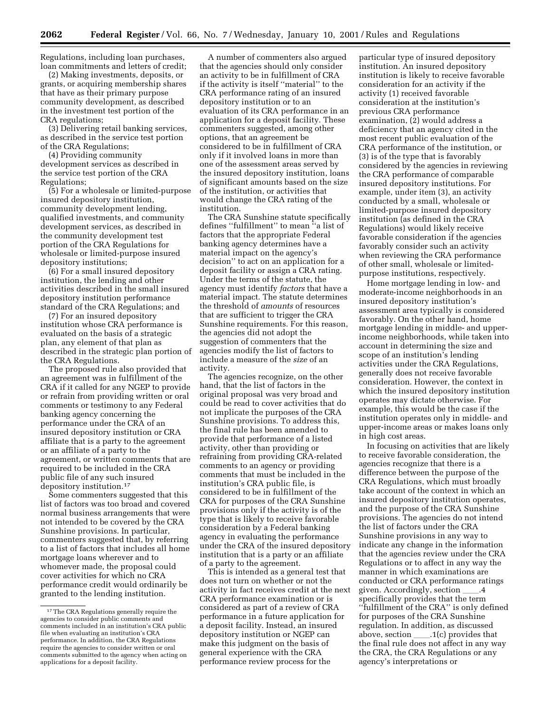Regulations, including loan purchases, loan commitments and letters of credit;

(2) Making investments, deposits, or grants, or acquiring membership shares that have as their primary purpose community development, as described in the investment test portion of the CRA regulations;

(3) Delivering retail banking services, as described in the service test portion of the CRA Regulations;

(4) Providing community development services as described in the service test portion of the CRA Regulations;

(5) For a wholesale or limited-purpose insured depository institution, community development lending, qualified investments, and community development services, as described in the community development test portion of the CRA Regulations for wholesale or limited-purpose insured depository institutions;

(6) For a small insured depository institution, the lending and other activities described in the small insured depository institution performance standard of the CRA Regulations; and

(7) For an insured depository institution whose CRA performance is evaluated on the basis of a strategic plan, any element of that plan as described in the strategic plan portion of the CRA Regulations.

The proposed rule also provided that an agreement was in fulfillment of the CRA if it called for any NGEP to provide or refrain from providing written or oral comments or testimony to any Federal banking agency concerning the performance under the CRA of an insured depository institution or CRA affiliate that is a party to the agreement or an affiliate of a party to the agreement, or written comments that are required to be included in the CRA public file of any such insured depository institution.17

Some commenters suggested that this list of factors was too broad and covered normal business arrangements that were not intended to be covered by the CRA Sunshine provisions. In particular, commenters suggested that, by referring to a list of factors that includes all home mortgage loans wherever and to whomever made, the proposal could cover activities for which no CRA performance credit would ordinarily be granted to the lending institution.

A number of commenters also argued that the agencies should only consider an activity to be in fulfillment of CRA if the activity is itself ''material'' to the CRA performance rating of an insured depository institution or to an evaluation of its CRA performance in an application for a deposit facility. These commenters suggested, among other options, that an agreement be considered to be in fulfillment of CRA only if it involved loans in more than one of the assessment areas served by the insured depository institution, loans of significant amounts based on the size of the institution, or activities that would change the CRA rating of the institution.

The CRA Sunshine statute specifically defines ''fulfillment'' to mean ''a list of factors that the appropriate Federal banking agency determines have a material impact on the agency's decision'' to act on an application for a deposit facility or assign a CRA rating. Under the terms of the statute, the agency must identify *factors* that have a material impact. The statute determines the threshold of *amounts* of resources that are sufficient to trigger the CRA Sunshine requirements. For this reason, the agencies did not adopt the suggestion of commenters that the agencies modify the list of factors to include a measure of the *size* of an activity.

The agencies recognize, on the other hand, that the list of factors in the original proposal was very broad and could be read to cover activities that do not implicate the purposes of the CRA Sunshine provisions. To address this, the final rule has been amended to provide that performance of a listed activity, other than providing or refraining from providing CRA-related comments to an agency or providing comments that must be included in the institution's CRA public file, is considered to be in fulfillment of the CRA for purposes of the CRA Sunshine provisions only if the activity is of the type that is likely to receive favorable consideration by a Federal banking agency in evaluating the performance under the CRA of the insured depository institution that is a party or an affiliate of a party to the agreement.

This is intended as a general test that does not turn on whether or not the activity in fact receives credit at the next CRA performance examination or is considered as part of a review of CRA performance in a future application for a deposit facility. Instead, an insured depository institution or NGEP can make this judgment on the basis of general experience with the CRA performance review process for the

particular type of insured depository institution. An insured depository institution is likely to receive favorable consideration for an activity if the activity (1) received favorable consideration at the institution's previous CRA performance examination, (2) would address a deficiency that an agency cited in the most recent public evaluation of the CRA performance of the institution, or (3) is of the type that is favorably considered by the agencies in reviewing the CRA performance of comparable insured depository institutions. For example, under item (3), an activity conducted by a small, wholesale or limited-purpose insured depository institution (as defined in the CRA Regulations) would likely receive favorable consideration if the agencies favorably consider such an activity when reviewing the CRA performance of other small, wholesale or limitedpurpose institutions, respectively.

Home mortgage lending in low- and moderate-income neighborhoods in an insured depository institution's assessment area typically is considered favorably. On the other hand, home mortgage lending in middle- and upperincome neighborhoods, while taken into account in determining the size and scope of an institution's lending activities under the CRA Regulations, generally does not receive favorable consideration. However, the context in which the insured depository institution operates may dictate otherwise. For example, this would be the case if the institution operates only in middle- and upper-income areas or makes loans only in high cost areas.

In focusing on activities that are likely to receive favorable consideration, the agencies recognize that there is a difference between the purpose of the CRA Regulations, which must broadly take account of the context in which an insured depository institution operates, and the purpose of the CRA Sunshine provisions. The agencies do not intend the list of factors under the CRA Sunshine provisions in any way to indicate any change in the information that the agencies review under the CRA Regulations or to affect in any way the manner in which examinations are conducted or CRA performance ratings given. Accordingly, section \_\_\_\_.4 specifically provides that the term ''fulfillment of the CRA'' is only defined for purposes of the CRA Sunshine regulation. In addition, as discussed above, section  $\_\_1(c)$  provides that the final rule does not affect in any way the CRA, the CRA Regulations or any agency's interpretations or

<sup>&</sup>lt;sup>17</sup>The CRA Regulations generally require the agencies to consider public comments and comments included in an institution's CRA public file when evaluating an institution's CRA performance. In addition, the CRA Regulations require the agencies to consider written or oral comments submitted to the agency when acting on applications for a deposit facility.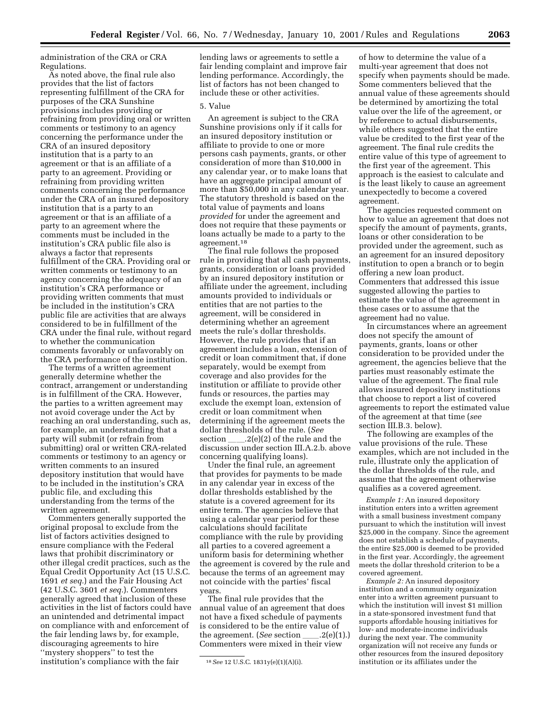administration of the CRA or CRA Regulations.

As noted above, the final rule also provides that the list of factors representing fulfillment of the CRA for purposes of the CRA Sunshine provisions includes providing or refraining from providing oral or written comments or testimony to an agency concerning the performance under the CRA of an insured depository institution that is a party to an agreement or that is an affiliate of a party to an agreement. Providing or refraining from providing written comments concerning the performance under the CRA of an insured depository institution that is a party to an agreement or that is an affiliate of a party to an agreement where the comments must be included in the institution's CRA public file also is always a factor that represents fulfillment of the CRA. Providing oral or written comments or testimony to an agency concerning the adequacy of an institution's CRA performance or providing written comments that must be included in the institution's CRA public file are activities that are always considered to be in fulfillment of the CRA under the final rule, without regard to whether the communication comments favorably or unfavorably on the CRA performance of the institution.

The terms of a written agreement generally determine whether the contract, arrangement or understanding is in fulfillment of the CRA. However, the parties to a written agreement may not avoid coverage under the Act by reaching an oral understanding, such as, for example, an understanding that a party will submit (or refrain from submitting) oral or written CRA-related comments or testimony to an agency or written comments to an insured depository institution that would have to be included in the institution's CRA public file, and excluding this understanding from the terms of the written agreement.

Commenters generally supported the original proposal to exclude from the list of factors activities designed to ensure compliance with the Federal laws that prohibit discriminatory or other illegal credit practices, such as the Equal Credit Opportunity Act (15 U.S.C. 1691 *et seq.*) and the Fair Housing Act (42 U.S.C. 3601 *et seq.*). Commenters generally agreed that inclusion of these activities in the list of factors could have an unintended and detrimental impact on compliance with and enforcement of the fair lending laws by, for example, discouraging agreements to hire ''mystery shoppers'' to test the institution's compliance with the fair

lending laws or agreements to settle a fair lending complaint and improve fair lending performance. Accordingly, the list of factors has not been changed to include these or other activities.

#### 5. Value

An agreement is subject to the CRA Sunshine provisions only if it calls for an insured depository institution or affiliate to provide to one or more persons cash payments, grants, or other consideration of more than \$10,000 in any calendar year, or to make loans that have an aggregate principal amount of more than \$50,000 in any calendar year. The statutory threshold is based on the total value of payments and loans *provided* for under the agreement and does not require that these payments or loans actually be made to a party to the agreement.18

The final rule follows the proposed rule in providing that all cash payments, grants, consideration or loans provided by an insured depository institution or affiliate under the agreement, including amounts provided to individuals or entities that are not parties to the agreement, will be considered in determining whether an agreement meets the rule's dollar thresholds. However, the rule provides that if an agreement includes a loan, extension of credit or loan commitment that, if done separately, would be exempt from coverage and also provides for the institution or affiliate to provide other funds or resources, the parties may exclude the exempt loan, extension of credit or loan commitment when determining if the agreement meets the dollar thresholds of the rule. (*See* section  $\qquad \qquad .2(e)(2)$  of the rule and the discussion under section III.A.2.b. above concerning qualifying loans).

Under the final rule, an agreement that provides for payments to be made in any calendar year in excess of the dollar thresholds established by the statute is a covered agreement for its entire term. The agencies believe that using a calendar year period for these calculations should facilitate compliance with the rule by providing all parties to a covered agreement a uniform basis for determining whether the agreement is covered by the rule and because the terms of an agreement may not coincide with the parties' fiscal years.

The final rule provides that the annual value of an agreement that does not have a fixed schedule of payments is considered to be the entire value of the agreement. (*See* section  $\qquad$ .2(e)(1).) Commenters were mixed in their view

of how to determine the value of a multi-year agreement that does not specify when payments should be made. Some commenters believed that the annual value of these agreements should be determined by amortizing the total value over the life of the agreement, or by reference to actual disbursements, while others suggested that the entire value be credited to the first year of the agreement. The final rule credits the entire value of this type of agreement to the first year of the agreement. This approach is the easiest to calculate and is the least likely to cause an agreement unexpectedly to become a covered agreement.

The agencies requested comment on how to value an agreement that does not specify the amount of payments, grants, loans or other consideration to be provided under the agreement, such as an agreement for an insured depository institution to open a branch or to begin offering a new loan product. Commenters that addressed this issue suggested allowing the parties to estimate the value of the agreement in these cases or to assume that the agreement had no value.

In circumstances where an agreement does not specify the amount of payments, grants, loans or other consideration to be provided under the agreement, the agencies believe that the parties must reasonably estimate the value of the agreement. The final rule allows insured depository institutions that choose to report a list of covered agreements to report the estimated value of the agreement at that time (*see* section III.B.3. below).

The following are examples of the value provisions of the rule. These examples, which are not included in the rule, illustrate only the application of the dollar thresholds of the rule, and assume that the agreement otherwise qualifies as a covered agreement.

*Example 1:* An insured depository institution enters into a written agreement with a small business investment company pursuant to which the institution will invest \$25,000 in the company. Since the agreement does not establish a schedule of payments, the entire \$25,000 is deemed to be provided in the first year. Accordingly, the agreement meets the dollar threshold criterion to be a covered agreement.

*Example 2:* An insured depository institution and a community organization enter into a written agreement pursuant to which the institution will invest \$1 million in a state-sponsored investment fund that supports affordable housing initiatives for low- and moderate-income individuals during the next year. The community organization will not receive any funds or other resources from the insured depository institution or its affiliates under the

<sup>18</sup>*See* 12 U.S.C. 1831y(e)(1)(A)(i).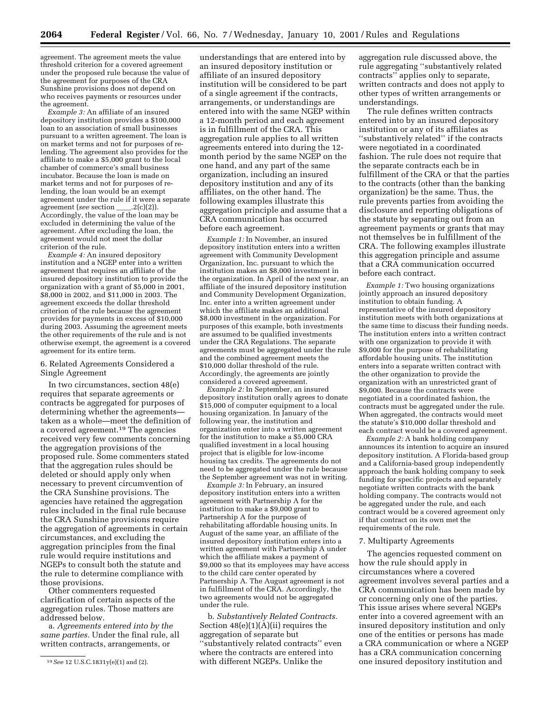agreement. The agreement meets the value threshold criterion for a covered agreement under the proposed rule because the value of the agreement for purposes of the CRA Sunshine provisions does not depend on who receives payments or resources under the agreement.

*Example 3:* An affiliate of an insured depository institution provides a \$100,000 loan to an association of small businesses pursuant to a written agreement. The loan is on market terms and not for purposes of relending. The agreement also provides for the affiliate to make a \$5,000 grant to the local chamber of commerce's small business incubator. Because the loan is made on market terms and not for purposes of relending, the loan would be an exempt agreement under the rule if it were a separate agreement (*see* section  $\qquad$ .2(c)(2)). Accordingly, the value of the loan may be excluded in determining the value of the agreement. After excluding the loan, the agreement would not meet the dollar criterion of the rule.

*Example 4:* An insured depository institution and a NGEP enter into a written agreement that requires an affiliate of the insured depository institution to provide the organization with a grant of \$5,000 in 2001, \$8,000 in 2002, and \$11,000 in 2003. The agreement exceeds the dollar threshold criterion of the rule because the agreement provides for payments in excess of \$10,000 during 2003. Assuming the agreement meets the other requirements of the rule and is not otherwise exempt, the agreement is a covered agreement for its entire term.

#### 6. Related Agreements Considered a Single Agreement

In two circumstances, section 48(e) requires that separate agreements or contracts be aggregated for purposes of determining whether the agreements taken as a whole—meet the definition of a covered agreement.19 The agencies received very few comments concerning the aggregation provisions of the proposed rule. Some commenters stated that the aggregation rules should be deleted or should apply only when necessary to prevent circumvention of the CRA Sunshine provisions. The agencies have retained the aggregation rules included in the final rule because the CRA Sunshine provisions require the aggregation of agreements in certain circumstances, and excluding the aggregation principles from the final rule would require institutions and NGEPs to consult both the statute and the rule to determine compliance with those provisions.

Other commenters requested clarification of certain aspects of the aggregation rules. Those matters are addressed below.

a. *Agreements entered into by the same parties.* Under the final rule, all written contracts, arrangements, or

understandings that are entered into by an insured depository institution or affiliate of an insured depository institution will be considered to be part of a single agreement if the contracts, arrangements, or understandings are entered into with the same NGEP within a 12-month period and each agreement is in fulfillment of the CRA. This aggregation rule applies to all written agreements entered into during the 12 month period by the same NGEP on the one hand, and any part of the same organization, including an insured depository institution and any of its affiliates, on the other hand. The following examples illustrate this aggregation principle and assume that a CRA communication has occurred before each agreement.

*Example 1:* In November, an insured depository institution enters into a written agreement with Community Development Organization, Inc. pursuant to which the institution makes an \$8,000 investment in the organization. In April of the next year, an affiliate of the insured depository institution and Community Development Organization, Inc. enter into a written agreement under which the affiliate makes an additional \$8,000 investment in the organization. For purposes of this example, both investments are assumed to be qualified investments under the CRA Regulations. The separate agreements must be aggregated under the rule and the combined agreement meets the \$10,000 dollar threshold of the rule. Accordingly, the agreements are jointly considered a covered agreement.

*Example 2:* In September, an insured depository institution orally agrees to donate \$15,000 of computer equipment to a local housing organization. In January of the following year, the institution and organization enter into a written agreement for the institution to make a \$5,000 CRA qualified investment in a local housing project that is eligible for low-income housing tax credits. The agreements do not need to be aggregated under the rule because the September agreement was not in writing.

*Example 3:* In February, an insured depository institution enters into a written agreement with Partnership A for the institution to make a \$9,000 grant to Partnership A for the purpose of rehabilitating affordable housing units. In August of the same year, an affiliate of the insured depository institution enters into a written agreement with Partnership A under which the affiliate makes a payment of \$9,000 so that its employees may have access to the child care center operated by Partnership A. The August agreement is not in fulfillment of the CRA. Accordingly, the two agreements would not be aggregated under the rule.

b. *Substantively Related Contracts.* Section  $48(e)(1)(A)(ii)$  requires the aggregation of separate but ''substantively related contracts'' even where the contracts are entered into with different NGEPs. Unlike the

aggregation rule discussed above, the rule aggregating ''substantively related contracts'' applies only to separate, written contracts and does not apply to other types of written arrangements or understandings.

The rule defines written contracts entered into by an insured depository institution or any of its affiliates as ''substantively related'' if the contracts were negotiated in a coordinated fashion. The rule does not require that the separate contracts each be in fulfillment of the CRA or that the parties to the contracts (other than the banking organization) be the same. Thus, the rule prevents parties from avoiding the disclosure and reporting obligations of the statute by separating out from an agreement payments or grants that may not themselves be in fulfillment of the CRA. The following examples illustrate this aggregation principle and assume that a CRA communication occurred before each contract.

*Example 1:* Two housing organizations jointly approach an insured depository institution to obtain funding. A representative of the insured depository institution meets with both organizations at the same time to discuss their funding needs. The institution enters into a written contract with one organization to provide it with \$9,000 for the purpose of rehabilitating affordable housing units. The institution enters into a separate written contract with the other organization to provide the organization with an unrestricted grant of \$9,000. Because the contracts were negotiated in a coordinated fashion, the contracts must be aggregated under the rule. When aggregated, the contracts would meet the statute's \$10,000 dollar threshold and each contract would be a covered agreement.

*Example 2:* A bank holding company announces its intention to acquire an insured depository institution. A Florida-based group and a California-based group independently approach the bank holding company to seek funding for specific projects and separately negotiate written contracts with the bank holding company. The contracts would not be aggregated under the rule, and each contract would be a covered agreement only if that contract on its own met the requirements of the rule.

#### 7. Multiparty Agreements

The agencies requested comment on how the rule should apply in circumstances where a covered agreement involves several parties and a CRA communication has been made by or concerning only one of the parties. This issue arises where several NGEPs enter into a covered agreement with an insured depository institution and only one of the entities or persons has made a CRA communication or where a NGEP has a CRA communication concerning one insured depository institution and

<sup>19</sup>*See* 12 U.S.C.1831y(e)(1) and (2).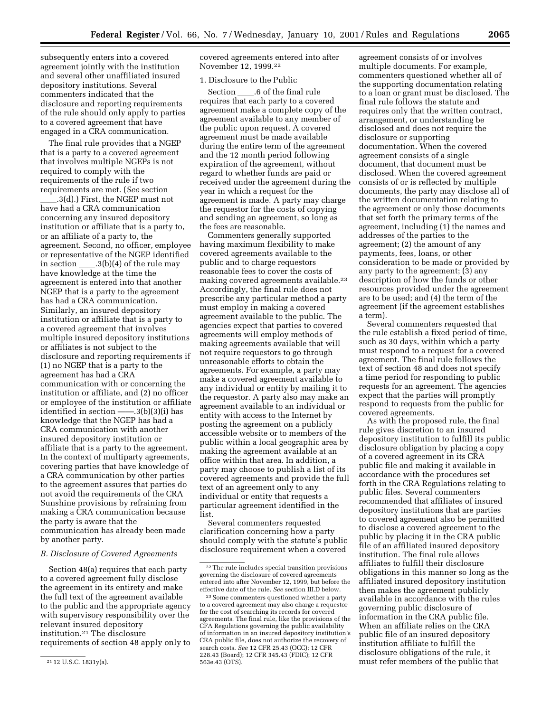subsequently enters into a covered agreement jointly with the institution and several other unaffiliated insured depository institutions. Several commenters indicated that the disclosure and reporting requirements of the rule should only apply to parties to a covered agreement that have engaged in a CRA communication.

The final rule provides that a NGEP that is a party to a covered agreement that involves multiple NGEPs is not required to comply with the requirements of the rule if two requirements are met. (*See* section

 $.3(d)$ .) First, the NGEP must not have had a CRA communication concerning any insured depository institution or affiliate that is a party to, or an affiliate of a party to, the agreement. Second, no officer, employee or representative of the NGEP identified in section  $\qquad$  .3(b)(4) of the rule may have knowledge at the time the agreement is entered into that another NGEP that is a party to the agreement has had a CRA communication. Similarly, an insured depository institution or affiliate that is a party to a covered agreement that involves multiple insured depository institutions or affiliates is not subject to the disclosure and reporting requirements if (1) no NGEP that is a party to the agreement has had a CRA communication with or concerning the institution or affiliate, and (2) no officer or employee of the institution or affiliate identified in section ——.3(b)(3)(i) has knowledge that the NGEP has had a CRA communication with another insured depository institution or affiliate that is a party to the agreement. In the context of multiparty agreements, covering parties that have knowledge of a CRA communication by other parties to the agreement assures that parties do not avoid the requirements of the CRA Sunshine provisions by refraining from making a CRA communication because the party is aware that the communication has already been made by another party.

#### *B. Disclosure of Covered Agreements*

Section 48(a) requires that each party to a covered agreement fully disclose the agreement in its entirety and make the full text of the agreement available to the public and the appropriate agency with supervisory responsibility over the relevant insured depository institution.21 The disclosure requirements of section 48 apply only to

covered agreements entered into after November 12, 1999.22

#### 1. Disclosure to the Public

Section \_\_\_\_\_.6 of the final rule requires that each party to a covered agreement make a complete copy of the agreement available to any member of the public upon request. A covered agreement must be made available during the entire term of the agreement and the 12 month period following expiration of the agreement, without regard to whether funds are paid or received under the agreement during the year in which a request for the agreement is made. A party may charge the requestor for the costs of copying and sending an agreement, so long as the fees are reasonable.

Commenters generally supported having maximum flexibility to make covered agreements available to the public and to charge requestors reasonable fees to cover the costs of making covered agreements available.23 Accordingly, the final rule does not prescribe any particular method a party must employ in making a covered agreement available to the public. The agencies expect that parties to covered agreements will employ methods of making agreements available that will not require requestors to go through unreasonable efforts to obtain the agreements. For example, a party may make a covered agreement available to any individual or entity by mailing it to the requestor. A party also may make an agreement available to an individual or entity with access to the Internet by posting the agreement on a publicly accessible website or to members of the public within a local geographic area by making the agreement available at an office within that area. In addition, a party may choose to publish a list of its covered agreements and provide the full text of an agreement only to any individual or entity that requests a particular agreement identified in the list.

Several commenters requested clarification concerning how a party should comply with the statute's public disclosure requirement when a covered

agreement consists of or involves multiple documents. For example, commenters questioned whether all of the supporting documentation relating to a loan or grant must be disclosed. The final rule follows the statute and requires only that the written contract, arrangement, or understanding be disclosed and does not require the disclosure or supporting documentation. When the covered agreement consists of a single document, that document must be disclosed. When the covered agreement consists of or is reflected by multiple documents, the party may disclose all of the written documentation relating to the agreement or only those documents that set forth the primary terms of the agreement, including (1) the names and addresses of the parties to the agreement; (2) the amount of any payments, fees, loans, or other consideration to be made or provided by any party to the agreement; (3) any description of how the funds or other resources provided under the agreement are to be used; and (4) the term of the agreement (if the agreement establishes a term).

Several commenters requested that the rule establish a fixed period of time, such as 30 days, within which a party must respond to a request for a covered agreement. The final rule follows the text of section 48 and does not specify a time period for responding to public requests for an agreement. The agencies expect that the parties will promptly respond to requests from the public for covered agreements.

As with the proposed rule, the final rule gives discretion to an insured depository institution to fulfill its public disclosure obligation by placing a copy of a covered agreement in its CRA public file and making it available in accordance with the procedures set forth in the CRA Regulations relating to public files. Several commenters recommended that affiliates of insured depository institutions that are parties to covered agreement also be permitted to disclose a covered agreement to the public by placing it in the CRA public file of an affiliated insured depository institution. The final rule allows affiliates to fulfill their disclosure obligations in this manner so long as the affiliated insured depository institution then makes the agreement publicly available in accordance with the rules governing public disclosure of information in the CRA public file. When an affiliate relies on the CRA public file of an insured depository institution affiliate to fulfill the disclosure obligations of the rule, it must refer members of the public that

<sup>21</sup> 12 U.S.C. 1831y(a).

<sup>22</sup>The rule includes special transition provisions governing the disclosure of covered agreements entered into after November 12, 1999, but before the effective date of the rule. *See* section III.D below.

<sup>23</sup>Some commenters questioned whether a party to a covered agreement may also charge a requestor for the cost of searching its records for covered agreements. The final rule, like the provisions of the CFA Regulations governing the public availability of information in an insured depository institution's CRA public file, does not authorize the recovery of search costs. *See* 12 CFR 25.43 (OCC); 12 CFR 228.43 (Board); 12 CFR 345.43 (FDIC); 12 CFR 563e.43 (OTS).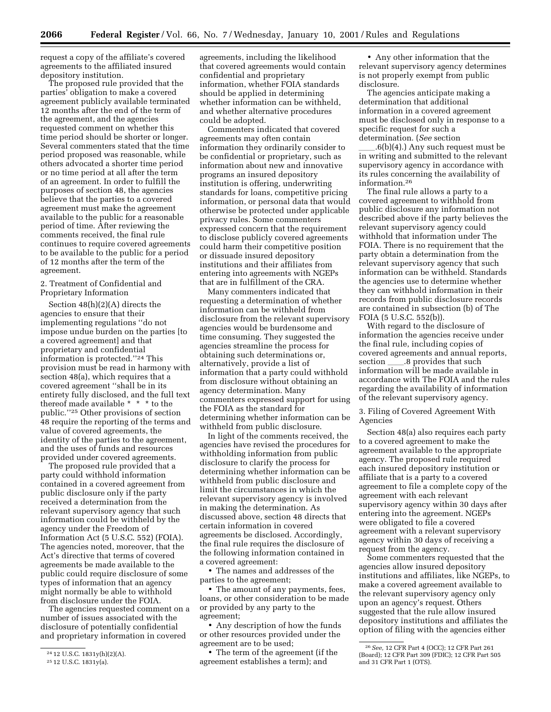request a copy of the affiliate's covered agreements to the affiliated insured depository institution.

The proposed rule provided that the parties' obligation to make a covered agreement publicly available terminated 12 months after the end of the term of the agreement, and the agencies requested comment on whether this time period should be shorter or longer. Several commenters stated that the time period proposed was reasonable, while others advocated a shorter time period or no time period at all after the term of an agreement. In order to fulfill the purposes of section 48, the agencies believe that the parties to a covered agreement must make the agreement available to the public for a reasonable period of time. After reviewing the comments received, the final rule continues to require covered agreements to be available to the public for a period of 12 months after the term of the agreement.

2. Treatment of Confidential and Proprietary Information

Section 48(h)(2)(A) directs the agencies to ensure that their implementing regulations ''do not impose undue burden on the parties [to a covered agreement] and that proprietary and confidential information is protected.''24 This provision must be read in harmony with section 48(a), which requires that a covered agreement ''shall be in its entirety fully disclosed, and the full text thereof made available \* \* \* to the public.''25 Other provisions of section 48 require the reporting of the terms and value of covered agreements, the identity of the parties to the agreement, and the uses of funds and resources provided under covered agreements.

The proposed rule provided that a party could withhold information contained in a covered agreement from public disclosure only if the party received a determination from the relevant supervisory agency that such information could be withheld by the agency under the Freedom of Information Act (5 U.S.C. 552) (FOIA). The agencies noted, moreover, that the Act's directive that terms of covered agreements be made available to the public could require disclosure of some types of information that an agency might normally be able to withhold from disclosure under the FOIA.

The agencies requested comment on a number of issues associated with the disclosure of potentially confidential and proprietary information in covered

agreements, including the likelihood that covered agreements would contain confidential and proprietary information, whether FOIA standards should be applied in determining whether information can be withheld, and whether alternative procedures could be adopted.

Commenters indicated that covered agreements may often contain information they ordinarily consider to be confidential or proprietary, such as information about new and innovative programs an insured depository institution is offering, underwriting standards for loans, competitive pricing information, or personal data that would otherwise be protected under applicable privacy rules. Some commenters expressed concern that the requirement to disclose publicly covered agreements could harm their competitive position or dissuade insured depository institutions and their affiliates from entering into agreements with NGEPs that are in fulfillment of the CRA.

Many commenters indicated that requesting a determination of whether information can be withheld from disclosure from the relevant supervisory agencies would be burdensome and time consuming. They suggested the agencies streamline the process for obtaining such determinations or, alternatively, provide a list of information that a party could withhold from disclosure without obtaining an agency determination. Many commenters expressed support for using the FOIA as the standard for determining whether information can be withheld from public disclosure.

In light of the comments received, the agencies have revised the procedures for withholding information from public disclosure to clarify the process for determining whether information can be withheld from public disclosure and limit the circumstances in which the relevant supervisory agency is involved in making the determination. As discussed above, section 48 directs that certain information in covered agreements be disclosed. Accordingly, the final rule requires the disclosure of the following information contained in a covered agreement:

• The names and addresses of the parties to the agreement;

• The amount of any payments, fees, loans, or other consideration to be made or provided by any party to the agreement;

• Any description of how the funds or other resources provided under the agreement are to be used;

• The term of the agreement (if the agreement establishes a term); and

• Any other information that the relevant supervisory agency determines is not properly exempt from public disclosure.

The agencies anticipate making a determination that additional information in a covered agreement must be disclosed only in response to a specific request for such a determination. (*See* section

 $\lceil 6(b)(4) \rceil$ . Any such request must be in writing and submitted to the relevant supervisory agency in accordance with its rules concerning the availability of information.26

The final rule allows a party to a covered agreement to withhold from public disclosure any information not described above if the party believes the relevant supervisory agency could withhold that information under The FOIA. There is no requirement that the party obtain a determination from the relevant supervisory agency that such information can be withheld. Standards the agencies use to determine whether they can withhold information in their records from public disclosure records are contained in subsection (b) of The FOIA (5 U.S.C. 552(b)).

With regard to the disclosure of information the agencies receive under the final rule, including copies of covered agreements and annual reports, section <u>3</u>.8 provides that such information will be made available in accordance with The FOIA and the rules regarding the availability of information of the relevant supervisory agency.

3. Filing of Covered Agreement With Agencies

Section 48(a) also requires each party to a covered agreement to make the agreement available to the appropriate agency. The proposed rule required each insured depository institution or affiliate that is a party to a covered agreement to file a complete copy of the agreement with each relevant supervisory agency within 30 days after entering into the agreement. NGEPs were obligated to file a covered agreement with a relevant supervisory agency within 30 days of receiving a request from the agency.

Some commenters requested that the agencies allow insured depository institutions and affiliates, like NGEPs, to make a covered agreement available to the relevant supervisory agency only upon an agency's request. Others suggested that the rule allow insured depository institutions and affiliates the option of filing with the agencies either

<sup>24</sup> 12 U.S.C. 1831y(h)(2)(A).

<sup>25</sup> 12 U.S.C. 1831y(a).

<sup>26</sup>*See,* 12 CFR Part 4 (OCC); 12 CFR Part 261 (Board); 12 CFR Part 309 (FDIC); 12 CFR Part 505 and 31 CFR Part 1 (OTS).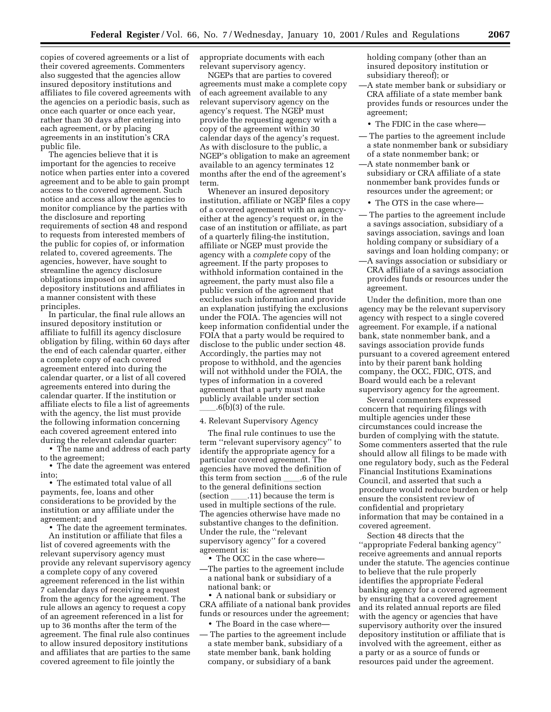copies of covered agreements or a list of their covered agreements. Commenters also suggested that the agencies allow insured depository institutions and affiliates to file covered agreements with the agencies on a periodic basis, such as once each quarter or once each year, rather than 30 days after entering into each agreement, or by placing agreements in an institution's CRA public file.

The agencies believe that it is important for the agencies to receive notice when parties enter into a covered agreement and to be able to gain prompt access to the covered agreement. Such notice and access allow the agencies to monitor compliance by the parties with the disclosure and reporting requirements of section 48 and respond to requests from interested members of the public for copies of, or information related to, covered agreements. The agencies, however, have sought to streamline the agency disclosure obligations imposed on insured depository institutions and affiliates in a manner consistent with these principles.

In particular, the final rule allows an insured depository institution or affiliate to fulfill its agency disclosure obligation by filing, within 60 days after the end of each calendar quarter, either a complete copy of each covered agreement entered into during the calendar quarter, or a list of all covered agreements entered into during the calendar quarter. If the institution or affiliate elects to file a list of agreements with the agency, the list must provide the following information concerning each covered agreement entered into during the relevant calendar quarter:

• The name and address of each party to the agreement;

• The date the agreement was entered into;

• The estimated total value of all payments, fee, loans and other considerations to be provided by the institution or any affiliate under the agreement; and

• The date the agreement terminates. An institution or affiliate that files a

list of covered agreements with the relevant supervisory agency must provide any relevant supervisory agency a complete copy of any covered agreement referenced in the list within 7 calendar days of receiving a request from the agency for the agreement. The rule allows an agency to request a copy of an agreement referenced in a list for up to 36 months after the term of the agreement. The final rule also continues to allow insured depository institutions and affiliates that are parties to the same covered agreement to file jointly the

appropriate documents with each relevant supervisory agency.

NGEPs that are parties to covered agreements must make a complete copy of each agreement available to any relevant supervisory agency on the agency's request. The NGEP must provide the requesting agency with a copy of the agreement within 30 calendar days of the agency's request. As with disclosure to the public, a NGEP's obligation to make an agreement available to an agency terminates 12 months after the end of the agreement's term.

Whenever an insured depository institution, affiliate or NGEP files a copy of a covered agreement with an agencyeither at the agency's request or, in the case of an institution or affiliate, as part of a quarterly filing-the institution, affiliate or NGEP must provide the agency with a *complete* copy of the agreement. If the party proposes to withhold information contained in the agreement, the party must also file a public version of the agreement that excludes such information and provide an explanation justifying the exclusions under the FOIA. The agencies will not keep information confidential under the FOIA that a party would be required to disclose to the public under section 48. Accordingly, the parties may not propose to withhold, and the agencies will not withhold under the FOIA, the types of information in a covered agreement that a party must make publicly available under section  $.6(b)(3)$  of the rule.

#### 4. Relevant Supervisory Agency

The final rule continues to use the term ''relevant supervisory agency'' to identify the appropriate agency for a particular covered agreement. The agencies have moved the definition of this term from section  $\_\_6$ .6 of the rule to the general definitions section  $\left( \text{section} \right)$  .11) because the term is used in multiple sections of the rule. The agencies otherwise have made no substantive changes to the definition. Under the rule, the ''relevant supervisory agency'' for a covered agreement is:

- The OCC in the case where—
- —The parties to the agreement include a national bank or subsidiary of a national bank; or

• A national bank or subsidiary or CRA affiliate of a national bank provides funds or resources under the agreement;

- The Board in the case where-
- The parties to the agreement include a state member bank, subsidiary of a state member bank, bank holding company, or subsidiary of a bank

holding company (other than an insured depository institution or subsidiary thereof); or

- —A state member bank or subsidiary or CRA affiliate of a state member bank provides funds or resources under the agreement;
- The FDIC in the case where—
- The parties to the agreement include a state nonmember bank or subsidiary of a state nonmember bank; or
- —A state nonmember bank or subsidiary or CRA affiliate of a state nonmember bank provides funds or resources under the agreement; or
	- The OTS in the case where—
- The parties to the agreement include a savings association, subsidiary of a savings association, savings and loan holding company or subsidiary of a savings and loan holding company; or
- —A savings association or subsidiary or CRA affiliate of a savings association provides funds or resources under the agreement.

Under the definition, more than one agency may be the relevant supervisory agency with respect to a single covered agreement. For example, if a national bank, state nonmember bank, and a savings association provide funds pursuant to a covered agreement entered into by their parent bank holding company, the OCC, FDIC, OTS, and Board would each be a relevant supervisory agency for the agreement.

Several commenters expressed concern that requiring filings with multiple agencies under these circumstances could increase the burden of complying with the statute. Some commenters asserted that the rule should allow all filings to be made with one regulatory body, such as the Federal Financial Institutions Examinations Council, and asserted that such a procedure would reduce burden or help ensure the consistent review of confidential and proprietary information that may be contained in a covered agreement.

Section 48 directs that the ''appropriate Federal banking agency'' receive agreements and annual reports under the statute. The agencies continue to believe that the rule properly identifies the appropriate Federal banking agency for a covered agreement by ensuring that a covered agreement and its related annual reports are filed with the agency or agencies that have supervisory authority over the insured depository institution or affiliate that is involved with the agreement, either as a party or as a source of funds or resources paid under the agreement.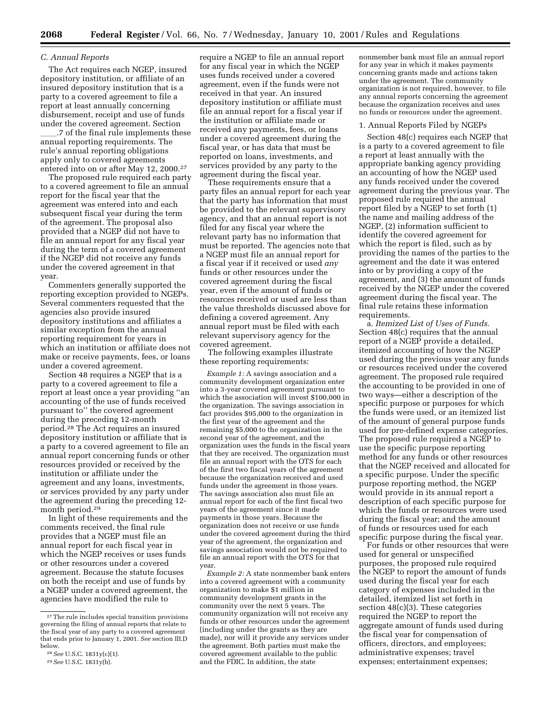#### *C. Annual Reports*

The Act requires each NGEP, insured depository institution, or affiliate of an insured depository institution that is a party to a covered agreement to file a report at least annually concerning disbursement, receipt and use of funds under the covered agreement. Section .7 of the final rule implements these annual reporting requirements. The rule's annual reporting obligations apply only to covered agreements entered into on or after May 12, 2000.27

The proposed rule required each party to a covered agreement to file an annual report for the fiscal year that the agreement was entered into and each subsequent fiscal year during the term of the agreement. The proposal also provided that a NGEP did not have to file an annual report for any fiscal year during the term of a covered agreement if the NGEP did not receive any funds under the covered agreement in that year.

Commenters generally supported the reporting exception provided to NGEPs. Several commenters requested that the agencies also provide insured depository institutions and affiliates a similar exception from the annual reporting requirement for years in which an institution or affiliate does not make or receive payments, fees, or loans under a covered agreement.

Section 48 requires a NGEP that is a party to a covered agreement to file a report at least once a year providing ''an accounting of the use of funds received pursuant to'' the covered agreement during the preceding 12-month period.28 The Act requires an insured depository institution or affiliate that is a party to a covered agreement to file an annual report concerning funds or other resources provided or received by the institution or affiliate under the agreement and any loans, investments, or services provided by any party under the agreement during the preceding 12 month period.29

In light of these requirements and the comments received, the final rule provides that a NGEP must file an annual report for each fiscal year in which the NGEP receives or uses funds or other resources under a covered agreement. Because the statute focuses on both the receipt and use of funds by a NGEP under a covered agreement, the agencies have modified the rule to

require a NGEP to file an annual report for any fiscal year in which the NGEP uses funds received under a covered agreement, even if the funds were not received in that year. An insured depository institution or affiliate must file an annual report for a fiscal year if the institution or affiliate made or received any payments, fees, or loans under a covered agreement during the fiscal year, or has data that must be reported on loans, investments, and services provided by any party to the agreement during the fiscal year.

These requirements ensure that a party files an annual report for each year that the party has information that must be provided to the relevant supervisory agency, and that an annual report is not filed for any fiscal year where the relevant party has no information that must be reported. The agencies note that a NGEP must file an annual report for a fiscal year if it received or used *any* funds or other resources under the covered agreement during the fiscal year, even if the amount of funds or resources received or used are less than the value thresholds discussed above for defining a covered agreement. Any annual report must be filed with each relevant supervisory agency for the covered agreement.

The following examples illustrate these reporting requirements:

*Example 1:* A savings association and a community development organization enter into a 3-year covered agreement pursuant to which the association will invest \$100,000 in the organization. The savings association in fact provides \$95,000 to the organization in the first year of the agreement and the remaining \$5,000 to the organization in the second year of the agreement, and the organization uses the funds in the fiscal years that they are received. The organization must file an annual report with the OTS for each of the first two fiscal years of the agreement because the organization received and used funds under the agreement in those years. The savings association also must file an annual report for each of the first fiscal two years of the agreement since it made payments in those years. Because the organization does not receive or use funds under the covered agreement during the third year of the agreement, the organization and savings association would not be required to file an annual report with the OTS for that year.

*Example 2:* A state nonmember bank enters into a covered agreement with a community organization to make \$1 million in community development grants in the community over the next 5 years. The community organization will not receive any funds or other resources under the agreement (including under the grants as they are made), nor will it provide any services under the agreement. Both parties must make the covered agreement available to the public and the FDIC. In addition, the state

nonmember bank must file an annual report for any year in which it makes payments concerning grants made and actions taken under the agreement. The community organization is not required, however, to file any annual reports concerning the agreement because the organization receives and uses no funds or resources under the agreement.

#### 1. Annual Reports Filed by NGEPs

Section 48(c) requires each NGEP that is a party to a covered agreement to file a report at least annually with the appropriate banking agency providing an accounting of how the NGEP used any funds received under the covered agreement during the previous year. The proposed rule required the annual report filed by a NGEP to set forth (1) the name and mailing address of the NGEP, (2) information sufficient to identify the covered agreement for which the report is filed, such as by providing the names of the parties to the agreement and the date it was entered into or by providing a copy of the agreement, and (3) the amount of funds received by the NGEP under the covered agreement during the fiscal year. The final rule retains these information requirements.

a. *Itemized List of Uses of Funds.* Section 48(c) requires that the annual report of a NGEP provide a detailed, itemized accounting of how the NGEP used during the previous year any funds or resources received under the covered agreement. The proposed rule required the accounting to be provided in one of two ways—either a description of the specific purpose or purposes for which the funds were used, or an itemized list of the amount of general purpose funds used for pre-defined expense categories. The proposed rule required a NGEP to use the specific purpose reporting method for any funds or other resources that the NGEP received and allocated for a specific purpose. Under the specific purpose reporting method, the NGEP would provide in its annual report a description of each specific purpose for which the funds or resources were used during the fiscal year; and the amount of funds or resources used for each specific purpose during the fiscal year.

For funds or other resources that were used for general or unspecified purposes, the proposed rule required the NGEP to report the amount of funds used during the fiscal year for each category of expenses included in the detailed, itemized list set forth in section 48(c)(3). These categories required the NGEP to report the aggregate amount of funds used during the fiscal year for compensation of officers, directors, and employees; administrative expenses; travel expenses; entertainment expenses;

<sup>27</sup>The rule includes special transition provisions governing the filing of annual reports that relate to the fiscal year of any party to a covered agreement that ends prior to January 1, 2001. *See* section III.D below.

<sup>28</sup>*See* U.S.C. 1831y(c)(1).

<sup>29</sup>*See* U.S.C. 1831y(b).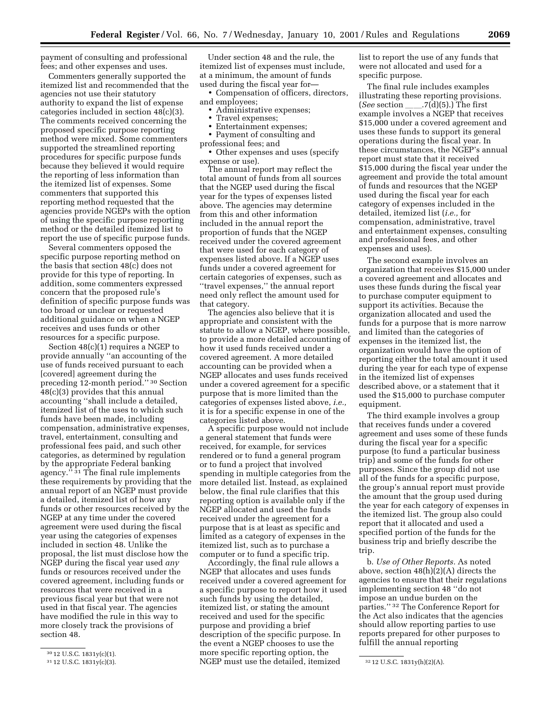payment of consulting and professional fees; and other expenses and uses.

Commenters generally supported the itemized list and recommended that the agencies not use their statutory authority to expand the list of expense categories included in section 48(c)(3). The comments received concerning the proposed specific purpose reporting method were mixed. Some commenters supported the streamlined reporting procedures for specific purpose funds because they believed it would require the reporting of less information than the itemized list of expenses. Some commenters that supported this reporting method requested that the agencies provide NGEPs with the option of using the specific purpose reporting method or the detailed itemized list to report the use of specific purpose funds.

Several commenters opposed the specific purpose reporting method on the basis that section 48(c) does not provide for this type of reporting. In addition, some commenters expressed concern that the proposed rule's definition of specific purpose funds was too broad or unclear or requested additional guidance on when a NGEP receives and uses funds or other resources for a specific purpose.

Section 48(c)(1) requires a NGEP to provide annually ''an accounting of the use of funds received pursuant to each [covered] agreement during the preceding 12-month period.'' 30 Section 48(c)(3) provides that this annual accounting ''shall include a detailed, itemized list of the uses to which such funds have been made, including compensation, administrative expenses, travel, entertainment, consulting and professional fees paid, and such other categories, as determined by regulation by the appropriate Federal banking agency.'' 31 The final rule implements these requirements by providing that the annual report of an NGEP must provide a detailed, itemized list of how any funds or other resources received by the NGEP at any time under the covered agreement were used during the fiscal year using the categories of expenses included in section 48. Unlike the proposal, the list must disclose how the NGEP during the fiscal year used *any* funds or resources received under the covered agreement, including funds or resources that were received in a previous fiscal year but that were not used in that fiscal year. The agencies have modified the rule in this way to more closely track the provisions of section 48.

Under section 48 and the rule, the itemized list of expenses must include, at a minimum, the amount of funds used during the fiscal year for—

• Compensation of officers, directors, and employees;

- Administrative expenses;
- Travel expenses;
- Entertainment expenses;
- Payment of consulting and professional fees; and

• Other expenses and uses (specify expense or use).

The annual report may reflect the total amount of funds from all sources that the NGEP used during the fiscal year for the types of expenses listed above. The agencies may determine from this and other information included in the annual report the proportion of funds that the NGEP received under the covered agreement that were used for each category of expenses listed above. If a NGEP uses funds under a covered agreement for certain categories of expenses, such as ''travel expenses,'' the annual report need only reflect the amount used for that category.

The agencies also believe that it is appropriate and consistent with the statute to allow a NGEP, where possible, to provide a more detailed accounting of how it used funds received under a covered agreement. A more detailed accounting can be provided when a NGEP allocates and uses funds received under a covered agreement for a specific purpose that is more limited than the categories of expenses listed above, *i.e.,* it is for a specific expense in one of the categories listed above.

A specific purpose would not include a general statement that funds were received, for example, for services rendered or to fund a general program or to fund a project that involved spending in multiple categories from the more detailed list. Instead, as explained below, the final rule clarifies that this reporting option is available only if the NGEP allocated and used the funds received under the agreement for a purpose that is at least as specific and limited as a category of expenses in the itemized list, such as to purchase a computer or to fund a specific trip.

<sup>31</sup> 12 U.S.C. 1831y(c)(3).  $NGEP$  must use the detailed, itemized <sup>32</sup> 12 U.S.C. 1831y(h)(2)(A). Accordingly, the final rule allows a NGEP that allocates and uses funds received under a covered agreement for a specific purpose to report how it used such funds by using the detailed, itemized list, or stating the amount received and used for the specific purpose and providing a brief description of the specific purpose. In the event a NGEP chooses to use the more specific reporting option, the

list to report the use of any funds that were not allocated and used for a specific purpose.

The final rule includes examples illustrating these reporting provisions. (*See* section  $\_\_7(\tilde{d})(5)$ .) The first example involves a NGEP that receives \$15,000 under a covered agreement and uses these funds to support its general operations during the fiscal year. In these circumstances, the NGEP's annual report must state that it received \$15,000 during the fiscal year under the agreement and provide the total amount of funds and resources that the NGEP used during the fiscal year for each category of expenses included in the detailed, itemized list (*i.e.,* for compensation, administrative, travel and entertainment expenses, consulting and professional fees, and other expenses and uses).

The second example involves an organization that receives \$15,000 under a covered agreement and allocates and uses these funds during the fiscal year to purchase computer equipment to support its activities. Because the organization allocated and used the funds for a purpose that is more narrow and limited than the categories of expenses in the itemized list, the organization would have the option of reporting either the total amount it used during the year for each type of expense in the itemized list of expenses described above, or a statement that it used the \$15,000 to purchase computer equipment.

The third example involves a group that receives funds under a covered agreement and uses some of these funds during the fiscal year for a specific purpose (to fund a particular business trip) and some of the funds for other purposes. Since the group did not use all of the funds for a specific purpose, the group's annual report must provide the amount that the group used during the year for each category of expenses in the itemized list. The group also could report that it allocated and used a specified portion of the funds for the business trip and briefly describe the trip.

b. *Use of Other Reports.* As noted above, section 48(h)(2)(A) directs the agencies to ensure that their regulations implementing section 48 ''do not impose an undue burden on the parties.'' 32 The Conference Report for the Act also indicates that the agencies should allow reporting parties to use reports prepared for other purposes to fulfill the annual reporting

<sup>30</sup> 12 U.S.C. 1831y(c)(1).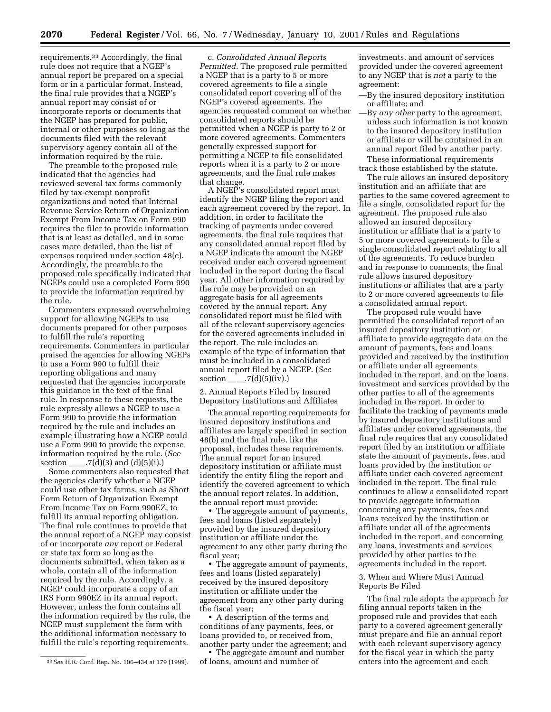requirements.33 Accordingly, the final rule does not require that a NGEP's annual report be prepared on a special form or in a particular format. Instead, the final rule provides that a NGEP's annual report may consist of or incorporate reports or documents that the NGEP has prepared for public, internal or other purposes so long as the documents filed with the relevant supervisory agency contain all of the information required by the rule.

The preamble to the proposed rule indicated that the agencies had reviewed several tax forms commonly filed by tax-exempt nonprofit organizations and noted that Internal Revenue Service Return of Organization Exempt From Income Tax on Form 990 requires the filer to provide information that is at least as detailed, and in some cases more detailed, than the list of expenses required under section 48(c). Accordingly, the preamble to the proposed rule specifically indicated that NGEPs could use a completed Form 990 to provide the information required by the rule.

Commenters expressed overwhelming support for allowing NGEPs to use documents prepared for other purposes to fulfill the rule's reporting requirements. Commenters in particular praised the agencies for allowing NGEPs to use a Form 990 to fulfill their reporting obligations and many requested that the agencies incorporate this guidance in the text of the final rule. In response to these requests, the rule expressly allows a NGEP to use a Form 990 to provide the information required by the rule and includes an example illustrating how a NGEP could use a Form 990 to provide the expense information required by the rule. (*See* section  $.7(d)(3)$  and  $(d)(5)(i).$ 

Some commenters also requested that the agencies clarify whether a NGEP could use other tax forms, such as Short Form Return of Organization Exempt From Income Tax on Form 990EZ, to fulfill its annual reporting obligation. The final rule continues to provide that the annual report of a NGEP may consist of or incorporate *any* report or Federal or state tax form so long as the documents submitted, when taken as a whole, contain all of the information required by the rule. Accordingly, a NGEP could incorporate a copy of an IRS Form 990EZ in its annual report. However, unless the form contains all the information required by the rule, the NGEP must supplement the form with the additional information necessary to fulfill the rule's reporting requirements.

c. *Consolidated Annual Reports Permitted.* The proposed rule permitted a NGEP that is a party to 5 or more covered agreements to file a single consolidated report covering all of the NGEP's covered agreements. The agencies requested comment on whether consolidated reports should be permitted when a NGEP is party to 2 or more covered agreements. Commenters generally expressed support for permitting a NGEP to file consolidated reports when it is a party to 2 or more agreements, and the final rule makes that change.

A NGEP's consolidated report must identify the NGEP filing the report and each agreement covered by the report. In addition, in order to facilitate the tracking of payments under covered agreements, the final rule requires that any consolidated annual report filed by a NGEP indicate the amount the NGEP received under each covered agreement included in the report during the fiscal year. All other information required by the rule may be provided on an aggregate basis for all agreements covered by the annual report. Any consolidated report must be filed with all of the relevant supervisory agencies for the covered agreements included in the report. The rule includes an example of the type of information that must be included in a consolidated annual report filed by a NGEP. (*See* section  $\_\_\_\_7(d)(5)(iv).$ 

2. Annual Reports Filed by Insured Depository Institutions and Affiliates

The annual reporting requirements for insured depository institutions and affiliates are largely specified in section 48(b) and the final rule, like the proposal, includes these requirements. The annual report for an insured depository institution or affiliate must identify the entity filing the report and identify the covered agreement to which the annual report relates. In addition, the annual report must provide:

• The aggregate amount of payments, fees and loans (listed separately) provided by the insured depository institution or affiliate under the agreement to any other party during the fiscal year;

• The aggregate amount of payments, fees and loans (listed separately) received by the insured depository institution or affiliate under the agreement from any other party during the fiscal year;

• A description of the terms and conditions of any payments, fees, or loans provided to, or received from, another party under the agreement; and

• The aggregate amount and number of loans, amount and number of

investments, and amount of services provided under the covered agreement to any NGEP that is *not* a party to the agreement:

- —By the insured depository institution or affiliate; and
- —By *any other* party to the agreement, unless such information is not known to the insured depository institution or affiliate or will be contained in an annual report filed by another party. These informational requirements
- track those established by the statute.

The rule allows an insured depository institution and an affiliate that are parties to the same covered agreement to file a single, consolidated report for the agreement. The proposed rule also allowed an insured depository institution or affiliate that is a party to 5 or more covered agreements to file a single consolidated report relating to all of the agreements. To reduce burden and in response to comments, the final rule allows insured depository institutions or affiliates that are a party to 2 or more covered agreements to file a consolidated annual report.

The proposed rule would have permitted the consolidated report of an insured depository institution or affiliate to provide aggregate data on the amount of payments, fees and loans provided and received by the institution or affiliate under all agreements included in the report, and on the loans, investment and services provided by the other parties to all of the agreements included in the report. In order to facilitate the tracking of payments made by insured depository institutions and affiliates under covered agreements, the final rule requires that any consolidated report filed by an institution or affiliate state the amount of payments, fees, and loans provided by the institution or affiliate under each covered agreement included in the report. The final rule continues to allow a consolidated report to provide aggregate information concerning any payments, fees and loans received by the institution or affiliate under all of the agreements included in the report, and concerning any loans, investments and services provided by other parties to the agreements included in the report.

## 3. When and Where Must Annual Reports Be Filed

The final rule adopts the approach for filing annual reports taken in the proposed rule and provides that each party to a covered agreement generally must prepare and file an annual report with each relevant supervisory agency for the fiscal year in which the party enters into the agreement and each

<sup>33</sup>*See* H.R. Conf. Rep. No. 106–434 at 179 (1999).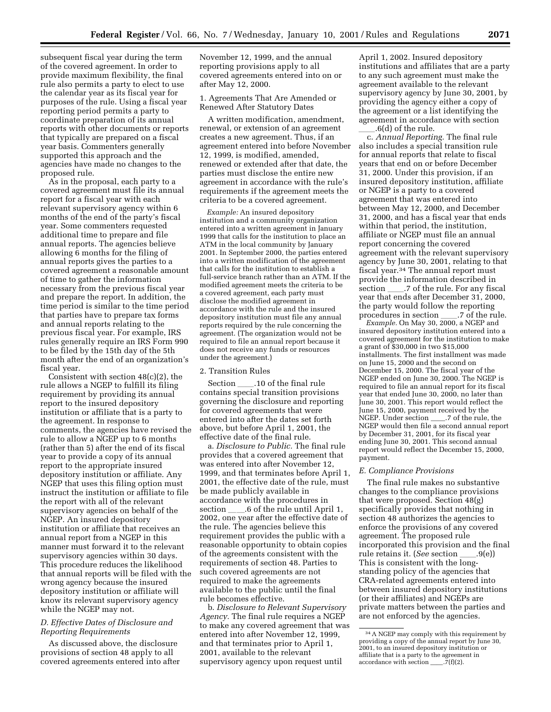subsequent fiscal year during the term of the covered agreement. In order to provide maximum flexibility, the final rule also permits a party to elect to use the calendar year as its fiscal year for purposes of the rule. Using a fiscal year reporting period permits a party to coordinate preparation of its annual reports with other documents or reports that typically are prepared on a fiscal year basis. Commenters generally supported this approach and the agencies have made no changes to the proposed rule.

As in the proposal, each party to a covered agreement must file its annual report for a fiscal year with each relevant supervisory agency within 6 months of the end of the party's fiscal year. Some commenters requested additional time to prepare and file annual reports. The agencies believe allowing 6 months for the filing of annual reports gives the parties to a covered agreement a reasonable amount of time to gather the information necessary from the previous fiscal year and prepare the report. In addition, the time period is similar to the time period that parties have to prepare tax forms and annual reports relating to the previous fiscal year. For example, IRS rules generally require an IRS Form 990 to be filed by the 15th day of the 5th month after the end of an organization's fiscal year.

Consistent with section  $48(c)(2)$ , the rule allows a NGEP to fulfill its filing requirement by providing its annual report to the insured depository institution or affiliate that is a party to the agreement. In response to comments, the agencies have revised the rule to allow a NGEP up to 6 months (rather than 5) after the end of its fiscal year to provide a copy of its annual report to the appropriate insured depository institution or affiliate. Any NGEP that uses this filing option must instruct the institution or affiliate to file the report with all of the relevant supervisory agencies on behalf of the NGEP. An insured depository institution or affiliate that receives an annual report from a NGEP in this manner must forward it to the relevant supervisory agencies within 30 days. This procedure reduces the likelihood that annual reports will be filed with the wrong agency because the insured depository institution or affiliate will know its relevant supervisory agency while the NGEP may not.

## *D. Effective Dates of Disclosure and Reporting Requirements*

As discussed above, the disclosure provisions of section 48 apply to all covered agreements entered into after

November 12, 1999, and the annual reporting provisions apply to all covered agreements entered into on or after May 12, 2000.

1. Agreements That Are Amended or Renewed After Statutory Dates

A written modification, amendment, renewal, or extension of an agreement creates a new agreement. Thus, if an agreement entered into before November 12, 1999, is modified, amended, renewed or extended after that date, the parties must disclose the entire new agreement in accordance with the rule's requirements if the agreement meets the criteria to be a covered agreement.

*Example:* An insured depository institution and a community organization entered into a written agreement in January 1999 that calls for the institution to place an ATM in the local community by January 2001. In September 2000, the parties entered into a written modification of the agreement that calls for the institution to establish a full-service branch rather than an ATM. If the modified agreement meets the criteria to be a covered agreement, each party must disclose the modified agreement in accordance with the rule and the insured depository institution must file any annual reports required by the rule concerning the agreement. (The organization would not be required to file an annual report because it does not receive any funds or resources under the agreement.)

#### 2. Transition Rules

Section \_\_\_\_\_.10 of the final rule contains special transition provisions governing the disclosure and reporting for covered agreements that were entered into after the dates set forth above, but before April 1, 2001, the effective date of the final rule.

a. *Disclosure to Public.* The final rule provides that a covered agreement that was entered into after November 12, 1999, and that terminates before April 1, 2001, the effective date of the rule, must be made publicly available in accordance with the procedures in section  $\_\_\$ 6 of the rule until April 1, 2002, one year after the effective date of the rule. The agencies believe this requirement provides the public with a reasonable opportunity to obtain copies of the agreements consistent with the requirements of section 48. Parties to such covered agreements are not required to make the agreements available to the public until the final rule becomes effective.

b. *Disclosure to Relevant Supervisory Agency.* The final rule requires a NGEP to make any covered agreement that was entered into after November 12, 1999, and that terminates prior to April 1, 2001, available to the relevant supervisory agency upon request until

April 1, 2002. Insured depository institutions and affiliates that are a party to any such agreement must make the agreement available to the relevant supervisory agency by June 30, 2001, by providing the agency either a copy of the agreement or a list identifying the agreement in accordance with section  $.6(d)$  of the rule.

c. *Annual Reporting.* The final rule also includes a special transition rule for annual reports that relate to fiscal years that end on or before December 31, 2000. Under this provision, if an insured depository institution, affiliate or NGEP is a party to a covered agreement that was entered into between May 12, 2000, and December 31, 2000, and has a fiscal year that ends within that period, the institution, affiliate or NGEP must file an annual report concerning the covered agreement with the relevant supervisory agency by June 30, 2001, relating to that fiscal year.34 The annual report must provide the information described in section \_\_\_\_\_.7 of the rule. For any fiscal year that ends after December 31, 2000, the party would follow the reporting procedures in section \_\_\_\_\_.7 of the rule.

*Example.* On May 30, 2000, a NGEP and insured depository institution entered into a covered agreement for the institution to make a grant of \$30,000 in two \$15,000 installments. The first installment was made on June 15, 2000 and the second on December 15, 2000. The fiscal year of the NGEP ended on June 30, 2000. The NGEP is required to file an annual report for its fiscal year that ended June 30, 2000, no later than June 30, 2001. This report would reflect the June 15, 2000, payment received by the NGEP. Under section \_\_\_\_.7 of the rule, the NGEP would then file a second annual report by December 31, 2001, for its fiscal year ending June 30, 2001. This second annual report would reflect the December 15, 2000, payment.

## *E. Compliance Provisions*

The final rule makes no substantive changes to the compliance provisions that were proposed. Section 48(g) specifically provides that nothing in section 48 authorizes the agencies to enforce the provisions of any covered agreement. The proposed rule incorporated this provision and the final rule retains it. (*See* section \_\_\_\_.9(e)) This is consistent with the longstanding policy of the agencies that CRA-related agreements entered into between insured depository institutions (or their affiliates) and NGEPs are private matters between the parties and are not enforced by the agencies.

<sup>34</sup>A NGEP may comply with this requirement by providing a copy of the annual report by June 30, 2001, to an insured depository institution or affiliate that is a party to the agreement in accordance with section  $\ldots$ .7(f)(2).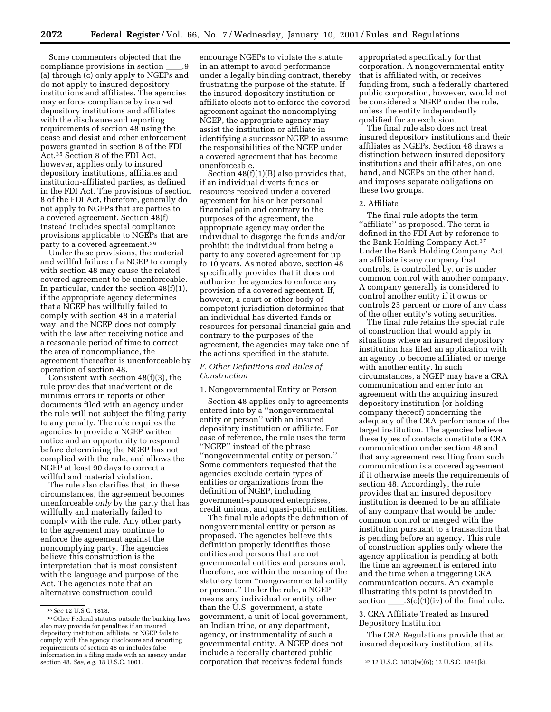Some commenters objected that the compliance provisions in section (a) through (c) only apply to NGEPs and do not apply to insured depository institutions and affiliates. The agencies may enforce compliance by insured depository institutions and affiliates with the disclosure and reporting requirements of section 48 using the cease and desist and other enforcement powers granted in section 8 of the FDI Act.35 Section 8 of the FDI Act, however, applies only to insured depository institutions, affiliates and institution-affiliated parties, as defined in the FDI Act. The provisions of section 8 of the FDI Act, therefore, generally do not apply to NGEPs that are parties to a covered agreement. Section 48(f) instead includes special compliance provisions applicable to NGEPs that are party to a covered agreement.36

Under these provisions, the material and willful failure of a NGEP to comply with section 48 may cause the related covered agreement to be unenforceable. In particular, under the section 48(f)(1), if the appropriate agency determines that a NGEP has willfully failed to comply with section 48 in a material way, and the NGEP does not comply with the law after receiving notice and a reasonable period of time to correct the area of noncompliance, the agreement thereafter is unenforceable by operation of section 48.

Consistent with section 48(f)(3), the rule provides that inadvertent or de minimis errors in reports or other documents filed with an agency under the rule will not subject the filing party to any penalty. The rule requires the agencies to provide a NGEP written notice and an opportunity to respond before determining the NGEP has not complied with the rule, and allows the NGEP at least 90 days to correct a willful and material violation.

The rule also clarifies that, in these circumstances, the agreement becomes unenforceable *only* by the party that has willfully and materially failed to comply with the rule. Any other party to the agreement may continue to enforce the agreement against the noncomplying party. The agencies believe this construction is the interpretation that is most consistent with the language and purpose of the Act. The agencies note that an alternative construction could

encourage NGEPs to violate the statute in an attempt to avoid performance under a legally binding contract, thereby frustrating the purpose of the statute. If the insured depository institution or affiliate elects not to enforce the covered agreement against the noncomplying NGEP, the appropriate agency may assist the institution or affiliate in identifying a successor NGEP to assume the responsibilities of the NGEP under a covered agreement that has become unenforceable.

Section 48(f)(1)(B) also provides that, if an individual diverts funds or resources received under a covered agreement for his or her personal financial gain and contrary to the purposes of the agreement, the appropriate agency may order the individual to disgorge the funds and/or prohibit the individual from being a party to any covered agreement for up to 10 years. As noted above, section 48 specifically provides that it does not authorize the agencies to enforce any provision of a covered agreement. If, however, a court or other body of competent jurisdiction determines that an individual has diverted funds or resources for personal financial gain and contrary to the purposes of the agreement, the agencies may take one of the actions specified in the statute.

#### *F. Other Definitions and Rules of Construction*

#### 1. Nongovernmental Entity or Person

Section 48 applies only to agreements entered into by a ''nongovernmental entity or person'' with an insured depository institution or affiliate. For ease of reference, the rule uses the term ''NGEP'' instead of the phrase ''nongovernmental entity or person.'' Some commenters requested that the agencies exclude certain types of entities or organizations from the definition of NGEP, including government-sponsored enterprises, credit unions, and quasi-public entities.

section 48. *See, e.g.* 18 U.S.C. 1001. **37 12 U.S.C. 1813** (w)(6); 12 U.S.C. 1841(k). The final rule adopts the definition of nongovernmental entity or person as proposed. The agencies believe this definition properly identifies those entities and persons that are not governmental entities and persons and, therefore, are within the meaning of the statutory term ''nongovernmental entity or person.'' Under the rule, a NGEP means any individual or entity other than the U.S. government, a state government, a unit of local government, an Indian tribe, or any department, agency, or instrumentality of such a governmental entity. A NGEP does not include a federally chartered public

appropriated specifically for that corporation. A nongovernmental entity that is affiliated with, or receives funding from, such a federally chartered public corporation, however, would not be considered a NGEP under the rule, unless the entity independently qualified for an exclusion.

The final rule also does not treat insured depository institutions and their affiliates as NGEPs. Section 48 draws a distinction between insured depository institutions and their affiliates, on one hand, and NGEPs on the other hand, and imposes separate obligations on these two groups.

#### 2. Affiliate

The final rule adopts the term ''affiliate'' as proposed. The term is defined in the FDI Act by reference to the Bank Holding Company Act.37 Under the Bank Holding Company Act, an affiliate is any company that controls, is controlled by, or is under common control with another company. A company generally is considered to control another entity if it owns or controls 25 percent or more of any class of the other entity's voting securities.

The final rule retains the special rule of construction that would apply in situations where an insured depository institution has filed an application with an agency to become affiliated or merge with another entity. In such circumstances, a NGEP may have a CRA communication and enter into an agreement with the acquiring insured depository institution (or holding company thereof) concerning the adequacy of the CRA performance of the target institution. The agencies believe these types of contacts constitute a CRA communication under section 48 and that any agreement resulting from such communication is a covered agreement if it otherwise meets the requirements of section 48. Accordingly, the rule provides that an insured depository institution is deemed to be an affiliate of any company that would be under common control or merged with the institution pursuant to a transaction that is pending before an agency. This rule of construction applies only where the agency application is pending at both the time an agreement is entered into and the time when a triggering CRA communication occurs. An example illustrating this point is provided in section  $\_\_3(c)(1)(iv)$  of the final rule.

3. CRA Affiliate Treated as Insured Depository Institution

The CRA Regulations provide that an insured depository institution, at its

<sup>35</sup>*See* 12 U.S.C. 1818.

<sup>36</sup>Other Federal statutes outside the banking laws also may provide for penalties if an insured depository institution, affiliate, or NGEP fails to comply with the agency disclosure and reporting requirements of section 48 or includes false information in a filing made with an agency under<br>section 48. See, e.g. 18 U.S.C. 1001.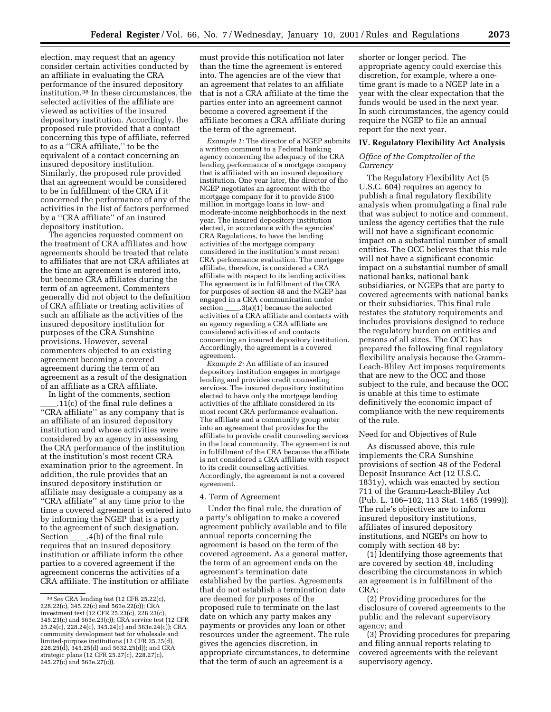election, may request that an agency consider certain activities conducted by an affiliate in evaluating the CRA performance of the insured depository institution.38 In these circumstances, the selected activities of the affiliate are viewed as activities of the insured depository institution. Accordingly, the proposed rule provided that a contact concerning this type of affiliate, referred to as a ''CRA affiliate,'' to be the equivalent of a contact concerning an insured depository institution. Similarly, the proposed rule provided that an agreement would be considered to be in fulfillment of the CRA if it concerned the performance of any of the activities in the list of factors performed by a ''CRA affiliate'' of an insured depository institution.

The agencies requested comment on the treatment of CRA affiliates and how agreements should be treated that relate to affiliates that are not CRA affiliates at the time an agreement is entered into, but become CRA affiliates during the term of an agreement. Commenters generally did not object to the definition of CRA affiliate or treating activities of such an affiliate as the activities of the insured depository institution for purposes of the CRA Sunshine provisions. However, several commenters objected to an existing agreement becoming a covered agreement during the term of an agreement as a result of the designation of an affiliate as a CRA affiliate.

In light of the comments, section .11(c) of the final rule defines a ''CRA affiliate'' as any company that is an affiliate of an insured depository institution and whose activities were considered by an agency in assessing the CRA performance of the institution at the institution's most recent CRA examination prior to the agreement. In addition, the rule provides that an insured depository institution or affiliate may designate a company as a ''CRA affiliate'' at any time prior to the time a covered agreement is entered into by informing the NGEP that is a party to the agreement of such designation.<br>Section .4(b) of the final rule  $\_4(b)$  of the final rule requires that an insured depository institution or affiliate inform the other parties to a covered agreement if the agreement concerns the activities of a CRA affiliate. The institution or affiliate

must provide this notification not later than the time the agreement is entered into. The agencies are of the view that an agreement that relates to an affiliate that is not a CRA affiliate at the time the parties enter into an agreement cannot become a covered agreement if the affiliate becomes a CRA affiliate during the term of the agreement.

*Example 1:* The director of a NGEP submits a written comment to a Federal banking agency concerning the adequacy of the CRA lending performance of a mortgage company that is affiliated with an insured depository institution. One year later, the director of the NGEP negotiates an agreement with the mortgage company for it to provide \$100 million in mortgage loans in low- and moderate-income neighborhoods in the next year. The insured depository institution elected, in accordance with the agencies' CRA Regulations, to have the lending activities of the mortgage company considered in the institution's most recent CRA performance evaluation. The mortgage affiliate, therefore, is considered a CRA affiliate with respect to its lending activities. The agreement is in fulfillment of the CRA for purposes of section 48 and the NGEP has engaged in a CRA communication under section  $\_\_3(a)(1)$  because the selected activities of a CRA affiliate and contacts with an agency regarding a CRA affiliate are considered activities of and contacts concerning an insured depository institution. Accordingly, the agreement is a covered agreement.

*Example 2:* An affiliate of an insured depository institution engages in mortgage lending and provides credit counseling services. The insured depository institution elected to have only the mortgage lending activities of the affiliate considered in its most recent CRA performance evaluation. The affiliate and a community group enter into an agreement that provides for the affiliate to provide credit counseling services in the local community. The agreement is not in fulfillment of the CRA because the affiliate is not considered a CRA affiliate with respect to its credit counseling activities. Accordingly, the agreement is not a covered agreement.

#### 4. Term of Agreement

Under the final rule, the duration of a party's obligation to make a covered agreement publicly available and to file annual reports concerning the agreement is based on the term of the covered agreement. As a general matter, the term of an agreement ends on the agreement's termination date established by the parties. Agreements that do not establish a termination date are deemed for purposes of the proposed rule to terminate on the last date on which any party makes any payments or provides any loan or other resources under the agreement. The rule gives the agencies discretion, in appropriate circumstances, to determine that the term of such an agreement is a

shorter or longer period. The appropriate agency could exercise this discretion, for example, where a onetime grant is made to a NGEP late in a year with the clear expectation that the funds would be used in the next year. In such circumstances, the agency could require the NGEP to file an annual report for the next year.

#### **IV. Regulatory Flexibility Act Analysis**

## *Office of the Comptroller of the Currency*

The Regulatory Flexibility Act (5 U.S.C. 604) requires an agency to publish a final regulatory flexibility analysis when promulgating a final rule that was subject to notice and comment, unless the agency certifies that the rule will not have a significant economic impact on a substantial number of small entities. The OCC believes that this rule will not have a significant economic impact on a substantial number of small national banks, national bank subsidiaries, or NGEPs that are party to covered agreements with national banks or their subsidiaries. This final rule restates the statutory requirements and includes provisions designed to reduce the regulatory burden on entities and persons of all sizes. The OCC has prepared the following final regulatory flexibility analysis because the Gramm-Leach-Bliley Act imposes requirements that are new to the OCC and those subject to the rule, and because the OCC is unable at this time to estimate definitively the economic impact of compliance with the new requirements of the rule.

#### Need for and Objectives of Rule

As discussed above, this rule implements the CRA Sunshine provisions of section 48 of the Federal Deposit Insurance Act (12 U.S.C. 1831y), which was enacted by section 711 of the Gramm-Leach-Bliley Act (Pub. L. 106–102, 113 Stat. 1465 (1999)). The rule's objectives are to inform insured depository institutions, affiliates of insured depository institutions, and NGEPs on how to comply with section 48 by:

(1) Identifying those agreements that are covered by section 48, including describing the circumstances in which an agreement is in fulfillment of the CRA;

(2) Providing procedures for the disclosure of covered agreements to the public and the relevant supervisory agency; and

(3) Providing procedures for preparing and filing annual reports relating to covered agreements with the relevant supervisory agency.

<sup>38</sup>*See* CRA lending test (12 CFR 25.22(c), 228.22(c), 345.22(c) and 563e.22(c)); CRA investment test (12 CFR 25.23(c), 228.23(c), 345.23(c) and 563e.23(c)); CRA service test (12 CFR 25.24(c), 228.24(c), 345.24(c) and 563e.24(c)); CRA community development test for wholesale and limited-purpose institutions (12 CFR 25.25(d), 228.25(d), 345.25(d) and 5632.25(d)); and CRA strategic plans (12 CFR 25.27(c), 228.27(c), 245.27(c) and 563e.27(c)).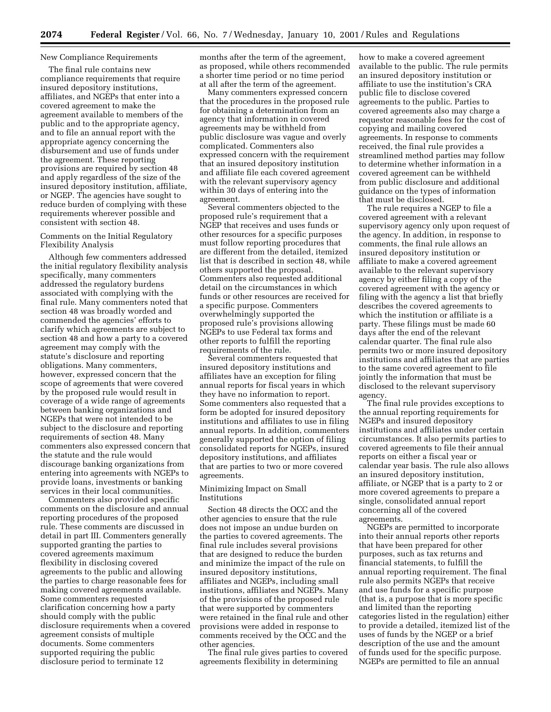## New Compliance Requirements

The final rule contains new compliance requirements that require insured depository institutions, affiliates, and NGEPs that enter into a covered agreement to make the agreement available to members of the public and to the appropriate agency, and to file an annual report with the appropriate agency concerning the disbursement and use of funds under the agreement. These reporting provisions are required by section 48 and apply regardless of the size of the insured depository institution, affiliate, or NGEP. The agencies have sought to reduce burden of complying with these requirements wherever possible and consistent with section 48.

#### Comments on the Initial Regulatory Flexibility Analysis

Although few commenters addressed the initial regulatory flexibility analysis specifically, many commenters addressed the regulatory burdens associated with complying with the final rule. Many commenters noted that section 48 was broadly worded and commended the agencies' efforts to clarify which agreements are subject to section 48 and how a party to a covered agreement may comply with the statute's disclosure and reporting obligations. Many commenters, however, expressed concern that the scope of agreements that were covered by the proposed rule would result in coverage of a wide range of agreements between banking organizations and NGEPs that were not intended to be subject to the disclosure and reporting requirements of section 48. Many commenters also expressed concern that the statute and the rule would discourage banking organizations from entering into agreements with NGEPs to provide loans, investments or banking services in their local communities.

Commenters also provided specific comments on the disclosure and annual reporting procedures of the proposed rule. These comments are discussed in detail in part III. Commenters generally supported granting the parties to covered agreements maximum flexibility in disclosing covered agreements to the public and allowing the parties to charge reasonable fees for making covered agreements available. Some commenters requested clarification concerning how a party should comply with the public disclosure requirements when a covered agreement consists of multiple documents. Some commenters supported requiring the public disclosure period to terminate 12

months after the term of the agreement, as proposed, while others recommended a shorter time period or no time period at all after the term of the agreement.

Many commenters expressed concern that the procedures in the proposed rule for obtaining a determination from an agency that information in covered agreements may be withheld from public disclosure was vague and overly complicated. Commenters also expressed concern with the requirement that an insured depository institution and affiliate file each covered agreement with the relevant supervisory agency within 30 days of entering into the agreement.

Several commenters objected to the proposed rule's requirement that a NGEP that receives and uses funds or other resources for a specific purposes must follow reporting procedures that are different from the detailed, itemized list that is described in section 48, while others supported the proposal. Commenters also requested additional detail on the circumstances in which funds or other resources are received for a specific purpose. Commenters overwhelmingly supported the proposed rule's provisions allowing NGEPs to use Federal tax forms and other reports to fulfill the reporting requirements of the rule.

Several commenters requested that insured depository institutions and affiliates have an exception for filing annual reports for fiscal years in which they have no information to report. Some commenters also requested that a form be adopted for insured depository institutions and affiliates to use in filing annual reports. In addition, commenters generally supported the option of filing consolidated reports for NGEPs, insured depository institutions, and affiliates that are parties to two or more covered agreements.

#### Minimizing Impact on Small Institutions

Section 48 directs the OCC and the other agencies to ensure that the rule does not impose an undue burden on the parties to covered agreements. The final rule includes several provisions that are designed to reduce the burden and minimize the impact of the rule on insured depository institutions, affiliates and NGEPs, including small institutions, affiliates and NGEPs. Many of the provisions of the proposed rule that were supported by commenters were retained in the final rule and other provisions were added in response to comments received by the OCC and the other agencies.

The final rule gives parties to covered agreements flexibility in determining

how to make a covered agreement available to the public. The rule permits an insured depository institution or affiliate to use the institution's CRA public file to disclose covered agreements to the public. Parties to covered agreements also may charge a requestor reasonable fees for the cost of copying and mailing covered agreements. In response to comments received, the final rule provides a streamlined method parties may follow to determine whether information in a covered agreement can be withheld from public disclosure and additional guidance on the types of information that must be disclosed.

The rule requires a NGEP to file a covered agreement with a relevant supervisory agency only upon request of the agency. In addition, in response to comments, the final rule allows an insured depository institution or affiliate to make a covered agreement available to the relevant supervisory agency by either filing a copy of the covered agreement with the agency or filing with the agency a list that briefly describes the covered agreements to which the institution or affiliate is a party. These filings must be made 60 days after the end of the relevant calendar quarter. The final rule also permits two or more insured depository institutions and affiliates that are parties to the same covered agreement to file jointly the information that must be disclosed to the relevant supervisory agency.

The final rule provides exceptions to the annual reporting requirements for NGEPs and insured depository institutions and affiliates under certain circumstances. It also permits parties to covered agreements to file their annual reports on either a fiscal year or calendar year basis. The rule also allows an insured depository institution, affiliate, or NGEP that is a party to 2 or more covered agreements to prepare a single, consolidated annual report concerning all of the covered agreements.

NGEPs are permitted to incorporate into their annual reports other reports that have been prepared for other purposes, such as tax returns and financial statements, to fulfill the annual reporting requirement. The final rule also permits NGEPs that receive and use funds for a specific purpose (that is, a purpose that is more specific and limited than the reporting categories listed in the regulation) either to provide a detailed, itemized list of the uses of funds by the NGEP or a brief description of the use and the amount of funds used for the specific purpose. NGEPs are permitted to file an annual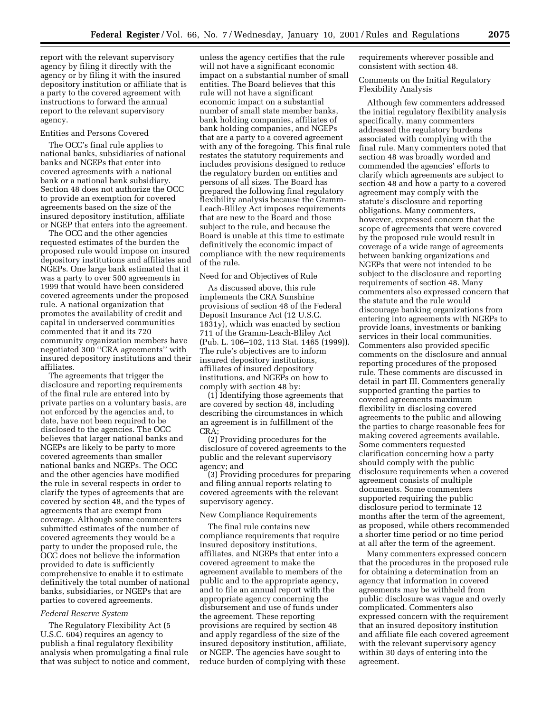report with the relevant supervisory agency by filing it directly with the agency or by filing it with the insured depository institution or affiliate that is a party to the covered agreement with instructions to forward the annual report to the relevant supervisory agency.

#### Entities and Persons Covered

The OCC's final rule applies to national banks, subsidiaries of national banks and NGEPs that enter into covered agreements with a national bank or a national bank subsidiary. Section 48 does not authorize the OCC to provide an exemption for covered agreements based on the size of the insured depository institution, affiliate or NGEP that enters into the agreement.

The OCC and the other agencies requested estimates of the burden the proposed rule would impose on insured depository institutions and affiliates and NGEPs. One large bank estimated that it was a party to over 500 agreements in 1999 that would have been considered covered agreements under the proposed rule. A national organization that promotes the availability of credit and capital in underserved communities commented that it and its 720 community organization members have negotiated 300 ''CRA agreements'' with insured depository institutions and their affiliates.

The agreements that trigger the disclosure and reporting requirements of the final rule are entered into by private parties on a voluntary basis, are not enforced by the agencies and, to date, have not been required to be disclosed to the agencies. The OCC believes that larger national banks and NGEPs are likely to be party to more covered agreements than smaller national banks and NGEPs. The OCC and the other agencies have modified the rule in several respects in order to clarify the types of agreements that are covered by section 48, and the types of agreements that are exempt from coverage. Although some commenters submitted estimates of the number of covered agreements they would be a party to under the proposed rule, the OCC does not believe the information provided to date is sufficiently comprehensive to enable it to estimate definitively the total number of national banks, subsidiaries, or NGEPs that are parties to covered agreements.

#### *Federal Reserve System*

The Regulatory Flexibility Act (5 U.S.C. 604) requires an agency to publish a final regulatory flexibility analysis when promulgating a final rule that was subject to notice and comment,

unless the agency certifies that the rule will not have a significant economic impact on a substantial number of small entities. The Board believes that this rule will not have a significant economic impact on a substantial number of small state member banks, bank holding companies, affiliates of bank holding companies, and NGEPs that are a party to a covered agreement with any of the foregoing. This final rule restates the statutory requirements and includes provisions designed to reduce the regulatory burden on entities and persons of all sizes. The Board has prepared the following final regulatory flexibility analysis because the Gramm-Leach-Bliley Act imposes requirements that are new to the Board and those subject to the rule, and because the Board is unable at this time to estimate definitively the economic impact of compliance with the new requirements of the rule.

#### Need for and Objectives of Rule

As discussed above, this rule implements the CRA Sunshine provisions of section 48 of the Federal Deposit Insurance Act (12 U.S.C. 1831y), which was enacted by section 711 of the Gramm-Leach-Bliley Act (Pub. L. 106–102, 113 Stat. 1465 (1999)). The rule's objectives are to inform insured depository institutions, affiliates of insured depository institutions, and NGEPs on how to comply with section 48 by:

(1) Identifying those agreements that are covered by section 48, including describing the circumstances in which an agreement is in fulfillment of the CRA;

(2) Providing procedures for the disclosure of covered agreements to the public and the relevant supervisory agency; and

(3) Providing procedures for preparing and filing annual reports relating to covered agreements with the relevant supervisory agency.

#### New Compliance Requirements

The final rule contains new compliance requirements that require insured depository institutions, affiliates, and NGEPs that enter into a covered agreement to make the agreement available to members of the public and to the appropriate agency, and to file an annual report with the appropriate agency concerning the disbursement and use of funds under the agreement. These reporting provisions are required by section 48 and apply regardless of the size of the insured depository institution, affiliate, or NGEP. The agencies have sought to reduce burden of complying with these requirements wherever possible and consistent with section 48.

Comments on the Initial Regulatory Flexibility Analysis

Although few commenters addressed the initial regulatory flexibility analysis specifically, many commenters addressed the regulatory burdens associated with complying with the final rule. Many commenters noted that section 48 was broadly worded and commended the agencies' efforts to clarify which agreements are subject to section 48 and how a party to a covered agreement may comply with the statute's disclosure and reporting obligations. Many commenters, however, expressed concern that the scope of agreements that were covered by the proposed rule would result in coverage of a wide range of agreements between banking organizations and NGEPs that were not intended to be subject to the disclosure and reporting requirements of section 48. Many commenters also expressed concern that the statute and the rule would discourage banking organizations from entering into agreements with NGEPs to provide loans, investments or banking services in their local communities. Commenters also provided specific comments on the disclosure and annual reporting procedures of the proposed rule. These comments are discussed in detail in part III. Commenters generally supported granting the parties to covered agreements maximum flexibility in disclosing covered agreements to the public and allowing the parties to charge reasonable fees for making covered agreements available. Some commenters requested clarification concerning how a party should comply with the public disclosure requirements when a covered agreement consists of multiple documents. Some commenters supported requiring the public disclosure period to terminate 12 months after the term of the agreement, as proposed, while others recommended a shorter time period or no time period at all after the term of the agreement.

Many commenters expressed concern that the procedures in the proposed rule for obtaining a determination from an agency that information in covered agreements may be withheld from public disclosure was vague and overly complicated. Commenters also expressed concern with the requirement that an insured depository institution and affiliate file each covered agreement with the relevant supervisory agency within 30 days of entering into the agreement.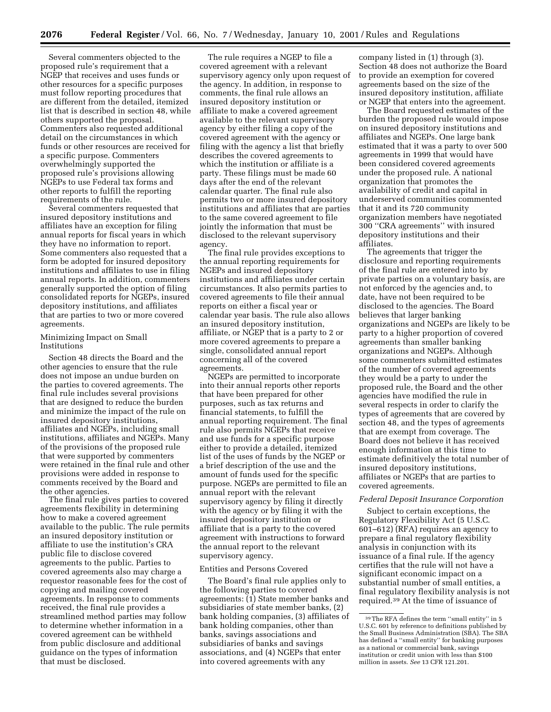Several commenters objected to the proposed rule's requirement that a NGEP that receives and uses funds or other resources for a specific purposes must follow reporting procedures that are different from the detailed, itemized list that is described in section 48, while others supported the proposal. Commenters also requested additional detail on the circumstances in which funds or other resources are received for a specific purpose. Commenters overwhelmingly supported the proposed rule's provisions allowing NGEPs to use Federal tax forms and other reports to fulfill the reporting requirements of the rule.

Several commenters requested that insured depository institutions and affiliates have an exception for filing annual reports for fiscal years in which they have no information to report. Some commenters also requested that a form be adopted for insured depository institutions and affiliates to use in filing annual reports. In addition, commenters generally supported the option of filing consolidated reports for NGEPs, insured depository institutions, and affiliates that are parties to two or more covered agreements.

#### Minimizing Impact on Small Institutions

Section 48 directs the Board and the other agencies to ensure that the rule does not impose an undue burden on the parties to covered agreements. The final rule includes several provisions that are designed to reduce the burden and minimize the impact of the rule on insured depository institutions, affiliates and NGEPs, including small institutions, affiliates and NGEPs. Many of the provisions of the proposed rule that were supported by commenters were retained in the final rule and other provisions were added in response to comments received by the Board and the other agencies.

The final rule gives parties to covered agreements flexibility in determining how to make a covered agreement available to the public. The rule permits an insured depository institution or affiliate to use the institution's CRA public file to disclose covered agreements to the public. Parties to covered agreements also may charge a requestor reasonable fees for the cost of copying and mailing covered agreements. In response to comments received, the final rule provides a streamlined method parties may follow to determine whether information in a covered agreement can be withheld from public disclosure and additional guidance on the types of information that must be disclosed.

The rule requires a NGEP to file a covered agreement with a relevant supervisory agency only upon request of the agency. In addition, in response to comments, the final rule allows an insured depository institution or affiliate to make a covered agreement available to the relevant supervisory agency by either filing a copy of the covered agreement with the agency or filing with the agency a list that briefly describes the covered agreements to which the institution or affiliate is a party. These filings must be made 60 days after the end of the relevant calendar quarter. The final rule also permits two or more insured depository institutions and affiliates that are parties to the same covered agreement to file jointly the information that must be disclosed to the relevant supervisory agency.

The final rule provides exceptions to the annual reporting requirements for NGEPs and insured depository institutions and affiliates under certain circumstances. It also permits parties to covered agreements to file their annual reports on either a fiscal year or calendar year basis. The rule also allows an insured depository institution, affiliate, or NGEP that is a party to 2 or more covered agreements to prepare a single, consolidated annual report concerning all of the covered agreements.

NGEPs are permitted to incorporate into their annual reports other reports that have been prepared for other purposes, such as tax returns and financial statements, to fulfill the annual reporting requirement. The final rule also permits NGEPs that receive and use funds for a specific purpose either to provide a detailed, itemized list of the uses of funds by the NGEP or a brief description of the use and the amount of funds used for the specific purpose. NGEPs are permitted to file an annual report with the relevant supervisory agency by filing it directly with the agency or by filing it with the insured depository institution or affiliate that is a party to the covered agreement with instructions to forward the annual report to the relevant supervisory agency.

#### Entities and Persons Covered

The Board's final rule applies only to the following parties to covered agreements: (1) State member banks and subsidiaries of state member banks, (2) bank holding companies, (3) affiliates of bank holding companies, other than banks, savings associations and subsidiaries of banks and savings associations, and (4) NGEPs that enter into covered agreements with any

company listed in (1) through (3). Section 48 does not authorize the Board to provide an exemption for covered agreements based on the size of the insured depository institution, affiliate or NGEP that enters into the agreement.

The Board requested estimates of the burden the proposed rule would impose on insured depository institutions and affiliates and NGEPs. One large bank estimated that it was a party to over 500 agreements in 1999 that would have been considered covered agreements under the proposed rule. A national organization that promotes the availability of credit and capital in underserved communities commented that it and its 720 community organization members have negotiated 300 ''CRA agreements'' with insured depository institutions and their affiliates.

The agreements that trigger the disclosure and reporting requirements of the final rule are entered into by private parties on a voluntary basis, are not enforced by the agencies and, to date, have not been required to be disclosed to the agencies. The Board believes that larger banking organizations and NGEPs are likely to be party to a higher proportion of covered agreements than smaller banking organizations and NGEPs. Although some commenters submitted estimates of the number of covered agreements they would be a party to under the proposed rule, the Board and the other agencies have modified the rule in several respects in order to clarify the types of agreements that are covered by section 48, and the types of agreements that are exempt from coverage. The Board does not believe it has received enough information at this time to estimate definitively the total number of insured depository institutions, affiliates or NGEPs that are parties to covered agreements.

#### *Federal Deposit Insurance Corporation*

Subject to certain exceptions, the Regulatory Flexibility Act (5 U.S.C. 601–612) (RFA) requires an agency to prepare a final regulatory flexibility analysis in conjunction with its issuance of a final rule. If the agency certifies that the rule will not have a significant economic impact on a substantial number of small entities, a final regulatory flexibility analysis is not required.39 At the time of issuance of

<sup>39</sup>The RFA defines the term ''small entity'' in 5 U.S.C. 601 by reference to definitions published by the Small Business Administration (SBA). The SBA has defined a ''small entity'' for banking purposes as a national or commercial bank, savings institution or credit union with less than \$100 million in assets. *See* 13 CFR 121.201.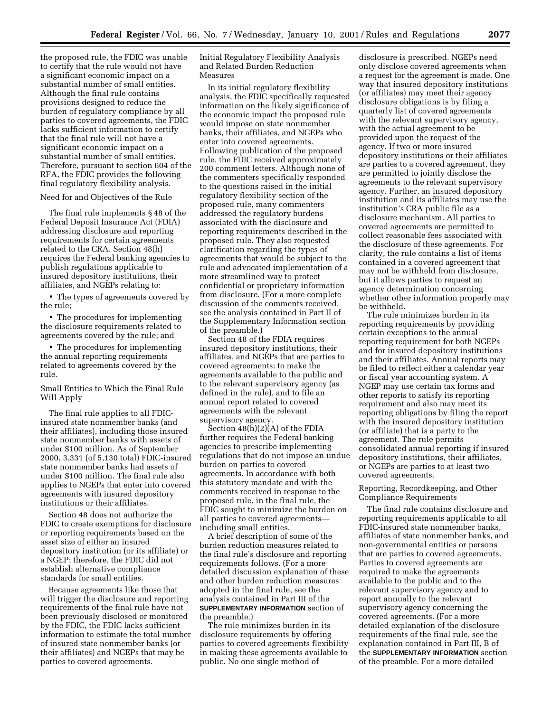the proposed rule, the FDIC was unable to certify that the rule would not have a significant economic impact on a substantial number of small entities. Although the final rule contains provisions designed to reduce the burden of regulatory compliance by all parties to covered agreements, the FDIC lacks sufficient information to certify that the final rule will not have a significant economic impact on a substantial number of small entities. Therefore, pursuant to section 604 of the RFA, the FDIC provides the following final regulatory flexibility analysis.

## Need for and Objectives of the Rule

The final rule implements § 48 of the Federal Deposit Insurance Act (FDIA) addressing disclosure and reporting requirements for certain agreements related to the CRA. Section 48(h) requires the Federal banking agencies to publish regulations applicable to insured depository institutions, their affiliates, and NGEPs relating to:

• The types of agreements covered by the rule;

• The procedures for implementing the disclosure requirements related to agreements covered by the rule; and

• The procedures for implementing the annual reporting requirements related to agreements covered by the rule.

## Small Entities to Which the Final Rule Will Apply

The final rule applies to all FDICinsured state nonmember banks (and their affiliates), including those insured state nonmember banks with assets of under \$100 million. As of September 2000, 3,331 (of 5,130 total) FDIC-insured state nonmember banks had assets of under \$100 million. The final rule also applies to NGEPs that enter into covered agreements with insured depository institutions or their affiliates.

Section 48 does not authorize the FDIC to create exemptions for disclosure or reporting requirements based on the asset size of either an insured depository institution (or its affiliate) or a NGEP; therefore, the FDIC did not establish alternative compliance standards for small entities.

Because agreements like those that will trigger the disclosure and reporting requirements of the final rule have not been previously disclosed or monitored by the FDIC, the FDIC lacks sufficient information to estimate the total number of insured state nonmember banks (or their affiliates) and NGEPs that may be parties to covered agreements.

Initial Regulatory Flexibility Analysis and Related Burden Reduction Measures

In its initial regulatory flexibility analysis, the FDIC specifically requested information on the likely significance of the economic impact the proposed rule would impose on state nonmember banks, their affiliates, and NGEPs who enter into covered agreements. Following publication of the proposed rule, the FDIC received approximately 200 comment letters. Although none of the commenters specifically responded to the questions raised in the initial regulatory flexibility section of the proposed rule, many commenters addressed the regulatory burdens associated with the disclosure and reporting requirements described in the proposed rule. They also requested clarification regarding the types of agreements that would be subject to the rule and advocated implementation of a more streamlined way to protect confidential or proprietary information from disclosure. (For a more complete discussion of the comments received, see the analysis contained in Part II of the Supplementary Information section of the preamble.)

Section 48 of the FDIA requires insured depository institutions, their affiliates, and NGEPs that are parties to covered agreements: to make the agreements available to the public and to the relevant supervisory agency (as defined in the rule), and to file an annual report related to covered agreements with the relevant supervisory agency.

Section 48(h)(2)(A) of the FDIA further requires the Federal banking agencies to prescribe implementing regulations that do not impose an undue burden on parties to covered agreements. In accordance with both this statutory mandate and with the comments received in response to the proposed rule, in the final rule, the FDIC sought to minimize the burden on all parties to covered agreements including small entities.

A brief description of some of the burden reduction measures related to the final rule's disclosure and reporting requirements follows. (For a more detailed discussion explanation of these and other burden reduction measures adopted in the final rule, see the analysis contained in Part III of the **SUPPLEMENTARY INFORMATION** section of the preamble.)

The rule minimizes burden in its disclosure requirements by offering parties to covered agreements flexibility in making these agreements available to public. No one single method of

disclosure is prescribed. NGEPs need only disclose covered agreements when a request for the agreement is made. One way that insured depository institutions (or affiliates) may meet their agency disclosure obligations is by filing a quarterly list of covered agreements with the relevant supervisory agency, with the actual agreement to be provided upon the request of the agency. If two or more insured depository institutions or their affiliates are parties to a covered agreement, they are permitted to jointly disclose the agreements to the relevant supervisory agency. Further, an insured depository institution and its affiliates may use the institution's CRA public file as a disclosure mechanism. All parties to covered agreements are permitted to collect reasonable fees associated with the disclosure of these agreements. For clarity, the rule contains a list of items contained in a covered agreement that may not be withheld from disclosure, but it allows parties to request an agency determination concerning whether other information properly may be withheld.

The rule minimizes burden in its reporting requirements by providing certain exceptions to the annual reporting requirement for both NGEPs and for insured depository institutions and their affiliates. Annual reports may be filed to reflect either a calendar year or fiscal year accounting system. A NGEP may use certain tax forms and other reports to satisfy its reporting requirement and also may meet its reporting obligations by filing the report with the insured depository institution (or affiliate) that is a party to the agreement. The rule permits consolidated annual reporting if insured depository institutions, their affiliates, or NGEPs are parties to at least two covered agreements.

Reporting, Recordkeeping, and Other Compliance Requirements

The final rule contains disclosure and reporting requirements applicable to all FDIC-insured state nonmember banks, affiliates of state nonmember banks, and non-governmental entities or persons that are parties to covered agreements. Parties to covered agreements are required to make the agreements available to the public and to the relevant supervisory agency and to report annually to the relevant supervisory agency concerning the covered agreements. (For a more detailed explanation of the disclosure requirements of the final rule, see the explanation contained in Part III, B of the **SUPPLEMENTARY INFORMATION** section of the preamble. For a more detailed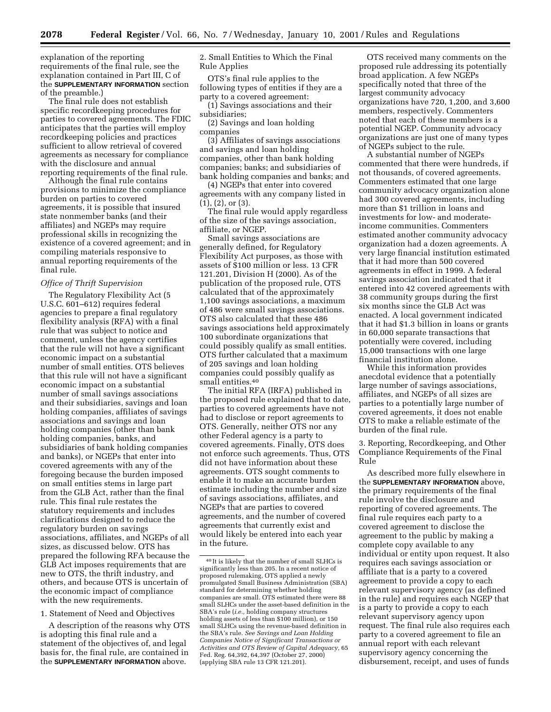explanation of the reporting requirements of the final rule, see the explanation contained in Part III, C of the **SUPPLEMENTARY INFORMATION** section of the preamble.)

The final rule does not establish specific recordkeeping procedures for parties to covered agreements. The FDIC anticipates that the parties will employ recordkeeping policies and practices sufficient to allow retrieval of covered agreements as necessary for compliance with the disclosure and annual reporting requirements of the final rule.

Although the final rule contains provisions to minimize the compliance burden on parties to covered agreements, it is possible that insured state nonmember banks (and their affiliates) and NGEPs may require professional skills in recognizing the existence of a covered agreement; and in compiling materials responsive to annual reporting requirements of the final rule.

#### *Office of Thrift Supervision*

The Regulatory Flexibility Act (5 U.S.C. 601–612) requires federal agencies to prepare a final regulatory flexibility analysis (RFA) with a final rule that was subject to notice and comment, unless the agency certifies that the rule will not have a significant economic impact on a substantial number of small entities. OTS believes that this rule will not have a significant economic impact on a substantial number of small savings associations and their subsidiaries, savings and loan holding companies, affiliates of savings associations and savings and loan holding companies (other than bank holding companies, banks, and subsidiaries of bank holding companies and banks), or NGEPs that enter into covered agreements with any of the foregoing because the burden imposed on small entities stems in large part from the GLB Act, rather than the final rule. This final rule restates the statutory requirements and includes clarifications designed to reduce the regulatory burden on savings associations, affiliates, and NGEPs of all sizes, as discussed below. OTS has prepared the following RFA because the GLB Act imposes requirements that are new to OTS, the thrift industry, and others, and because OTS is uncertain of the economic impact of compliance with the new requirements.

1. Statement of Need and Objectives

A description of the reasons why OTS is adopting this final rule and a statement of the objectives of, and legal basis for, the final rule, are contained in the **SUPPLEMENTARY INFORMATION** above.

2. Small Entities to Which the Final Rule Applies

OTS's final rule applies to the following types of entities if they are a party to a covered agreement:

(1) Savings associations and their subsidiaries;

(2) Savings and loan holding companies

(3) Affiliates of savings associations and savings and loan holding companies, other than bank holding companies; banks; and subsidiaries of bank holding companies and banks; and

(4) NGEPs that enter into covered agreements with any company listed in (1), (2), or (3).

The final rule would apply regardless of the size of the savings association, affiliate, or NGEP.

Small savings associations are generally defined, for Regulatory Flexibility Act purposes, as those with assets of \$100 million or less. 13 CFR 121.201, Division H (2000). As of the publication of the proposed rule, OTS calculated that of the approximately 1,100 savings associations, a maximum of 486 were small savings associations. OTS also calculated that these 486 savings associations held approximately 100 subordinate organizations that could possibly qualify as small entities. OTS further calculated that a maximum of 205 savings and loan holding companies could possibly qualify as small entities.40

The initial RFA (IRFA) published in the proposed rule explained that to date, parties to covered agreements have not had to disclose or report agreements to OTS. Generally, neither OTS nor any other Federal agency is a party to covered agreements. Finally, OTS does not enforce such agreements. Thus, OTS did not have information about these agreements. OTS sought comments to enable it to make an accurate burden estimate including the number and size of savings associations, affiliates, and NGEPs that are parties to covered agreements, and the number of covered agreements that currently exist and would likely be entered into each year in the future.

OTS received many comments on the proposed rule addressing its potentially broad application. A few NGEPs specifically noted that three of the largest community advocacy organizations have 720, 1,200, and 3,600 members, respectively. Commenters noted that each of these members is a potential NGEP. Community advocacy organizations are just one of many types of NGEPs subject to the rule.

A substantial number of NGEPs commented that there were hundreds, if not thousands, of covered agreements. Commenters estimated that one large community advocacy organization alone had 300 covered agreements, including more than \$1 trillion in loans and investments for low- and moderateincome communities. Commenters estimated another community advocacy organization had a dozen agreements. A very large financial institution estimated that it had more than 500 covered agreements in effect in 1999. A federal savings association indicated that it entered into 42 covered agreements with 38 community groups during the first six months since the GLB Act was enacted. A local government indicated that it had \$1.3 billion in loans or grants in 60,000 separate transactions that potentially were covered, including 15,000 transactions with one large financial institution alone.

While this information provides anecdotal evidence that a potentially large number of savings associations, affiliates, and NGEPs of all sizes are parties to a potentially large number of covered agreements, it does not enable OTS to make a reliable estimate of the burden of the final rule.

3. Reporting, Recordkeeping, and Other Compliance Requirements of the Final Rule

As described more fully elsewhere in the **SUPPLEMENTARY INFORMATION** above, the primary requirements of the final rule involve the disclosure and reporting of covered agreements. The final rule requires each party to a covered agreement to disclose the agreement to the public by making a complete copy available to any individual or entity upon request. It also requires each savings association or affiliate that is a party to a covered agreement to provide a copy to each relevant supervisory agency (as defined in the rule) and requires each NGEP that is a party to provide a copy to each relevant supervisory agency upon request. The final rule also requires each party to a covered agreement to file an annual report with each relevant supervisory agency concerning the disbursement, receipt, and uses of funds

 $^{\rm 40}\!$  It is likely that the number of small SLHCs is significantly less than 205. In a recent notice of proposed rulemaking, OTS applied a newly promulgated Small Business Administration (SBA) standard for determining whether holding companies are small. OTS estimated there were 88 small SLHCs under the asset-based definition in the SBA's rule (*i.e.,* holding company structures holding assets of less than \$100 million), or 150 small SLHCs using the revenue-based definition in the SBA's rule. *See Savings and Loan Holding Companies Notice of Significant Transactions or Activities and OTS Review of Capital Adequacy,* 65 Fed. Reg. 64,392, 64,397 (October 27, 2000) (applying SBA rule 13 CFR 121.201).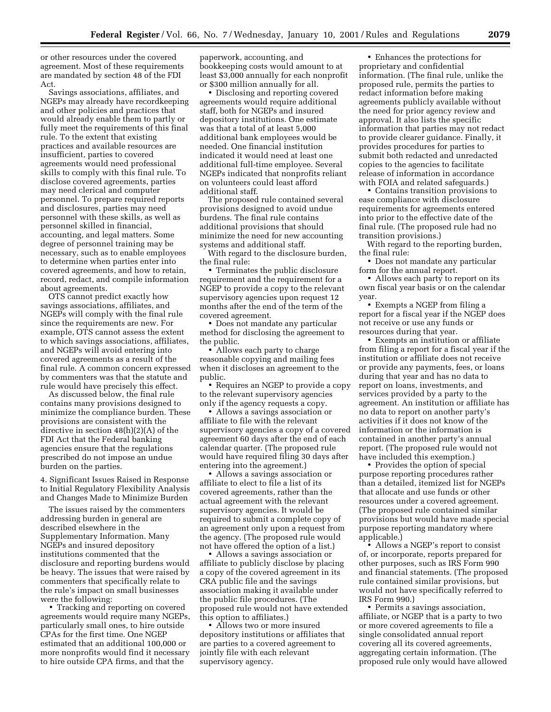or other resources under the covered agreement. Most of these requirements are mandated by section 48 of the FDI Act.

Savings associations, affiliates, and NGEPs may already have recordkeeping and other policies and practices that would already enable them to partly or fully meet the requirements of this final rule. To the extent that existing practices and available resources are insufficient, parties to covered agreements would need professional skills to comply with this final rule. To disclose covered agreements, parties may need clerical and computer personnel. To prepare required reports and disclosures, parties may need personnel with these skills, as well as personnel skilled in financial, accounting, and legal matters. Some degree of personnel training may be necessary, such as to enable employees to determine when parties enter into covered agreements, and how to retain, record, redact, and compile information about agreements.

OTS cannot predict exactly how savings associations, affiliates, and NGEPs will comply with the final rule since the requirements are new. For example, OTS cannot assess the extent to which savings associations, affiliates, and NGEPs will avoid entering into covered agreements as a result of the final rule. A common concern expressed by commenters was that the statute and rule would have precisely this effect.

As discussed below, the final rule contains many provisions designed to minimize the compliance burden. These provisions are consistent with the directive in section 48(h)(2)(A) of the FDI Act that the Federal banking agencies ensure that the regulations prescribed do not impose an undue burden on the parties.

4. Significant Issues Raised in Response to Initial Regulatory Flexibility Analysis and Changes Made to Minimize Burden

The issues raised by the commenters addressing burden in general are described elsewhere in the Supplementary Information. Many NGEPs and insured depository institutions commented that the disclosure and reporting burdens would be heavy. The issues that were raised by commenters that specifically relate to the rule's impact on small businesses were the following:

• Tracking and reporting on covered agreements would require many NGEPs, particularly small ones, to hire outside CPAs for the first time. One NGEP estimated that an additional 100,000 or more nonprofits would find it necessary to hire outside CPA firms, and that the

paperwork, accounting, and bookkeeping costs would amount to at least \$3,000 annually for each nonprofit or \$300 million annually for all.

• Disclosing and reporting covered agreements would require additional staff, both for NGEPs and insured depository institutions. One estimate was that a total of at least 5,000 additional bank employees would be needed. One financial institution indicated it would need at least one additional full-time employee. Several NGEPs indicated that nonprofits reliant on volunteers could least afford additional staff.

The proposed rule contained several provisions designed to avoid undue burdens. The final rule contains additional provisions that should minimize the need for new accounting systems and additional staff.

With regard to the disclosure burden, the final rule:

• Terminates the public disclosure requirement and the requirement for a NGEP to provide a copy to the relevant supervisory agencies upon request 12 months after the end of the term of the covered agreement.

• Does not mandate any particular method for disclosing the agreement to the public.

• Allows each party to charge reasonable copying and mailing fees when it discloses an agreement to the public.

• Requires an NGEP to provide a copy to the relevant supervisory agencies only if the agency requests a copy.

• Allows a savings association or affiliate to file with the relevant supervisory agencies a copy of a covered agreement 60 days after the end of each calendar quarter. (The proposed rule would have required filing 30 days after entering into the agreement.)

• Allows a savings association or affiliate to elect to file a list of its covered agreements, rather than the actual agreement with the relevant supervisory agencies. It would be required to submit a complete copy of an agreement only upon a request from the agency. (The proposed rule would not have offered the option of a list.)

• Allows a savings association or affiliate to publicly disclose by placing a copy of the covered agreement in its CRA public file and the savings association making it available under the public file procedures. (The proposed rule would not have extended this option to affiliates.)

• Allows two or more insured depository institutions or affiliates that are parties to a covered agreement to jointly file with each relevant supervisory agency.

• Enhances the protections for proprietary and confidential information. (The final rule, unlike the proposed rule, permits the parties to redact information before making agreements publicly available without the need for prior agency review and approval. It also lists the specific information that parties may not redact to provide clearer guidance. Finally, it provides procedures for parties to submit both redacted and unredacted copies to the agencies to facilitate release of information in accordance with FOIA and related safeguards.)

• Contains transition provisions to ease compliance with disclosure requirements for agreements entered into prior to the effective date of the final rule. (The proposed rule had no transition provisions.)

With regard to the reporting burden, the final rule:

• Does not mandate any particular form for the annual report.

• Allows each party to report on its own fiscal year basis or on the calendar year.

• Exempts a NGEP from filing a report for a fiscal year if the NGEP does not receive or use any funds or resources during that year.

• Exempts an institution or affiliate from filing a report for a fiscal year if the institution or affiliate does not receive or provide any payments, fees, or loans during that year and has no data to report on loans, investments, and services provided by a party to the agreement. An institution or affiliate has no data to report on another party's activities if it does not know of the information or the information is contained in another party's annual report. (The proposed rule would not have included this exemption.)

• Provides the option of special purpose reporting procedures rather than a detailed, itemized list for NGEPs that allocate and use funds or other resources under a covered agreement. (The proposed rule contained similar provisions but would have made special purpose reporting mandatory where applicable.)

• Allows a NGEP's report to consist of, or incorporate, reports prepared for other purposes, such as IRS Form 990 and financial statements. (The proposed rule contained similar provisions, but would not have specifically referred to IRS Form 990.)

• Permits a savings association, affiliate, or NGEP that is a party to two or more covered agreements to file a single consolidated annual report covering all its covered agreements, aggregating certain information. (The proposed rule only would have allowed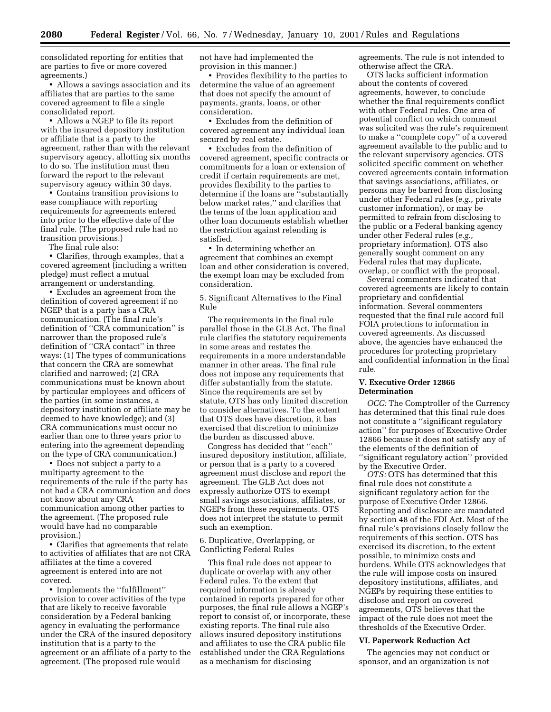consolidated reporting for entities that are parties to five or more covered agreements.)

• Allows a savings association and its affiliates that are parties to the same covered agreement to file a single consolidated report.

• Allows a NGEP to file its report with the insured depository institution or affiliate that is a party to the agreement, rather than with the relevant supervisory agency, allotting six months to do so. The institution must then forward the report to the relevant supervisory agency within 30 days.

• Contains transition provisions to ease compliance with reporting requirements for agreements entered into prior to the effective date of the final rule. (The proposed rule had no transition provisions.)

The final rule also:

• Clarifies, through examples, that a covered agreement (including a written pledge) must reflect a mutual arrangement or understanding.

• Excludes an agreement from the definition of covered agreement if no NGEP that is a party has a CRA communication. (The final rule's definition of ''CRA communication'' is narrower than the proposed rule's definition of ''CRA contact'' in three ways: (1) The types of communications that concern the CRA are somewhat clarified and narrowed; (2) CRA communications must be known about by particular employees and officers of the parties (in some instances, a depository institution or affiliate may be deemed to have knowledge); and (3) CRA communications must occur no earlier than one to three years prior to entering into the agreement depending on the type of CRA communication.)

• Does not subject a party to a multiparty agreement to the requirements of the rule if the party has not had a CRA communication and does not know about any CRA communication among other parties to the agreement. (The proposed rule would have had no comparable provision.)

• Clarifies that agreements that relate to activities of affiliates that are not CRA affiliates at the time a covered agreement is entered into are not covered.

• Implements the "fulfillment" provision to cover activities of the type that are likely to receive favorable consideration by a Federal banking agency in evaluating the performance under the CRA of the insured depository institution that is a party to the agreement or an affiliate of a party to the agreement. (The proposed rule would

not have had implemented the provision in this manner.)

• Provides flexibility to the parties to determine the value of an agreement that does not specify the amount of payments, grants, loans, or other consideration.

• Excludes from the definition of covered agreement any individual loan secured by real estate.

• Excludes from the definition of covered agreement, specific contracts or commitments for a loan or extension of credit if certain requirements are met, provides flexibility to the parties to determine if the loans are ''substantially below market rates,'' and clarifies that the terms of the loan application and other loan documents establish whether the restriction against relending is satisfied.

• In determining whether an agreement that combines an exempt loan and other consideration is covered, the exempt loan may be excluded from consideration.

5. Significant Alternatives to the Final Rule

The requirements in the final rule parallel those in the GLB Act. The final rule clarifies the statutory requirements in some areas and restates the requirements in a more understandable manner in other areas. The final rule does not impose any requirements that differ substantially from the statute. Since the requirements are set by statute, OTS has only limited discretion to consider alternatives. To the extent that OTS does have discretion, it has exercised that discretion to minimize the burden as discussed above.

Congress has decided that ''each'' insured depository institution, affiliate, or person that is a party to a covered agreement must disclose and report the agreement. The GLB Act does not expressly authorize OTS to exempt small savings associations, affiliates, or NGEPs from these requirements. OTS does not interpret the statute to permit such an exemption.

6. Duplicative, Overlapping, or Conflicting Federal Rules

This final rule does not appear to duplicate or overlap with any other Federal rules. To the extent that required information is already contained in reports prepared for other purposes, the final rule allows a NGEP's report to consist of, or incorporate, these existing reports. The final rule also allows insured depository institutions and affiliates to use the CRA public file established under the CRA Regulations as a mechanism for disclosing

agreements. The rule is not intended to otherwise affect the CRA.

OTS lacks sufficient information about the contents of covered agreements, however, to conclude whether the final requirements conflict with other Federal rules. One area of potential conflict on which comment was solicited was the rule's requirement to make a ''complete copy'' of a covered agreement available to the public and to the relevant supervisory agencies. OTS solicited specific comment on whether covered agreements contain information that savings associations, affiliates, or persons may be barred from disclosing under other Federal rules (*e.g.,* private customer information), or may be permitted to refrain from disclosing to the public or a Federal banking agency under other Federal rules (*e.g.,* proprietary information). OTS also generally sought comment on any Federal rules that may duplicate, overlap, or conflict with the proposal.

Several commenters indicated that covered agreements are likely to contain proprietary and confidential information. Several commenters requested that the final rule accord full FOIA protections to information in covered agreements. As discussed above, the agencies have enhanced the procedures for protecting proprietary and confidential information in the final rule.

## **V. Executive Order 12866 Determination**

*OCC:* The Comptroller of the Currency has determined that this final rule does not constitute a ''significant regulatory action'' for purposes of Executive Order 12866 because it does not satisfy any of the elements of the definition of ''significant regulatory action'' provided by the Executive Order.

*OTS:* OTS has determined that this final rule does not constitute a significant regulatory action for the purpose of Executive Order 12866. Reporting and disclosure are mandated by section 48 of the FDI Act. Most of the final rule's provisions closely follow the requirements of this section. OTS has exercised its discretion, to the extent possible, to minimize costs and burdens. While OTS acknowledges that the rule will impose costs on insured depository institutions, affiliates, and NGEPs by requiring these entities to disclose and report on covered agreements, OTS believes that the impact of the rule does not meet the thresholds of the Executive Order.

#### **VI. Paperwork Reduction Act**

The agencies may not conduct or sponsor, and an organization is not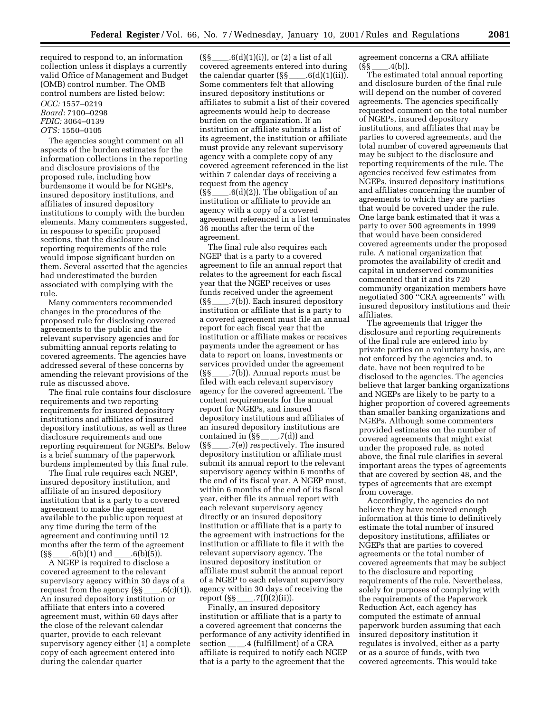required to respond to, an information collection unless it displays a currently valid Office of Management and Budget (OMB) control number. The OMB control numbers are listed below: *OCC:* 1557–0219 *Board:* 7100–0298 *FDIC:* 3064–0139 *OTS:* 1550–0105

The agencies sought comment on all aspects of the burden estimates for the information collections in the reporting and disclosure provisions of the proposed rule, including how burdensome it would be for NGEPs, insured depository institutions, and affiliates of insured depository institutions to comply with the burden elements. Many commenters suggested, in response to specific proposed sections, that the disclosure and reporting requirements of the rule would impose significant burden on them. Several asserted that the agencies had underestimated the burden associated with complying with the rule.

Many commenters recommended changes in the procedures of the proposed rule for disclosing covered agreements to the public and the relevant supervisory agencies and for submitting annual reports relating to covered agreements. The agencies have addressed several of these concerns by amending the relevant provisions of the rule as discussed above.

The final rule contains four disclosure requirements and two reporting requirements for insured depository institutions and affiliates of insured depository institutions, as well as three disclosure requirements and one reporting requirement for NGEPs. Below is a brief summary of the paperwork burdens implemented by this final rule.

The final rule requires each NGEP, insured depository institution, and affiliate of an insured depository institution that is a party to a covered agreement to make the agreement available to the public upon request at any time during the term of the agreement and continuing until 12 months after the term of the agreement  $(S\$  \_\_\_\_\_.6(b)(1) and \_\_\_\_\_.6(b)(5)).

A NGEP is required to disclose a covered agreement to the relevant supervisory agency within 30 days of a request from the agency  $(S\{-\}$ .6(c)(1)). An insured depository institution or affiliate that enters into a covered agreement must, within 60 days after the close of the relevant calendar quarter, provide to each relevant supervisory agency either (1) a complete copy of each agreement entered into during the calendar quarter

 $(\S\ \S$  \_\_\_\_.6(d)(1)(i)), or (2) a list of all covered agreements entered into during the calendar quarter  $(S\ S - .6(d)(1)(ii))$ . Some commenters felt that allowing insured depository institutions or affiliates to submit a list of their covered agreements would help to decrease burden on the organization. If an institution or affiliate submits a list of its agreement, the institution or affiliate must provide any relevant supervisory agency with a complete copy of any covered agreement referenced in the list within 7 calendar days of receiving a request from the agency  $(S\ S_\text{max}.6(d)(2))$ . The obligation of an institution or affiliate to provide an agency with a copy of a covered agreement referenced in a list terminates 36 months after the term of the agreement.

The final rule also requires each NGEP that is a party to a covered agreement to file an annual report that relates to the agreement for each fiscal year that the NGEP receives or uses funds received under the agreement  $(S\{-S_1,\ldots,Z(b)\})$ . Each insured depository institution or affiliate that is a party to a covered agreement must file an annual report for each fiscal year that the institution or affiliate makes or receives payments under the agreement or has data to report on loans, investments or services provided under the agreement  $(S\{-1,7(b)\})$ . Annual reports must be filed with each relevant supervisory agency for the covered agreement. The content requirements for the annual report for NGEPs, and insured depository institutions and affiliates of an insured depository institutions are contained in  $(\S\S$ <sub>1.</sub>7(d)) and  $(S\{-S_1,\ldots,Z(e)\})$  respectively. The insured depository institution or affiliate must submit its annual report to the relevant supervisory agency within 6 months of the end of its fiscal year. A NGEP must, within 6 months of the end of its fiscal year, either file its annual report with each relevant supervisory agency directly or an insured depository institution or affiliate that is a party to the agreement with instructions for the institution or affiliate to file it with the relevant supervisory agency. The insured depository institution or affiliate must submit the annual report of a NGEP to each relevant supervisory agency within 30 days of receiving the report  $(\S\S$  \_\_\_\_\_.7(f)(2)(ii)).

Finally, an insured depository institution or affiliate that is a party to a covered agreement that concerns the performance of any activity identified in section \_\_\_\_\_.4 (fulfillment) of a CRA affiliate is required to notify each NGEP that is a party to the agreement that the

agreement concerns a CRA affiliate (§§ll.4(b)).

The estimated total annual reporting and disclosure burden of the final rule will depend on the number of covered agreements. The agencies specifically requested comment on the total number of NGEPs, insured depository institutions, and affiliates that may be parties to covered agreements, and the total number of covered agreements that may be subject to the disclosure and reporting requirements of the rule. The agencies received few estimates from NGEPs, insured depository institutions and affiliates concerning the number of agreements to which they are parties that would be covered under the rule. One large bank estimated that it was a party to over 500 agreements in 1999 that would have been considered covered agreements under the proposed rule. A national organization that promotes the availability of credit and capital in underserved communities commented that it and its 720 community organization members have negotiated 300 ''CRA agreements'' with insured depository institutions and their affiliates.

The agreements that trigger the disclosure and reporting requirements of the final rule are entered into by private parties on a voluntary basis, are not enforced by the agencies and, to date, have not been required to be disclosed to the agencies. The agencies believe that larger banking organizations and NGEPs are likely to be party to a higher proportion of covered agreements than smaller banking organizations and NGEPs. Although some commenters provided estimates on the number of covered agreements that might exist under the proposed rule, as noted above, the final rule clarifies in several important areas the types of agreements that are covered by section 48, and the types of agreements that are exempt from coverage.

Accordingly, the agencies do not believe they have received enough information at this time to definitively estimate the total number of insured depository institutions, affiliates or NGEPs that are parties to covered agreements or the total number of covered agreements that may be subject to the disclosure and reporting requirements of the rule. Nevertheless, solely for purposes of complying with the requirements of the Paperwork Reduction Act, each agency has computed the estimate of annual paperwork burden assuming that each insured depository institution it regulates is involved, either as a party or as a source of funds, with two covered agreements. This would take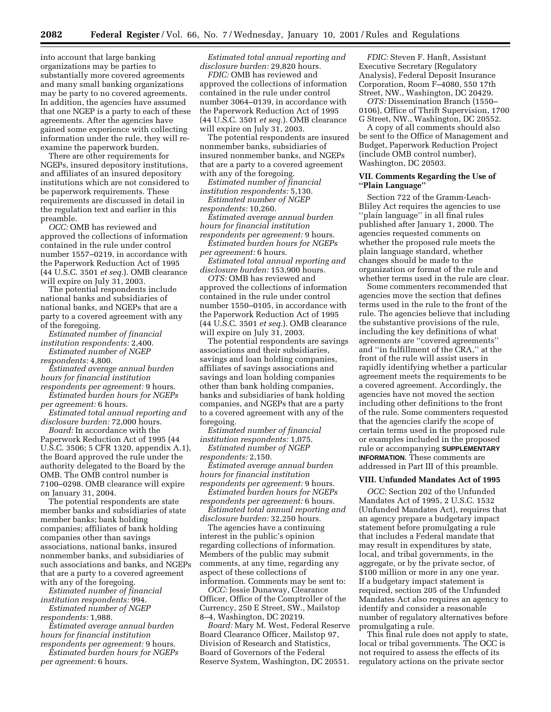into account that large banking organizations may be parties to substantially more covered agreements and many small banking organizations may be party to no covered agreements. In addition, the agencies have assumed that one NGEP is a party to each of these agreements. After the agencies have gained some experience with collecting information under the rule, they will reexamine the paperwork burden.

There are other requirements for NGEPs, insured depository institutions, and affiliates of an insured depository institutions which are not considered to be paperwork requirements. These requirements are discussed in detail in the regulation text and earlier in this preamble.

*OCC:* OMB has reviewed and approved the collections of information contained in the rule under control number 1557–0219, in accordance with the Paperwork Reduction Act of 1995 (44 U.S.C. 3501 *et seq.*). OMB clearance will expire on July 31, 2003.

The potential respondents include national banks and subsidiaries of national banks, and NGEPs that are a party to a covered agreement with any of the foregoing.

*Estimated number of financial institution respondents:* 2,400.

*Estimated number of NGEP respondents:* 4,800.

*Estimated average annual burden hours for financial institution respondents per agreement:* 9 hours.

*Estimated burden hours for NGEPs per agreement:* 6 hours.

*Estimated total annual reporting and disclosure burden:* 72,000 hours.

*Board:* In accordance with the Paperwork Reduction Act of 1995 (44 U.S.C. 3506; 5 CFR 1320, appendix A.1), the Board approved the rule under the authority delegated to the Board by the OMB. The OMB control number is 7100–0298. OMB clearance will expire on January 31, 2004.

The potential respondents are state member banks and subsidiaries of state member banks; bank holding companies; affiliates of bank holding companies other than savings associations, national banks, insured nonmember banks, and subsidiaries of such associations and banks, and NGEPs that are a party to a covered agreement with any of the foregoing.

*Estimated number of financial institution respondents:* 994.

*Estimated number of NGEP respondents:* 1,988.

*Estimated average annual burden hours for financial institution respondents per agreement:* 9 hours.

*Estimated burden hours for NGEPs per agreement:* 6 hours.

*Estimated total annual reporting and disclosure burden:* 29,820 hours.

*FDIC:* OMB has reviewed and approved the collections of information contained in the rule under control number 3064–0139, in accordance with the Paperwork Reduction Act of 1995 (44 U.S.C. 3501 *et seq.*). OMB clearance will expire on July 31, 2003.

The potential respondents are insured nonmember banks, subsidiaries of insured nonmember banks, and NGEPs that are a party to a covered agreement with any of the foregoing.

*Estimated number of financial institution respondents:* 5,130.

*Estimated number of NGEP respondents:* 10,260.

*Estimated average annual burden hours for financial institution respondents per agreement:* 9 hours.

*Estimated burden hours for NGEPs per agreement:* 6 hours.

*Estimated total annual reporting and disclosure burden:* 153,900 hours.

*OTS:* OMB has reviewed and approved the collections of information contained in the rule under control number 1550–0105, in accordance with the Paperwork Reduction Act of 1995 (44 U.S.C. 3501 *et seq.*). OMB clearance will expire on July 31, 2003.

The potential respondents are savings associations and their subsidiaries, savings and loan holding companies, affiliates of savings associations and savings and loan holding companies other than bank holding companies, banks and subsidiaries of bank holding companies, and NGEPs that are a party to a covered agreement with any of the foregoing.

*Estimated number of financial institution respondents:* 1,075.

*Estimated number of NGEP respondents:* 2,150.

*Estimated average annual burden hours for financial institution respondents per agreement:* 9 hours. *Estimated burden hours for NGEPs*

*respondents per agreement:* 6 hours. *Estimated total annual reporting and*

*disclosure burden:* 32,250 hours.

The agencies have a continuing interest in the public's opinion regarding collections of information. Members of the public may submit comments, at any time, regarding any aspect of these collections of information. Comments may be sent to:

*OCC:* Jessie Dunaway, Clearance Officer, Office of the Comptroller of the Currency, 250 E Street, SW., Mailstop 8–4, Washington, DC 20219.

*Board:* Mary M. West, Federal Reserve Board Clearance Officer, Mailstop 97, Division of Research and Statistics, Board of Governors of the Federal Reserve System, Washington, DC 20551.

*FDIC:* Steven F. Hanft, Assistant Executive Secretary (Regulatory Analysis), Federal Deposit Insurance Corporation, Room F–4080, 550 17th Street, NW., Washington, DC 20429.

*OTS:* Dissemination Branch (1550– 0106), Office of Thrift Supervision, 1700 G Street, NW., Washington, DC 20552.

A copy of all comments should also be sent to the Office of Management and Budget, Paperwork Reduction Project (include OMB control number), Washington, DC 20503.

#### **VII. Comments Regarding the Use of ''Plain Language''**

Section 722 of the Gramm-Leach-Bliley Act requires the agencies to use ''plain language'' in all final rules published after January 1, 2000. The agencies requested comments on whether the proposed rule meets the plain language standard, whether changes should be made to the organization or format of the rule and whether terms used in the rule are clear.

Some commenters recommended that agencies move the section that defines terms used in the rule to the front of the rule. The agencies believe that including the substantive provisions of the rule, including the key definitions of what agreements are ''covered agreements'' and ''in fulfillment of the CRA,'' at the front of the rule will assist users in rapidly identifying whether a particular agreement meets the requirements to be a covered agreement. Accordingly, the agencies have not moved the section including other definitions to the front of the rule. Some commenters requested that the agencies clarify the scope of certain terms used in the proposed rule or examples included in the proposed rule or accompanying **SUPPLEMENTARY INFORMATION**. These comments are addressed in Part III of this preamble.

#### **VIII. Unfunded Mandates Act of 1995**

*OCC:* Section 202 of the Unfunded Mandates Act of 1995, 2 U.S.C. 1532 (Unfunded Mandates Act), requires that an agency prepare a budgetary impact statement before promulgating a rule that includes a Federal mandate that may result in expenditures by state, local, and tribal governments, in the aggregate, or by the private sector, of \$100 million or more in any one year. If a budgetary impact statement is required, section 205 of the Unfunded Mandates Act also requires an agency to identify and consider a reasonable number of regulatory alternatives before promulgating a rule.

This final rule does not apply to state, local or tribal governments. The OCC is not required to assess the effects of its regulatory actions on the private sector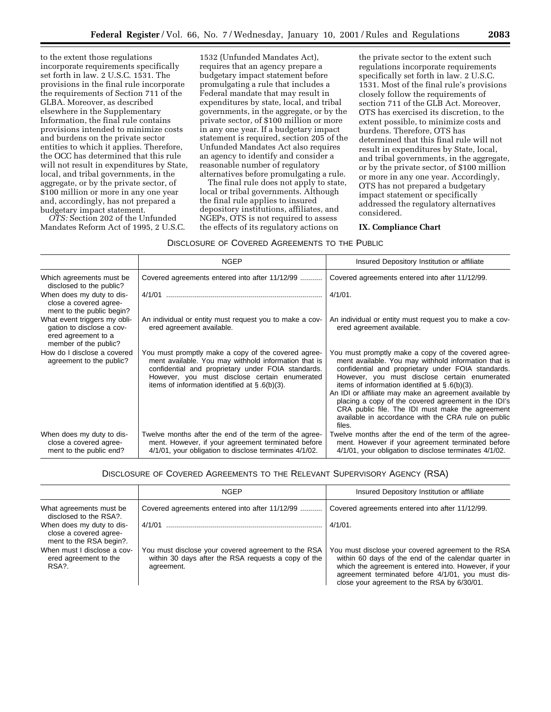to the extent those regulations incorporate requirements specifically set forth in law. 2 U.S.C. 1531. The provisions in the final rule incorporate the requirements of Section 711 of the GLBA. Moreover, as described elsewhere in the Supplementary Information, the final rule contains provisions intended to minimize costs and burdens on the private sector entities to which it applies. Therefore, the OCC has determined that this rule will not result in expenditures by State, local, and tribal governments, in the aggregate, or by the private sector, of \$100 million or more in any one year and, accordingly, has not prepared a budgetary impact statement.

*OTS:* Section 202 of the Unfunded Mandates Reform Act of 1995, 2 U.S.C.

1532 (Unfunded Mandates Act), requires that an agency prepare a budgetary impact statement before promulgating a rule that includes a Federal mandate that may result in expenditures by state, local, and tribal governments, in the aggregate, or by the private sector, of \$100 million or more in any one year. If a budgetary impact statement is required, section 205 of the Unfunded Mandates Act also requires an agency to identify and consider a reasonable number of regulatory alternatives before promulgating a rule.

The final rule does not apply to state, local or tribal governments. Although the final rule applies to insured depository institutions, affiliates, and NGEPs, OTS is not required to assess the effects of its regulatory actions on

the private sector to the extent such regulations incorporate requirements specifically set forth in law. 2 U.S.C. 1531. Most of the final rule's provisions closely follow the requirements of section 711 of the GLB Act. Moreover, OTS has exercised its discretion, to the extent possible, to minimize costs and burdens. Therefore, OTS has determined that this final rule will not result in expenditures by State, local, and tribal governments, in the aggregate, or by the private sector, of \$100 million or more in any one year. Accordingly, OTS has not prepared a budgetary impact statement or specifically addressed the regulatory alternatives considered.

#### **IX. Compliance Chart**

## DISCLOSURE OF COVERED AGREEMENTS TO THE PUBLIC

|                                                                                                           | <b>NGEP</b>                                                                                                                                                                                                                                                             | Insured Depository Institution or affiliate                                                                                                                                                                                                                                                                                                                                                                                                                                                                    |
|-----------------------------------------------------------------------------------------------------------|-------------------------------------------------------------------------------------------------------------------------------------------------------------------------------------------------------------------------------------------------------------------------|----------------------------------------------------------------------------------------------------------------------------------------------------------------------------------------------------------------------------------------------------------------------------------------------------------------------------------------------------------------------------------------------------------------------------------------------------------------------------------------------------------------|
| Which agreements must be<br>disclosed to the public?                                                      | Covered agreements entered into after 11/12/99                                                                                                                                                                                                                          | Covered agreements entered into after 11/12/99.                                                                                                                                                                                                                                                                                                                                                                                                                                                                |
| When does my duty to dis-<br>close a covered agree-<br>ment to the public begin?                          | 4/1/01                                                                                                                                                                                                                                                                  | $4/1/01$ .                                                                                                                                                                                                                                                                                                                                                                                                                                                                                                     |
| What event triggers my obli-<br>gation to disclose a cov-<br>ered agreement to a<br>member of the public? | An individual or entity must request you to make a cov-<br>ered agreement available.                                                                                                                                                                                    | An individual or entity must request you to make a cov-<br>ered agreement available.                                                                                                                                                                                                                                                                                                                                                                                                                           |
| How do I disclose a covered<br>agreement to the public?                                                   | You must promptly make a copy of the covered agree-<br>ment available. You may withhold information that is<br>confidential and proprietary under FOIA standards.<br>However, you must disclose certain enumerated<br>items of information identified at $\S.6(b)(3)$ . | You must promptly make a copy of the covered agree-<br>ment available. You may withhold information that is<br>confidential and proprietary under FOIA standards.<br>However, you must disclose certain enumerated<br>items of information identified at $\S$ .6(b)(3).<br>An IDI or affiliate may make an agreement available by<br>placing a copy of the covered agreement in the IDI's<br>CRA public file. The IDI must make the agreement<br>available in accordance with the CRA rule on public<br>files. |
| When does my duty to dis-<br>close a covered agree-<br>ment to the public end?                            | Twelve months after the end of the term of the agree-<br>ment. However, if your agreement terminated before<br>4/1/01, your obligation to disclose terminates 4/1/02.                                                                                                   | Twelve months after the end of the term of the agree-<br>ment. However if your agreement terminated before<br>4/1/01, your obligation to disclose terminates 4/1/02.                                                                                                                                                                                                                                                                                                                                           |

## DISCLOSURE OF COVERED AGREEMENTS TO THE RELEVANT SUPERVISORY AGENCY (RSA)

|                                                                                | <b>NGEP</b>                                                                                                              | Insured Depository Institution or affiliate                                                                                                                                                                                                                              |
|--------------------------------------------------------------------------------|--------------------------------------------------------------------------------------------------------------------------|--------------------------------------------------------------------------------------------------------------------------------------------------------------------------------------------------------------------------------------------------------------------------|
| What agreements must be<br>disclosed to the RSA?.                              | Covered agreements entered into after 11/12/99                                                                           | Covered agreements entered into after 11/12/99.                                                                                                                                                                                                                          |
| When does my duty to dis-<br>close a covered agree-<br>ment to the RSA begin?. | 4/1/01                                                                                                                   | $4/1/01$ .                                                                                                                                                                                                                                                               |
| When must I disclose a cov-<br>ered agreement to the<br>RSA?.                  | You must disclose your covered agreement to the RSA<br>within 30 days after the RSA requests a copy of the<br>agreement. | You must disclose your covered agreement to the RSA<br>within 60 days of the end of the calendar quarter in<br>which the agreement is entered into. However, if your<br>agreement terminated before 4/1/01, you must dis-<br>close your agreement to the RSA by 6/30/01. |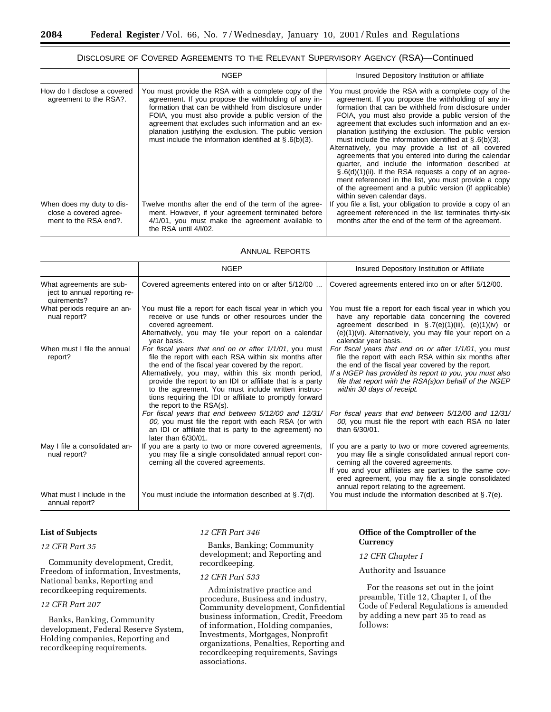## DISCLOSURE OF COVERED AGREEMENTS TO THE RELEVANT SUPERVISORY AGENCY (RSA)—Continued

|                                                                              | <b>NGEP</b>                                                                                                                                                                                                                                                                                                                                                                                               | Insured Depository Institution or affiliate                                                                                                                                                                                                                                                                                                                                                                                                                                                                                                                                                                                                                                                                                                                                                  |
|------------------------------------------------------------------------------|-----------------------------------------------------------------------------------------------------------------------------------------------------------------------------------------------------------------------------------------------------------------------------------------------------------------------------------------------------------------------------------------------------------|----------------------------------------------------------------------------------------------------------------------------------------------------------------------------------------------------------------------------------------------------------------------------------------------------------------------------------------------------------------------------------------------------------------------------------------------------------------------------------------------------------------------------------------------------------------------------------------------------------------------------------------------------------------------------------------------------------------------------------------------------------------------------------------------|
| How do I disclose a covered<br>agreement to the RSA?.                        | You must provide the RSA with a complete copy of the<br>agreement. If you propose the withholding of any in-<br>formation that can be withheld from disclosure under<br>FOIA, you must also provide a public version of the<br>agreement that excludes such information and an ex-<br>planation justifying the exclusion. The public version<br>must include the information identified at $\S$ .6(b)(3). | You must provide the RSA with a complete copy of the<br>agreement. If you propose the withholding of any in-<br>formation that can be withheld from disclosure under<br>FOIA, you must also provide a public version of the<br>agreement that excludes such information and an ex-<br>planation justifying the exclusion. The public version<br>must include the information identified at $\S$ .6(b)(3).<br>Alternatively, you may provide a list of all covered<br>agreements that you entered into during the calendar<br>quarter, and include the information described at<br>$\S.6(d)(1)(ii)$ . If the RSA requests a copy of an agree-<br>ment referenced in the list, you must provide a copy<br>of the agreement and a public version (if applicable)<br>within seven calendar days. |
| When does my duty to dis-<br>close a covered agree-<br>ment to the RSA end?. | Twelve months after the end of the term of the agree-<br>ment. However, if your agreement terminated before<br>4/1/01, you must make the agreement available to<br>the RSA until 4/1/02.                                                                                                                                                                                                                  | If you file a list, your obligation to provide a copy of an<br>agreement referenced in the list terminates thirty-six<br>months after the end of the term of the agreement.                                                                                                                                                                                                                                                                                                                                                                                                                                                                                                                                                                                                                  |

#### ANNUAL REPORTS

|                                                                         | <b>NGEP</b>                                                                                                                                                                                                                                                                                                                                                                                                                                | Insured Depository Institution or Affiliate                                                                                                                                                                                                                                                                            |
|-------------------------------------------------------------------------|--------------------------------------------------------------------------------------------------------------------------------------------------------------------------------------------------------------------------------------------------------------------------------------------------------------------------------------------------------------------------------------------------------------------------------------------|------------------------------------------------------------------------------------------------------------------------------------------------------------------------------------------------------------------------------------------------------------------------------------------------------------------------|
| What agreements are sub-<br>ject to annual reporting re-<br>quirements? | Covered agreements entered into on or after 5/12/00                                                                                                                                                                                                                                                                                                                                                                                        | Covered agreements entered into on or after 5/12/00.                                                                                                                                                                                                                                                                   |
| What periods require an an-<br>nual report?                             | You must file a report for each fiscal year in which you<br>receive or use funds or other resources under the<br>covered agreement.<br>Alternatively, you may file your report on a calendar<br>year basis.                                                                                                                                                                                                                                | You must file a report for each fiscal year in which you<br>have any reportable data concerning the covered<br>agreement described in $\S$ .7(e)(1)(iii), (e)(1)(iv) or<br>(e)(1)(vi). Alternatively, you may file your report on a<br>calendar year basis.                                                            |
| When must I file the annual<br>report?                                  | For fiscal years that end on or after 1/1/01, you must<br>file the report with each RSA within six months after<br>the end of the fiscal year covered by the report.<br>Alternatively, you may, within this six month period,<br>provide the report to an IDI or affiliate that is a party<br>to the agreement. You must include written instruc-<br>tions requiring the IDI or affiliate to promptly forward<br>the report to the RSA(s). | For fiscal years that end on or after 1/1/01, you must<br>file the report with each RSA within six months after<br>the end of the fiscal year covered by the report.<br>If a NGEP has provided its report to you, you must also<br>file that report with the RSA(s)on behalf of the NGEP<br>within 30 days of receipt. |
|                                                                         | For fiscal years that end between 5/12/00 and 12/31/<br>00, you must file the report with each RSA (or with<br>an IDI or affiliate that is party to the agreement) no<br>later than $6/30/01$ .                                                                                                                                                                                                                                            | For fiscal years that end between 5/12/00 and 12/31/<br>00, you must file the report with each RSA no later<br>than 6/30/01.                                                                                                                                                                                           |
| May I file a consolidated an-<br>nual report?                           | If you are a party to two or more covered agreements,<br>you may file a single consolidated annual report con-<br>cerning all the covered agreements.                                                                                                                                                                                                                                                                                      | If you are a party to two or more covered agreements,<br>you may file a single consolidated annual report con-<br>cerning all the covered agreements.<br>If you and your affiliates are parties to the same cov-<br>ered agreement, you may file a single consolidated<br>annual report relating to the agreement.     |
| What must I include in the<br>annual report?                            | You must include the information described at $\S$ .7(d).                                                                                                                                                                                                                                                                                                                                                                                  | You must include the information described at $\S$ .7(e).                                                                                                                                                                                                                                                              |

## **List of Subjects**

## *12 CFR Part 35*

Community development, Credit, Freedom of information, Investments, National banks, Reporting and recordkeeping requirements.

#### *12 CFR Part 207*

Banks, Banking, Community development, Federal Reserve System, Holding companies, Reporting and recordkeeping requirements.

## *12 CFR Part 346*

Banks, Banking; Community development; and Reporting and recordkeeping.

## *12 CFR Part 533*

Administrative practice and procedure, Business and industry, Community development, Confidential business information, Credit, Freedom of information, Holding companies, Investments, Mortgages, Nonprofit organizations, Penalties, Reporting and recordkeeping requirements, Savings associations.

## **Office of the Comptroller of the Currency**

*12 CFR Chapter I*

#### Authority and Issuance

For the reasons set out in the joint preamble, Title 12, Chapter I, of the Code of Federal Regulations is amended by adding a new part 35 to read as follows: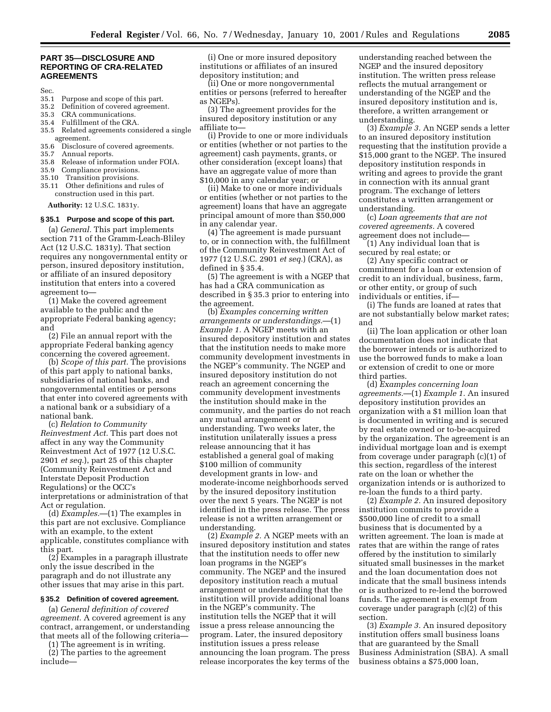#### **PART 35—DISCLOSURE AND REPORTING OF CRA-RELATED AGREEMENTS**

- Sec.<br>35.1 Purpose and scope of this part.
- 35.2 Definition of covered agreement.
- 35.3 CRA communications.<br>35.4 Fulfillment of the CRA
- 35.4 Fulfillment of the CRA.
- 35.5 Related agreements considered a single agreement.<br>35.6 Disclosur
- 35.6 Disclosure of covered agreements.<br>35.7 Annual reports.
- Annual reports.
- 35.8 Release of information under FOIA.
- 35.9 Compliance provisions.
- 35.10 Transition provisions.
- 35.11 Other definitions and rules of construction used in this part.

**Authority:** 12 U.S.C. 1831y.

#### **§ 35.1 Purpose and scope of this part.**

(a) *General.* This part implements section 711 of the Gramm-Leach-Bliley Act (12 U.S.C. 1831y). That section requires any nongovernmental entity or person, insured depository institution, or affiliate of an insured depository institution that enters into a covered agreement to—

(1) Make the covered agreement available to the public and the appropriate Federal banking agency; and

(2) File an annual report with the appropriate Federal banking agency concerning the covered agreement.

(b) *Scope of this part.* The provisions of this part apply to national banks, subsidiaries of national banks, and nongovernmental entities or persons that enter into covered agreements with a national bank or a subsidiary of a national bank.

(c) *Relation to Community Reinvestment Act.* This part does not affect in any way the Community Reinvestment Act of 1977 (12 U.S.C. 2901 *et seq.*), part 25 of this chapter (Community Reinvestment Act and Interstate Deposit Production Regulations) or the OCC's interpretations or administration of that Act or regulation.

(d) *Examples.*—(1) The examples in this part are not exclusive. Compliance with an example, to the extent applicable, constitutes compliance with this part.

(2) Examples in a paragraph illustrate only the issue described in the paragraph and do not illustrate any other issues that may arise in this part.

#### **§ 35.2 Definition of covered agreement.**

(a) *General definition of covered agreement.* A covered agreement is any contract, arrangement, or understanding that meets all of the following criteria—

(1) The agreement is in writing.

(2) The parties to the agreement include—

(i) One or more insured depository institutions or affiliates of an insured depository institution; and

(ii) One or more nongovernmental entities or persons (referred to hereafter as NGEPs).

(3) The agreement provides for the insured depository institution or any affiliate to—

(i) Provide to one or more individuals or entities (whether or not parties to the agreement) cash payments, grants, or other consideration (except loans) that have an aggregate value of more than \$10,000 in any calendar year; or

(ii) Make to one or more individuals or entities (whether or not parties to the agreement) loans that have an aggregate principal amount of more than \$50,000 in any calendar year.

(4) The agreement is made pursuant to, or in connection with, the fulfillment of the Community Reinvestment Act of 1977 (12 U.S.C. 2901 *et seq.*) (CRA), as defined in § 35.4.

(5) The agreement is with a NGEP that has had a CRA communication as described in § 35.3 prior to entering into the agreement.

(b) *Examples concerning written arrangements or understandings.*—(1) *Example 1.* A NGEP meets with an insured depository institution and states that the institution needs to make more community development investments in the NGEP's community. The NGEP and insured depository institution do not reach an agreement concerning the community development investments the institution should make in the community, and the parties do not reach any mutual arrangement or understanding. Two weeks later, the institution unilaterally issues a press release announcing that it has established a general goal of making \$100 million of community development grants in low- and moderate-income neighborhoods served by the insured depository institution over the next 5 years. The NGEP is not identified in the press release. The press release is not a written arrangement or understanding.

(2) *Example 2.* A NGEP meets with an insured depository institution and states that the institution needs to offer new loan programs in the NGEP's community. The NGEP and the insured depository institution reach a mutual arrangement or understanding that the institution will provide additional loans in the NGEP's community. The institution tells the NGEP that it will issue a press release announcing the program. Later, the insured depository institution issues a press release announcing the loan program. The press release incorporates the key terms of the

understanding reached between the NGEP and the insured depository institution. The written press release reflects the mutual arrangement or understanding of the NGEP and the insured depository institution and is, therefore, a written arrangement or understanding.

(3) *Example 3.* An NGEP sends a letter to an insured depository institution requesting that the institution provide a \$15,000 grant to the NGEP. The insured depository institution responds in writing and agrees to provide the grant in connection with its annual grant program. The exchange of letters constitutes a written arrangement or understanding.

(c) *Loan agreements that are not covered agreements.* A covered agreement does not include—

(1) Any individual loan that is secured by real estate; or

(2) Any specific contract or commitment for a loan or extension of credit to an individual, business, farm, or other entity, or group of such individuals or entities, if—

(i) The funds are loaned at rates that are not substantially below market rates; and

(ii) The loan application or other loan documentation does not indicate that the borrower intends or is authorized to use the borrowed funds to make a loan or extension of credit to one or more third parties.

(d) *Examples concerning loan agreements.*—(1) *Example 1.* An insured depository institution provides an organization with a \$1 million loan that is documented in writing and is secured by real estate owned or to-be-acquired by the organization. The agreement is an individual mortgage loan and is exempt from coverage under paragraph (c)(1) of this section, regardless of the interest rate on the loan or whether the organization intends or is authorized to re-loan the funds to a third party.

(2) *Example 2.* An insured depository institution commits to provide a \$500,000 line of credit to a small business that is documented by a written agreement. The loan is made at rates that are within the range of rates offered by the institution to similarly situated small businesses in the market and the loan documentation does not indicate that the small business intends or is authorized to re-lend the borrowed funds. The agreement is exempt from coverage under paragraph (c)(2) of this section.

(3) *Example 3.* An insured depository institution offers small business loans that are guaranteed by the Small Business Administration (SBA). A small business obtains a \$75,000 loan,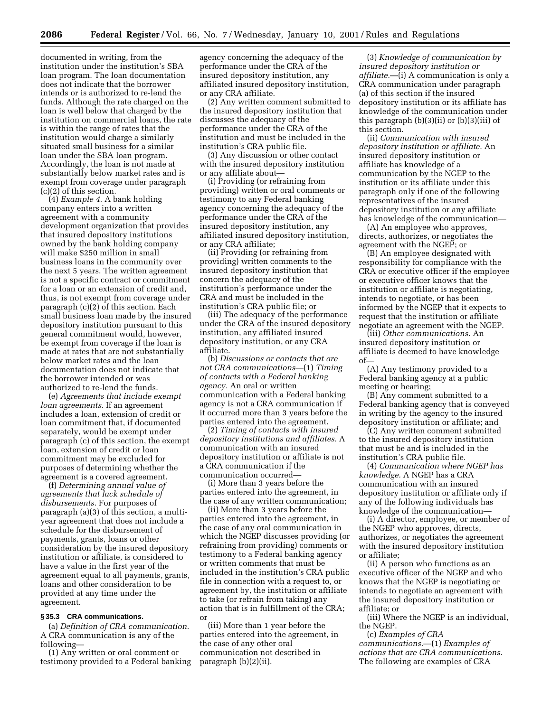documented in writing, from the institution under the institution's SBA loan program. The loan documentation does not indicate that the borrower intends or is authorized to re-lend the funds. Although the rate charged on the loan is well below that charged by the institution on commercial loans, the rate is within the range of rates that the institution would charge a similarly situated small business for a similar loan under the SBA loan program. Accordingly, the loan is not made at substantially below market rates and is exempt from coverage under paragraph (c)(2) of this section.

(4) *Example 4.* A bank holding company enters into a written agreement with a community development organization that provides that insured depository institutions owned by the bank holding company will make \$250 million in small business loans in the community over the next 5 years. The written agreement is not a specific contract or commitment for a loan or an extension of credit and, thus, is not exempt from coverage under paragraph (c)(2) of this section. Each small business loan made by the insured depository institution pursuant to this general commitment would, however, be exempt from coverage if the loan is made at rates that are not substantially below market rates and the loan documentation does not indicate that the borrower intended or was authorized to re-lend the funds.

(e) *Agreements that include exempt loan agreements.* If an agreement includes a loan, extension of credit or loan commitment that, if documented separately, would be exempt under paragraph (c) of this section, the exempt loan, extension of credit or loan commitment may be excluded for purposes of determining whether the agreement is a covered agreement.

(f) *Determining annual value of agreements that lack schedule of disbursements.* For purposes of paragraph (a)(3) of this section, a multiyear agreement that does not include a schedule for the disbursement of payments, grants, loans or other consideration by the insured depository institution or affiliate, is considered to have a value in the first year of the agreement equal to all payments, grants, loans and other consideration to be provided at any time under the agreement.

## **§ 35.3 CRA communications.**

(a) *Definition of CRA communication.* A CRA communication is any of the following—

(1) Any written or oral comment or testimony provided to a Federal banking

agency concerning the adequacy of the performance under the CRA of the insured depository institution, any affiliated insured depository institution, or any CRA affiliate.

(2) Any written comment submitted to the insured depository institution that discusses the adequacy of the performance under the CRA of the institution and must be included in the institution's CRA public file.

(3) Any discussion or other contact with the insured depository institution or any affiliate about—

(i) Providing (or refraining from providing) written or oral comments or testimony to any Federal banking agency concerning the adequacy of the performance under the CRA of the insured depository institution, any affiliated insured depository institution, or any CRA affiliate;

(ii) Providing (or refraining from providing) written comments to the insured depository institution that concern the adequacy of the institution's performance under the CRA and must be included in the institution's CRA public file; or

(iii) The adequacy of the performance under the CRA of the insured depository institution, any affiliated insured depository institution, or any CRA affiliate.

(b) *Discussions or contacts that are not CRA communications*—(1) *Timing of contacts with a Federal banking agency.* An oral or written communication with a Federal banking agency is not a CRA communication if it occurred more than 3 years before the parties entered into the agreement.

(2) *Timing of contacts with insured depository institutions and affiliates.* A communication with an insured depository institution or affiliate is not a CRA communication if the communication occurred—

(i) More than 3 years before the parties entered into the agreement, in the case of any written communication;

(ii) More than 3 years before the parties entered into the agreement, in the case of any oral communication in which the NGEP discusses providing (or refraining from providing) comments or testimony to a Federal banking agency or written comments that must be included in the institution's CRA public file in connection with a request to, or agreement by, the institution or affiliate to take (or refrain from taking) any action that is in fulfillment of the CRA; or

(iii) More than 1 year before the parties entered into the agreement, in the case of any other oral communication not described in paragraph (b)(2)(ii).

(3) *Knowledge of communication by insured depository institution or affiliate.*—(i) A communication is only a CRA communication under paragraph (a) of this section if the insured depository institution or its affiliate has knowledge of the communication under this paragraph (b)(3)(ii) or (b)(3)(iii) of this section.

(ii) *Communication with insured depository institution or affiliate.* An insured depository institution or affiliate has knowledge of a communication by the NGEP to the institution or its affiliate under this paragraph only if one of the following representatives of the insured depository institution or any affiliate has knowledge of the communication—

(A) An employee who approves, directs, authorizes, or negotiates the agreement with the NGEP; or

(B) An employee designated with responsibility for compliance with the CRA or executive officer if the employee or executive officer knows that the institution or affiliate is negotiating, intends to negotiate, or has been informed by the NGEP that it expects to request that the institution or affiliate negotiate an agreement with the NGEP.

(iii) *Other communications.* An insured depository institution or affiliate is deemed to have knowledge of—

(A) Any testimony provided to a Federal banking agency at a public meeting or hearing;

(B) Any comment submitted to a Federal banking agency that is conveyed in writing by the agency to the insured depository institution or affiliate; and

(C) Any written comment submitted to the insured depository institution that must be and is included in the institution's CRA public file.

(4) *Communication where NGEP has knowledge.* A NGEP has a CRA communication with an insured depository institution or affiliate only if any of the following individuals has knowledge of the communication—

(i) A director, employee, or member of the NGEP who approves, directs, authorizes, or negotiates the agreement with the insured depository institution or affiliate;

(ii) A person who functions as an executive officer of the NGEP and who knows that the NGEP is negotiating or intends to negotiate an agreement with the insured depository institution or affiliate; or

(iii) Where the NGEP is an individual, the NGEP.

(c) *Examples of CRA communications.*—(1) *Examples of actions that are CRA communications.* The following are examples of CRA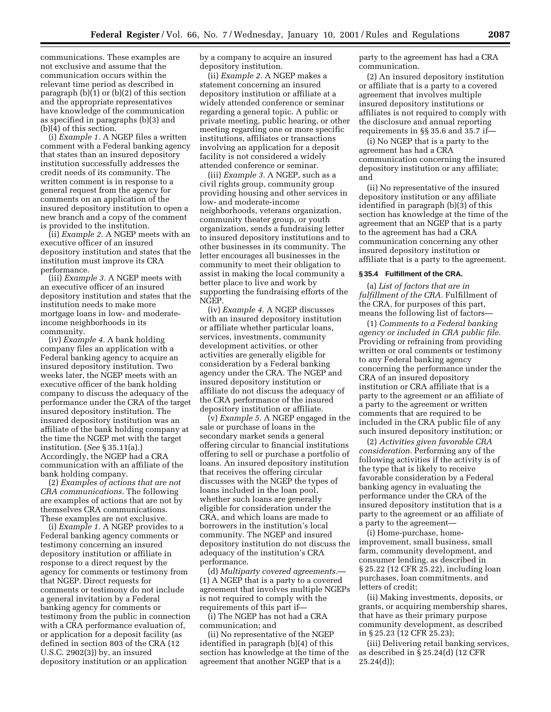communications. These examples are not exclusive and assume that the communication occurs within the relevant time period as described in paragraph (b)(1) or (b)(2) of this section and the appropriate representatives have knowledge of the communication as specified in paragraphs (b)(3) and (b)(4) of this section.

(i) *Example 1.* A NGEP files a written comment with a Federal banking agency that states than an insured depository institution successfully addresses the credit needs of its community. The written comment is in response to a general request from the agency for comments on an application of the insured depository institution to open a new branch and a copy of the comment is provided to the institution.

(ii) *Example 2.* A NGEP meets with an executive officer of an insured depository institution and states that the institution must improve its CRA performance.

(iii) *Example 3.* A NGEP meets with an executive officer of an insured depository institution and states that the institution needs to make more mortgage loans in low- and moderateincome neighborhoods in its community.

(iv) *Example 4.* A bank holding company files an application with a Federal banking agency to acquire an insured depository institution. Two weeks later, the NGEP meets with an executive officer of the bank holding company to discuss the adequacy of the performance under the CRA of the target insured depository institution. The insured depository institution was an affiliate of the bank holding company at the time the NGEP met with the target institution. (*See* § 35.11(a).) Accordingly, the NGEP had a CRA communication with an affiliate of the bank holding company.

(2) *Examples of actions that are not CRA communications.* The following are examples of actions that are not by themselves CRA communications. These examples are not exclusive.

(i) *Example 1.* A NGEP provides to a Federal banking agency comments or testimony concerning an insured depository institution or affiliate in response to a direct request by the agency for comments or testimony from that NGEP. Direct requests for comments or testimony do not include a general invitation by a Federal banking agency for comments or testimony from the public in connection with a CRA performance evaluation of, or application for a deposit facility (as defined in section 803 of the CRA (12 U.S.C. 2902(3)) by, an insured depository institution or an application

by a company to acquire an insured depository institution.

(ii) *Example 2.* A NGEP makes a statement concerning an insured depository institution or affiliate at a widely attended conference or seminar regarding a general topic. A public or private meeting, public hearing, or other meeting regarding one or more specific institutions, affiliates or transactions involving an application for a deposit facility is not considered a widely attended conference or seminar.

(iii) *Example 3.* A NGEP, such as a civil rights group, community group providing housing and other services in low- and moderate-income neighborhoods, veterans organization, community theater group, or youth organization, sends a fundraising letter to insured depository institutions and to other businesses in its community. The letter encourages all businesses in the community to meet their obligation to assist in making the local community a better place to live and work by supporting the fundraising efforts of the NGEP.

(iv) *Example 4.* A NGEP discusses with an insured depository institution or affiliate whether particular loans, services, investments, community development activities, or other activities are generally eligible for consideration by a Federal banking agency under the CRA. The NGEP and insured depository institution or affiliate do not discuss the adequacy of the CRA performance of the insured depository institution or affiliate.

(v) *Example 5.* A NGEP engaged in the sale or purchase of loans in the secondary market sends a general offering circular to financial institutions offering to sell or purchase a portfolio of loans. An insured depository institution that receives the offering circular discusses with the NGEP the types of loans included in the loan pool, whether such loans are generally eligible for consideration under the CRA, and which loans are made to borrowers in the institution's local community. The NGEP and insured depository institution do not discuss the adequacy of the institution's CRA performance.

(d) *Multiparty covered agreements.*— (1) A NGEP that is a party to a covered agreement that involves multiple NGEPs is not required to comply with the requirements of this part if—

(i) The NGEP has not had a CRA communication; and

(ii) No representative of the NGEP identified in paragraph (b)(4) of this section has knowledge at the time of the agreement that another NGEP that is a

party to the agreement has had a CRA communication.

(2) An insured depository institution or affiliate that is a party to a covered agreement that involves multiple insured depository institutions or affiliates is not required to comply with the disclosure and annual reporting requirements in §§ 35.6 and 35.7 if—

(i) No NGEP that is a party to the agreement has had a CRA communication concerning the insured depository institution or any affiliate; and

(ii) No representative of the insured depository institution or any affiliate identified in paragraph (b)(3) of this section has knowledge at the time of the agreement that an NGEP that is a party to the agreement has had a CRA communication concerning any other insured depository institution or affiliate that is a party to the agreement.

#### **§ 35.4 Fulfillment of the CRA.**

(a) *List of factors that are in fulfillment of the CRA.* Fulfillment of the CRA, for purposes of this part, means the following list of factors—

(1) *Comments to a Federal banking agency or included in CRA public file.* Providing or refraining from providing written or oral comments or testimony to any Federal banking agency concerning the performance under the CRA of an insured depository institution or CRA affiliate that is a party to the agreement or an affiliate of a party to the agreement or written comments that are required to be included in the CRA public file of any such insured depository institution; or

(2) *Activities given favorable CRA consideration.* Performing any of the following activities if the activity is of the type that is likely to receive favorable consideration by a Federal banking agency in evaluating the performance under the CRA of the insured depository institution that is a party to the agreement or an affiliate of a party to the agreement—

(i) Home-purchase, homeimprovement, small business, small farm, community development, and consumer lending, as described in § 25.22 (12 CFR 25.22), including loan purchases, loan commitments, and letters of credit;

(ii) Making investments, deposits, or grants, or acquiring membership shares, that have as their primary purpose community development, as described in § 25.23 (12 CFR 25.23);

(iii) Delivering retail banking services, as described in § 25.24(d) (12 CFR  $25.24(d)$ ;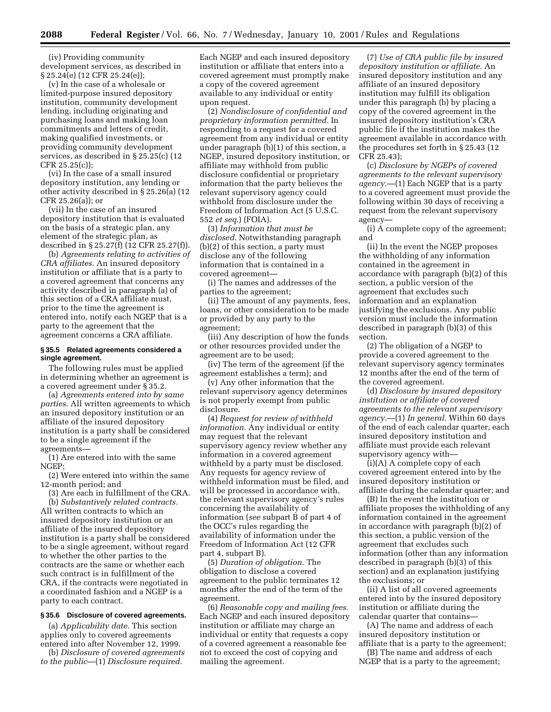(iv) Providing community development services, as described in § 25.24(e) (12 CFR 25.24(e));

(v) In the case of a wholesale or limited-purpose insured depository institution, community development lending, including originating and purchasing loans and making loan commitments and letters of credit, making qualified investments, or providing community development services, as described in § 25.25(c) (12 CFR 25.25(c));

(vi) In the case of a small insured depository institution, any lending or other activity described in § 25.26(a) (12 CFR 25.26(a)); or

(vii) In the case of an insured depository institution that is evaluated on the basis of a strategic plan, any element of the strategic plan, as described in § 25.27(f) (12 CFR 25.27(f)).

(b) *Agreements relating to activities of CRA affiliates.* An insured depository institution or affiliate that is a party to a covered agreement that concerns any activity described in paragraph (a) of this section of a CRA affiliate must, prior to the time the agreement is entered into, notify each NGEP that is a party to the agreement that the agreement concerns a CRA affiliate.

#### **§ 35.5 Related agreements considered a single agreement.**

The following rules must be applied in determining whether an agreement is a covered agreement under § 35.2.

(a) *Agreements entered into by same parties.* All written agreements to which an insured depository institution or an affiliate of the insured depository institution is a party shall be considered to be a single agreement if the agreements—

(1) Are entered into with the same NGEP;

(2) Were entered into within the same 12-month period; and

(3) Are each in fulfillment of the CRA. (b) *Substantively related contracts.*

All written contracts to which an insured depository institution or an affiliate of the insured depository institution is a party shall be considered to be a single agreement, without regard to whether the other parties to the contracts are the same or whether each such contract is in fulfillment of the CRA, if the contracts were negotiated in a coordinated fashion and a NGEP is a party to each contract.

#### **§ 35.6 Disclosure of covered agreements.**

(a) *Applicability date.* This section applies only to covered agreements entered into after November 12, 1999.

(b) *Disclosure of covered agreements to the public*—(1) *Disclosure required.*

Each NGEP and each insured depository institution or affiliate that enters into a covered agreement must promptly make a copy of the covered agreement available to any individual or entity upon request.

(2) *Nondisclosure of confidential and proprietary information permitted.* In responding to a request for a covered agreement from any individual or entity under paragraph (b)(1) of this section, a NGEP, insured depository institution, or affiliate may withhold from public disclosure confidential or proprietary information that the party believes the relevant supervisory agency could withhold from disclosure under the Freedom of Information Act (5 U.S.C. 552 *et seq.*) (FOIA).

(3) *Information that must be disclosed.* Notwithstanding paragraph (b)(2) of this section, a party must disclose any of the following information that is contained in a covered agreement—

(i) The names and addresses of the parties to the agreement;

(ii) The amount of any payments, fees, loans, or other consideration to be made or provided by any party to the agreement;

(iii) Any description of how the funds or other resources provided under the agreement are to be used;

(iv) The term of the agreement (if the agreement establishes a term); and

(v) Any other information that the relevant supervisory agency determines is not properly exempt from public disclosure.

(4) *Request for review of withheld information.* Any individual or entity may request that the relevant supervisory agency review whether any information in a covered agreement withheld by a party must be disclosed. Any requests for agency review of withheld information must be filed, and will be processed in accordance with, the relevant supervisory agency's rules concerning the availability of information (*see* subpart B of part 4 of the OCC's rules regarding the availability of information under the Freedom of Information Act (12 CFR part 4, subpart B).

(5) *Duration of obligation.* The obligation to disclose a covered agreement to the public terminates 12 months after the end of the term of the agreement.

(6) *Reasonable copy and mailing fees.* Each NGEP and each insured depository institution or affiliate may charge an individual or entity that requests a copy of a covered agreement a reasonable fee not to exceed the cost of copying and mailing the agreement.

(7) *Use of CRA public file by insured depository institution or affiliate.* An insured depository institution and any affiliate of an insured depository institution may fulfill its obligation under this paragraph (b) by placing a copy of the covered agreement in the insured depository institution's CRA public file if the institution makes the agreement available in accordance with the procedures set forth in § 25.43 (12 CFR 25.43);

(c) *Disclosure by NGEPs of covered agreements to the relevant supervisory agency.*—(1) Each NGEP that is a party to a covered agreement must provide the following within 30 days of receiving a request from the relevant supervisory agency—

(i) A complete copy of the agreement; and

(ii) In the event the NGEP proposes the withholding of any information contained in the agreement in accordance with paragraph (b)(2) of this section, a public version of the agreement that excludes such information and an explanation justifying the exclusions. Any public version must include the information described in paragraph (b)(3) of this section.

(2) The obligation of a NGEP to provide a covered agreement to the relevant supervisory agency terminates 12 months after the end of the term of the covered agreement.

(d) *Disclosure by insured depository institution or affiliate of covered agreements to the relevant supervisory agency.*—(1) *In general.* Within 60 days of the end of each calendar quarter, each insured depository institution and affiliate must provide each relevant supervisory agency with—

(i)(A) A complete copy of each covered agreement entered into by the insured depository institution or affiliate during the calendar quarter; and

(B) In the event the institution or affiliate proposes the withholding of any information contained in the agreement in accordance with paragraph (b)(2) of this section, a public version of the agreement that excludes such information (other than any information described in paragraph (b)(3) of this section) and an explanation justifying the exclusions; or

(ii) A list of all covered agreements entered into by the insured depository institution or affiliate during the calendar quarter that contains—

(A) The name and address of each insured depository institution or affiliate that is a party to the agreement;

(B) The name and address of each NGEP that is a party to the agreement;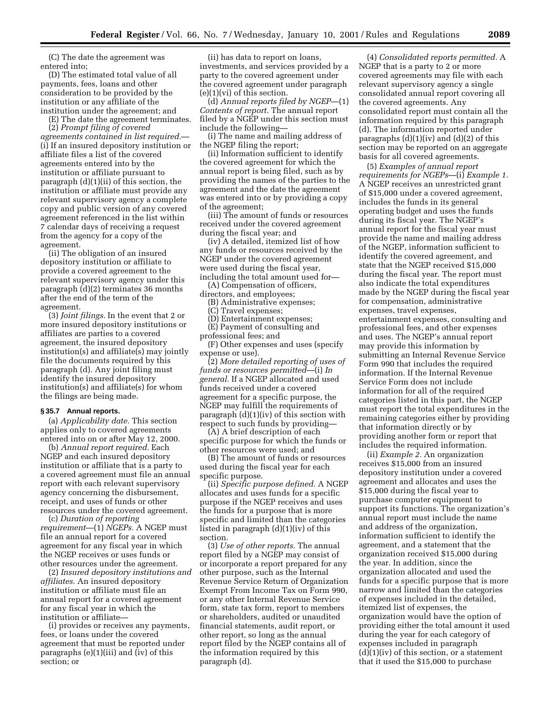(C) The date the agreement was entered into;

(D) The estimated total value of all payments, fees, loans and other consideration to be provided by the institution or any affiliate of the institution under the agreement; and

(E) The date the agreement terminates.

(2) *Prompt filing of covered agreements contained in list required.*— (i) If an insured depository institution or affiliate files a list of the covered agreements entered into by the institution or affiliate pursuant to paragraph (d)(1)(ii) of this section, the institution or affiliate must provide any relevant supervisory agency a complete copy and public version of any covered agreement referenced in the list within 7 calendar days of receiving a request from the agency for a copy of the agreement.

(ii) The obligation of an insured depository institution or affiliate to provide a covered agreement to the relevant supervisory agency under this paragraph (d)(2) terminates 36 months after the end of the term of the agreement.

(3) *Joint filings.* In the event that 2 or more insured depository institutions or affiliates are parties to a covered agreement, the insured depository institution(s) and affiliate(s) may jointly file the documents required by this paragraph (d). Any joint filing must identify the insured depository institution(s) and affiliate(s) for whom the filings are being made.

#### **§ 35.7 Annual reports.**

(a) *Applicability date.* This section applies only to covered agreements entered into on or after May 12, 2000.

(b) *Annual report required.* Each NGEP and each insured depository institution or affiliate that is a party to a covered agreement must file an annual report with each relevant supervisory agency concerning the disbursement, receipt, and uses of funds or other resources under the covered agreement.

(c) *Duration of reporting requirement*—(1) *NGEPs.* A NGEP must file an annual report for a covered agreement for any fiscal year in which the NGEP receives or uses funds or other resources under the agreement.

(2) *Insured depository institutions and affiliates.* An insured depository institution or affiliate must file an annual report for a covered agreement for any fiscal year in which the institution or affiliate—

(i) provides or receives any payments, fees, or loans under the covered agreement that must be reported under paragraphs (e)(1)(iii) and (iv) of this section; or

(ii) has data to report on loans, investments, and services provided by a party to the covered agreement under the covered agreement under paragraph  $(e)(1)(vi)$  of this section.

(d) *Annual reports filed by NGEP*—(1) *Contents of report.* The annual report filed by a NGEP under this section must include the following—

(i) The name and mailing address of the NGEP filing the report;

(ii) Information sufficient to identify the covered agreement for which the annual report is being filed, such as by providing the names of the parties to the agreement and the date the agreement was entered into or by providing a copy of the agreement;

(iii) The amount of funds or resources received under the covered agreement during the fiscal year; and

(iv) A detailed, itemized list of how any funds or resources received by the NGEP under the covered agreement were used during the fiscal year, including the total amount used for—

(A) Compensation of officers, directors, and employees;

(B) Administrative expenses;

(C) Travel expenses;

(D) Entertainment expenses;

(E) Payment of consulting and professional fees; and

(F) Other expenses and uses (specify expense or use).

(2) *More detailed reporting of uses of funds or resources permitted*—(i) *In general.* If a NGEP allocated and used funds received under a covered agreement for a specific purpose, the NGEP may fulfill the requirements of paragraph (d)(1)(iv) of this section with respect to such funds by providing—

(A) A brief description of each specific purpose for which the funds or other resources were used; and

(B) The amount of funds or resources used during the fiscal year for each specific purpose.

(ii) *Specific purpose defined.* A NGEP allocates and uses funds for a specific purpose if the NGEP receives and uses the funds for a purpose that is more specific and limited than the categories listed in paragraph (d)(1)(iv) of this section.

(3) *Use of other reports.* The annual report filed by a NGEP may consist of or incorporate a report prepared for any other purpose, such as the Internal Revenue Service Return of Organization Exempt From Income Tax on Form 990, or any other Internal Revenue Service form, state tax form, report to members or shareholders, audited or unaudited financial statements, audit report, or other report, so long as the annual report filed by the NGEP contains all of the information required by this paragraph (d).

(4) *Consolidated reports permitted.* A NGEP that is a party to 2 or more covered agreements may file with each relevant supervisory agency a single consolidated annual report covering all the covered agreements. Any consolidated report must contain all the information required by this paragraph (d). The information reported under paragraphs  $(d)(1)(iv)$  and  $(d)(2)$  of this section may be reported on an aggregate basis for all covered agreements.

(5) *Examples of annual report requirements for NGEPs*—(i) *Example 1.* A NGEP receives an unrestricted grant of \$15,000 under a covered agreement, includes the funds in its general operating budget and uses the funds during its fiscal year. The NGEP's annual report for the fiscal year must provide the name and mailing address of the NGEP, information sufficient to identify the covered agreement, and state that the NGEP received \$15,000 during the fiscal year. The report must also indicate the total expenditures made by the NGEP during the fiscal year for compensation, administrative expenses, travel expenses, entertainment expenses, consulting and professional fees, and other expenses and uses. The NGEP's annual report may provide this information by submitting an Internal Revenue Service Form 990 that includes the required information. If the Internal Revenue Service Form does not include information for all of the required categories listed in this part, the NGEP must report the total expenditures in the remaining categories either by providing that information directly or by providing another form or report that includes the required information.

(ii) *Example 2.* An organization receives \$15,000 from an insured depository institution under a covered agreement and allocates and uses the \$15,000 during the fiscal year to purchase computer equipment to support its functions. The organization's annual report must include the name and address of the organization, information sufficient to identify the agreement, and a statement that the organization received \$15,000 during the year. In addition, since the organization allocated and used the funds for a specific purpose that is more narrow and limited than the categories of expenses included in the detailed, itemized list of expenses, the organization would have the option of providing either the total amount it used during the year for each category of expenses included in paragraph  $(d)(1)(iv)$  of this section, or a statement that it used the \$15,000 to purchase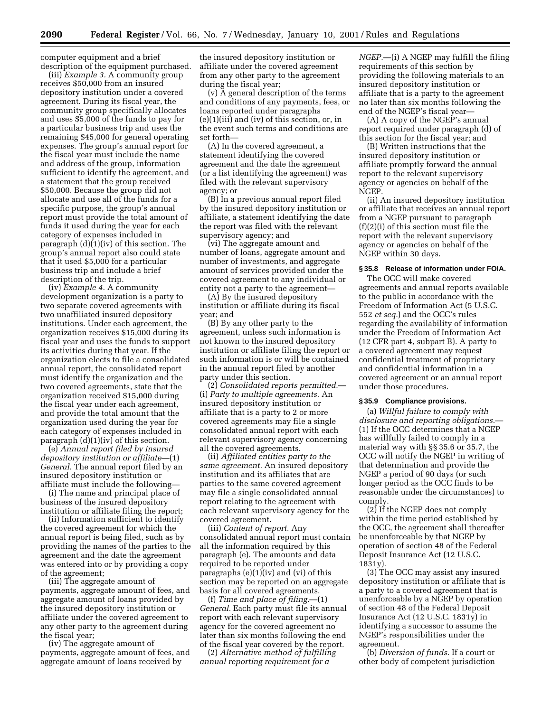computer equipment and a brief description of the equipment purchased.

(iii) *Example 3.* A community group receives \$50,000 from an insured depository institution under a covered agreement. During its fiscal year, the community group specifically allocates and uses \$5,000 of the funds to pay for a particular business trip and uses the remaining \$45,000 for general operating expenses. The group's annual report for the fiscal year must include the name and address of the group, information sufficient to identify the agreement, and a statement that the group received \$50,000. Because the group did not allocate and use all of the funds for a specific purpose, the group's annual report must provide the total amount of funds it used during the year for each category of expenses included in paragraph (d)(1)(iv) of this section. The group's annual report also could state that it used \$5,000 for a particular business trip and include a brief description of the trip.

(iv) *Example 4.* A community development organization is a party to two separate covered agreements with two unaffiliated insured depository institutions. Under each agreement, the organization receives \$15,000 during its fiscal year and uses the funds to support its activities during that year. If the organization elects to file a consolidated annual report, the consolidated report must identify the organization and the two covered agreements, state that the organization received \$15,000 during the fiscal year under each agreement, and provide the total amount that the organization used during the year for each category of expenses included in paragraph (d)(1)(iv) of this section.

(e) *Annual report filed by insured depository institution or affiliate*—(1) *General.* The annual report filed by an insured depository institution or affiliate must include the following—

(i) The name and principal place of business of the insured depository institution or affiliate filing the report;

(ii) Information sufficient to identify the covered agreement for which the annual report is being filed, such as by providing the names of the parties to the agreement and the date the agreement was entered into or by providing a copy of the agreement;

(iii) The aggregate amount of payments, aggregate amount of fees, and aggregate amount of loans provided by the insured depository institution or affiliate under the covered agreement to any other party to the agreement during the fiscal year;

(iv) The aggregate amount of payments, aggregate amount of fees, and aggregate amount of loans received by

the insured depository institution or affiliate under the covered agreement from any other party to the agreement during the fiscal year;

(v) A general description of the terms and conditions of any payments, fees, or loans reported under paragraphs (e)(1)(iii) and (iv) of this section, or, in the event such terms and conditions are set forth—

(A) In the covered agreement, a statement identifying the covered agreement and the date the agreement (or a list identifying the agreement) was filed with the relevant supervisory agency; or

(B) In a previous annual report filed by the insured depository institution or affiliate, a statement identifying the date the report was filed with the relevant supervisory agency; and

(vi) The aggregate amount and number of loans, aggregate amount and number of investments, and aggregate amount of services provided under the covered agreement to any individual or entity not a party to the agreement—

(A) By the insured depository institution or affiliate during its fiscal year; and

(B) By any other party to the agreement, unless such information is not known to the insured depository institution or affiliate filing the report or such information is or will be contained in the annual report filed by another party under this section.

(2) *Consolidated reports permitted.*— (i) *Party to multiple agreements.* An insured depository institution or affiliate that is a party to 2 or more covered agreements may file a single consolidated annual report with each relevant supervisory agency concerning all the covered agreements.

(ii) *Affiliated entities party to the same agreement.* An insured depository institution and its affiliates that are parties to the same covered agreement may file a single consolidated annual report relating to the agreement with each relevant supervisory agency for the covered agreement.

(iii) *Content of report.* Any consolidated annual report must contain all the information required by this paragraph (e). The amounts and data required to be reported under paragraphs (e)(1)(iv) and (vi) of this section may be reported on an aggregate basis for all covered agreements.

(f) *Time and place of filing.*—(1) *General.* Each party must file its annual report with each relevant supervisory agency for the covered agreement no later than six months following the end of the fiscal year covered by the report.

(2) *Alternative method of fulfilling annual reporting requirement for a*

*NGEP.*—(i) A NGEP may fulfill the filing requirements of this section by providing the following materials to an insured depository institution or affiliate that is a party to the agreement no later than six months following the end of the NGEP's fiscal year—

(A) A copy of the NGEP's annual report required under paragraph (d) of this section for the fiscal year; and

(B) Written instructions that the insured depository institution or affiliate promptly forward the annual report to the relevant supervisory agency or agencies on behalf of the NGEP.

(ii) An insured depository institution or affiliate that receives an annual report from a NGEP pursuant to paragraph (f)(2)(i) of this section must file the report with the relevant supervisory agency or agencies on behalf of the NGEP within 30 days.

## **§ 35.8 Release of information under FOIA.**

The OCC will make covered agreements and annual reports available to the public in accordance with the Freedom of Information Act (5 U.S.C. 552 *et seq.*) and the OCC's rules regarding the availability of information under the Freedom of Information Act (12 CFR part 4, subpart B). A party to a covered agreement may request confidential treatment of proprietary and confidential information in a covered agreement or an annual report under those procedures.

#### **§ 35.9 Compliance provisions.**

(a) *Willful failure to comply with disclosure and reporting obligations.*— (1) If the OCC determines that a NGEP has willfully failed to comply in a material way with §§ 35.6 or 35.7, the OCC will notify the NGEP in writing of that determination and provide the NGEP a period of 90 days (or such longer period as the OCC finds to be reasonable under the circumstances) to comply.

(2) If the NGEP does not comply within the time period established by the OCC, the agreement shall thereafter be unenforceable by that NGEP by operation of section 48 of the Federal Deposit Insurance Act (12 U.S.C. 1831y).

(3) The OCC may assist any insured depository institution or affiliate that is a party to a covered agreement that is unenforceable by a NGEP by operation of section 48 of the Federal Deposit Insurance Act (12 U.S.C. 1831y) in identifying a successor to assume the NGEP's responsibilities under the agreement.

(b) *Diversion of funds.* If a court or other body of competent jurisdiction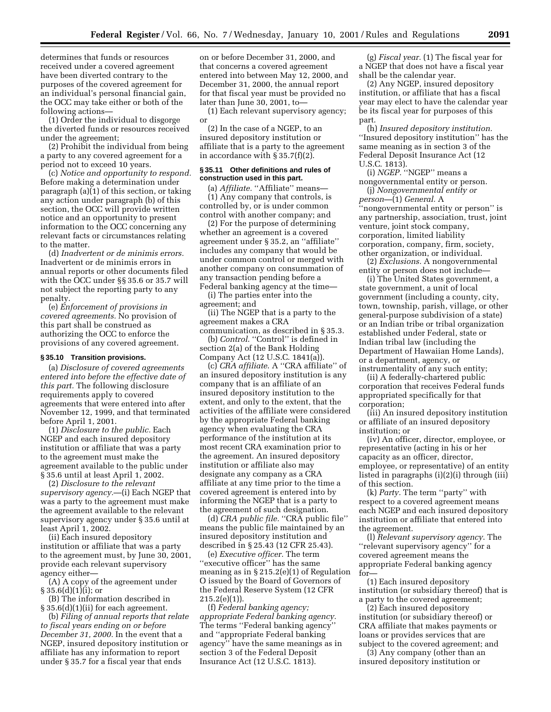determines that funds or resources received under a covered agreement have been diverted contrary to the purposes of the covered agreement for an individual's personal financial gain, the OCC may take either or both of the following actions—

(1) Order the individual to disgorge the diverted funds or resources received under the agreement;

(2) Prohibit the individual from being a party to any covered agreement for a period not to exceed 10 years.

(c) *Notice and opportunity to respond.* Before making a determination under paragraph (a)(1) of this section, or taking any action under paragraph (b) of this section, the OCC will provide written notice and an opportunity to present information to the OCC concerning any relevant facts or circumstances relating to the matter.

(d) *Inadvertent or de minimis errors.* Inadvertent or de minimis errors in annual reports or other documents filed with the OCC under §§ 35.6 or 35.7 will not subject the reporting party to any penalty.

(e) *Enforcement of provisions in covered agreements.* No provision of this part shall be construed as authorizing the OCC to enforce the provisions of any covered agreement.

#### **§ 35.10 Transition provisions.**

(a) *Disclosure of covered agreements entered into before the effective date of this part.* The following disclosure requirements apply to covered agreements that were entered into after November 12, 1999, and that terminated before April 1, 2001.

(1) *Disclosure to the public.* Each NGEP and each insured depository institution or affiliate that was a party to the agreement must make the agreement available to the public under § 35.6 until at least April 1, 2002.

(2) *Disclosure to the relevant supervisory agency.*—(i) Each NGEP that was a party to the agreement must make the agreement available to the relevant supervisory agency under § 35.6 until at least April 1, 2002.

(ii) Each insured depository institution or affiliate that was a party to the agreement must, by June 30, 2001, provide each relevant supervisory agency either—

(A) A copy of the agreement under  $\S 35.6(d)(1)(i)$ ; or

(B) The information described in § 35.6(d)(1)(ii) for each agreement.

(b) *Filing of annual reports that relate to fiscal years ending on or before December 31, 2000.* In the event that a NGEP, insured depository institution or affiliate has any information to report under § 35.7 for a fiscal year that ends

on or before December 31, 2000, and that concerns a covered agreement entered into between May 12, 2000, and December 31, 2000, the annual report for that fiscal year must be provided no later than June 30, 2001, to—

(1) Each relevant supervisory agency; or

(2) In the case of a NGEP, to an insured depository institution or affiliate that is a party to the agreement in accordance with § 35.7(f)(2).

#### **§ 35.11 Other definitions and rules of construction used in this part.**

(a) *Affiliate.* "Affiliate" means-(1) Any company that controls, is controlled by, or is under common control with another company; and

(2) For the purpose of determining whether an agreement is a covered agreement under § 35.2, an ''affiliate'' includes any company that would be under common control or merged with another company on consummation of any transaction pending before a Federal banking agency at the time—

(i) The parties enter into the agreement; and

(ii) The NGEP that is a party to the agreement makes a CRA

communication, as described in § 35.3. (b) *Control*. "Control" is defined in section 2(a) of the Bank Holding Company Act (12 U.S.C. 1841(a)).

(c) *CRA affiliate*. A ''CRA affiliate'' of an insured depository institution is any company that is an affiliate of an insured depository institution to the extent, and only to the extent, that the activities of the affiliate were considered by the appropriate Federal banking agency when evaluating the CRA performance of the institution at its most recent CRA examination prior to the agreement. An insured depository institution or affiliate also may designate any company as a CRA affiliate at any time prior to the time a covered agreement is entered into by informing the NGEP that is a party to the agreement of such designation.

(d) *CRA public file.* ''CRA public file'' means the public file maintained by an insured depository institution and described in § 25.43 (12 CFR 25.43).

(e) *Executive officer.* The term ''executive officer'' has the same meaning as in § 215.2(e)(1) of Regulation O issued by the Board of Governors of the Federal Reserve System (12 CFR 215.2(e)(1)).

(f) *Federal banking agency; appropriate Federal banking agency.* The terms ''Federal banking agency'' and ''appropriate Federal banking agency'' have the same meanings as in section 3 of the Federal Deposit Insurance Act (12 U.S.C. 1813).

(g) *Fiscal year.* (1) The fiscal year for a NGEP that does not have a fiscal year shall be the calendar year.

(2) Any NGEP, insured depository institution, or affiliate that has a fiscal year may elect to have the calendar year be its fiscal year for purposes of this part.

(h) *Insured depository institution.* ''Insured depository institution'' has the same meaning as in section 3 of the Federal Deposit Insurance Act (12 U.S.C. 1813).

(i) *NGEP*. "NGEP" means a nongovernmental entity or person.

(j) *Nongovernmental entity or person—*(1) *General.* A

''nongovernmental entity or person'' is any partnership, association, trust, joint venture, joint stock company, corporation, limited liability corporation, company, firm, society, other organization, or individual.

(2) *Exclusions.* A nongovernmental entity or person does not include—

(i) The United States government, a state government, a unit of local government (including a county, city, town, township, parish, village, or other general-purpose subdivision of a state) or an Indian tribe or tribal organization established under Federal, state or Indian tribal law (including the Department of Hawaiian Home Lands), or a department, agency, or instrumentality of any such entity;

(ii) A federally-chartered public corporation that receives Federal funds appropriated specifically for that corporation;

(iii) An insured depository institution or affiliate of an insured depository institution; or

(iv) An officer, director, employee, or representative (acting in his or her capacity as an officer, director, employee, or representative) of an entity listed in paragraphs (i)(2)(i) through (iii) of this section.

(k) *Party.* The term ''party'' with respect to a covered agreement means each NGEP and each insured depository institution or affiliate that entered into the agreement.

(l) *Relevant supervisory agency*. The ''relevant supervisory agency'' for a covered agreement means the appropriate Federal banking agency for—

(1) Each insured depository institution (or subsidiary thereof) that is a party to the covered agreement;

(2) Each insured depository institution (or subsidiary thereof) or CRA affiliate that makes payments or loans or provides services that are subject to the covered agreement; and

(3) Any company (other than an insured depository institution or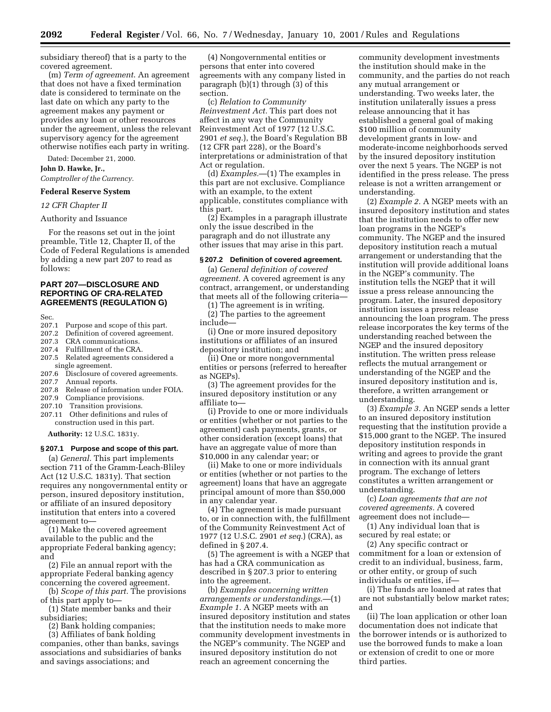subsidiary thereof) that is a party to the covered agreement.

(m) *Term of agreement*. An agreement that does not have a fixed termination date is considered to terminate on the last date on which any party to the agreement makes any payment or provides any loan or other resources under the agreement, unless the relevant supervisory agency for the agreement otherwise notifies each party in writing.

Dated: December 21, 2000.

**John D. Hawke, Jr.,**

*Comptroller of the Currency.*

## **Federal Reserve System**

#### *12 CFR Chapter II*

#### Authority and Issuance

For the reasons set out in the joint preamble, Title 12, Chapter II, of the Code of Federal Regulations is amended by adding a new part 207 to read as follows:

## **PART 207—DISCLOSURE AND REPORTING OF CRA-RELATED AGREEMENTS (REGULATION G)**

- Sec.<br>207.1 Purpose and scope of this part.
- 207.2 Definition of covered agreement.
- 207.3 CRA communications.
- 207.4 Fulfillment of the CRA.
- 207.5 Related agreements considered a single agreement.<br>207.6 Disclosure of o
- Disclosure of covered agreements.
- 207.7 Annual reports.
- 207.8 Release of information under FOIA.
- 207.9 Compliance provisions.
- 207.10 Transition provisions.
- 207.11 Other definitions and rules of construction used in this part.

**Authority:** 12 U.S.C. 1831y.

#### **§ 207.1 Purpose and scope of this part.**

(a) *General.* This part implements section 711 of the Gramm-Leach-Bliley Act (12 U.S.C. 1831y). That section requires any nongovernmental entity or person, insured depository institution, or affiliate of an insured depository institution that enters into a covered agreement to—

(1) Make the covered agreement available to the public and the appropriate Federal banking agency; and

(2) File an annual report with the appropriate Federal banking agency concerning the covered agreement.

(b) *Scope of this part.* The provisions of this part apply to—

(1) State member banks and their subsidiaries;

(2) Bank holding companies;

(3) Affiliates of bank holding

companies, other than banks, savings associations and subsidiaries of banks and savings associations; and

(4) Nongovernmental entities or persons that enter into covered agreements with any company listed in paragraph (b)(1) through (3) of this section.

(c) *Relation to Community Reinvestment Act.* This part does not affect in any way the Community Reinvestment Act of 1977 (12 U.S.C. 2901 *et seq.*), the Board's Regulation BB (12 CFR part 228), or the Board's interpretations or administration of that Act or regulation.

(d) *Examples.*—(1) The examples in this part are not exclusive. Compliance with an example, to the extent applicable, constitutes compliance with this part.

(2) Examples in a paragraph illustrate only the issue described in the paragraph and do not illustrate any other issues that may arise in this part.

#### **§ 207.2 Definition of covered agreement.**

(a) *General definition of covered agreement.* A covered agreement is any contract, arrangement, or understanding that meets all of the following criteria—

(1) The agreement is in writing. (2) The parties to the agreement include—

(i) One or more insured depository institutions or affiliates of an insured depository institution; and

(ii) One or more nongovernmental entities or persons (referred to hereafter as NGEPs).

(3) The agreement provides for the insured depository institution or any affiliate to—

(i) Provide to one or more individuals or entities (whether or not parties to the agreement) cash payments, grants, or other consideration (except loans) that have an aggregate value of more than \$10,000 in any calendar year; or

(ii) Make to one or more individuals or entities (whether or not parties to the agreement) loans that have an aggregate principal amount of more than \$50,000 in any calendar year.

(4) The agreement is made pursuant to, or in connection with, the fulfillment of the Community Reinvestment Act of 1977 (12 U.S.C. 2901 *et seq.*) (CRA), as defined in § 207.4.

(5) The agreement is with a NGEP that has had a CRA communication as described in § 207.3 prior to entering into the agreement.

(b) *Examples concerning written arrangements or understandings*.—(1) *Example 1.* A NGEP meets with an insured depository institution and states that the institution needs to make more community development investments in the NGEP's community. The NGEP and insured depository institution do not reach an agreement concerning the

community development investments the institution should make in the community, and the parties do not reach any mutual arrangement or understanding. Two weeks later, the institution unilaterally issues a press release announcing that it has established a general goal of making \$100 million of community development grants in low- and moderate-income neighborhoods served by the insured depository institution over the next 5 years. The NGEP is not identified in the press release. The press release is not a written arrangement or understanding.

(2) *Example 2.* A NGEP meets with an insured depository institution and states that the institution needs to offer new loan programs in the NGEP's community. The NGEP and the insured depository institution reach a mutual arrangement or understanding that the institution will provide additional loans in the NGEP's community. The institution tells the NGEP that it will issue a press release announcing the program. Later, the insured depository institution issues a press release announcing the loan program. The press release incorporates the key terms of the understanding reached between the NGEP and the insured depository institution. The written press release reflects the mutual arrangement or understanding of the NGEP and the insured depository institution and is, therefore, a written arrangement or understanding.

(3) *Example 3.* An NGEP sends a letter to an insured depository institution requesting that the institution provide a \$15,000 grant to the NGEP. The insured depository institution responds in writing and agrees to provide the grant in connection with its annual grant program. The exchange of letters constitutes a written arrangement or understanding.

(c) *Loan agreements that are not covered agreements.* A covered agreement does not include—

(1) Any individual loan that is secured by real estate; or

(2) Any specific contract or commitment for a loan or extension of credit to an individual, business, farm, or other entity, or group of such individuals or entities, if—

(i) The funds are loaned at rates that are not substantially below market rates; and

(ii) The loan application or other loan documentation does not indicate that the borrower intends or is authorized to use the borrowed funds to make a loan or extension of credit to one or more third parties.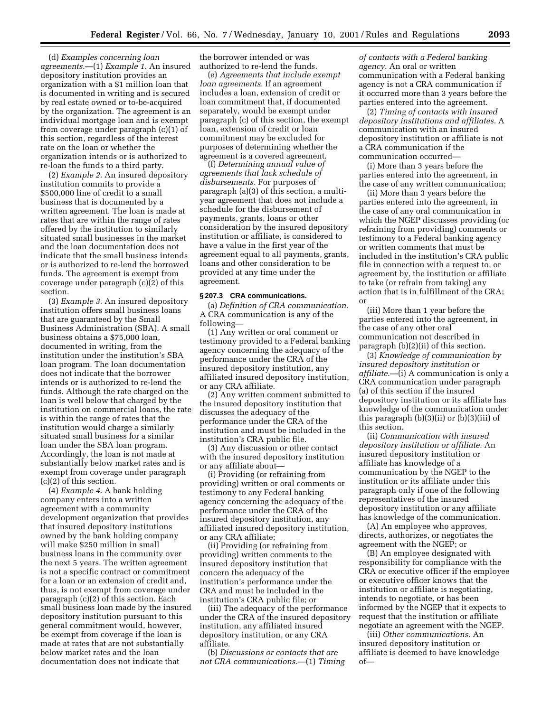(d) *Examples concerning loan agreements*.—(1) *Example 1.* An insured depository institution provides an organization with a \$1 million loan that is documented in writing and is secured by real estate owned or to-be-acquired by the organization. The agreement is an individual mortgage loan and is exempt from coverage under paragraph (c)(1) of this section, regardless of the interest rate on the loan or whether the organization intends or is authorized to re-loan the funds to a third party.

(2) *Example 2.* An insured depository institution commits to provide a \$500,000 line of credit to a small business that is documented by a written agreement. The loan is made at rates that are within the range of rates offered by the institution to similarly situated small businesses in the market and the loan documentation does not indicate that the small business intends or is authorized to re-lend the borrowed funds. The agreement is exempt from coverage under paragraph (c)(2) of this section.

(3) *Example 3.* An insured depository institution offers small business loans that are guaranteed by the Small Business Administration (SBA). A small business obtains a \$75,000 loan, documented in writing, from the institution under the institution's SBA loan program. The loan documentation does not indicate that the borrower intends or is authorized to re-lend the funds. Although the rate charged on the loan is well below that charged by the institution on commercial loans, the rate is within the range of rates that the institution would charge a similarly situated small business for a similar loan under the SBA loan program. Accordingly, the loan is not made at substantially below market rates and is exempt from coverage under paragraph (c)(2) of this section.

(4) *Example 4.* A bank holding company enters into a written agreement with a community development organization that provides that insured depository institutions owned by the bank holding company will make \$250 million in small business loans in the community over the next 5 years. The written agreement is not a specific contract or commitment for a loan or an extension of credit and, thus, is not exempt from coverage under paragraph (c)(2) of this section. Each small business loan made by the insured depository institution pursuant to this general commitment would, however, be exempt from coverage if the loan is made at rates that are not substantially below market rates and the loan documentation does not indicate that

the borrower intended or was authorized to re-lend the funds.

(e) *Agreements that include exempt loan agreements.* If an agreement includes a loan, extension of credit or loan commitment that, if documented separately, would be exempt under paragraph (c) of this section, the exempt loan, extension of credit or loan commitment may be excluded for purposes of determining whether the agreement is a covered agreement.

(f) *Determining annual value of agreements that lack schedule of disbursements.* For purposes of paragraph (a)(3) of this section, a multiyear agreement that does not include a schedule for the disbursement of payments, grants, loans or other consideration by the insured depository institution or affiliate, is considered to have a value in the first year of the agreement equal to all payments, grants, loans and other consideration to be provided at any time under the agreement.

#### **§ 207.3 CRA communications.**

(a) *Definition of CRA communication.* A CRA communication is any of the following—

(1) Any written or oral comment or testimony provided to a Federal banking agency concerning the adequacy of the performance under the CRA of the insured depository institution, any affiliated insured depository institution, or any CRA affiliate.

(2) Any written comment submitted to the insured depository institution that discusses the adequacy of the performance under the CRA of the institution and must be included in the institution's CRA public file.

(3) Any discussion or other contact with the insured depository institution or any affiliate about—

(i) Providing (or refraining from providing) written or oral comments or testimony to any Federal banking agency concerning the adequacy of the performance under the CRA of the insured depository institution, any affiliated insured depository institution, or any CRA affiliate;

(ii) Providing (or refraining from providing) written comments to the insured depository institution that concern the adequacy of the institution's performance under the CRA and must be included in the institution's CRA public file; or

(iii) The adequacy of the performance under the CRA of the insured depository institution, any affiliated insured depository institution, or any CRA affiliate.

(b) *Discussions or contacts that are not CRA communications.*—(1) *Timing*

*of contacts with a Federal banking agency.* An oral or written communication with a Federal banking agency is not a CRA communication if it occurred more than 3 years before the parties entered into the agreement.

(2) *Timing of contacts with insured depository institutions and affiliates.* A communication with an insured depository institution or affiliate is not a CRA communication if the communication occurred—

(i) More than 3 years before the parties entered into the agreement, in the case of any written communication;

(ii) More than 3 years before the parties entered into the agreement, in the case of any oral communication in which the NGEP discusses providing (or refraining from providing) comments or testimony to a Federal banking agency or written comments that must be included in the institution's CRA public file in connection with a request to, or agreement by, the institution or affiliate to take (or refrain from taking) any action that is in fulfillment of the CRA; or

(iii) More than 1 year before the parties entered into the agreement, in the case of any other oral communication not described in paragraph (b)(2)(ii) of this section.

(3) *Knowledge of communication by insured depository institution or affiliate*.—(i) A communication is only a CRA communication under paragraph (a) of this section if the insured depository institution or its affiliate has knowledge of the communication under this paragraph (b)(3)(ii) or (b)(3)(iii) of this section.

(ii) *Communication with insured depository institution or affiliate.* An insured depository institution or affiliate has knowledge of a communication by the NGEP to the institution or its affiliate under this paragraph only if one of the following representatives of the insured depository institution or any affiliate has knowledge of the communication.

(A) An employee who approves, directs, authorizes, or negotiates the agreement with the NGEP; or

(B) An employee designated with responsibility for compliance with the CRA or executive officer if the employee or executive officer knows that the institution or affiliate is negotiating, intends to negotiate, or has been informed by the NGEP that it expects to request that the institution or affiliate negotiate an agreement with the NGEP.

(iii) *Other communications.* An insured depository institution or affiliate is deemed to have knowledge of—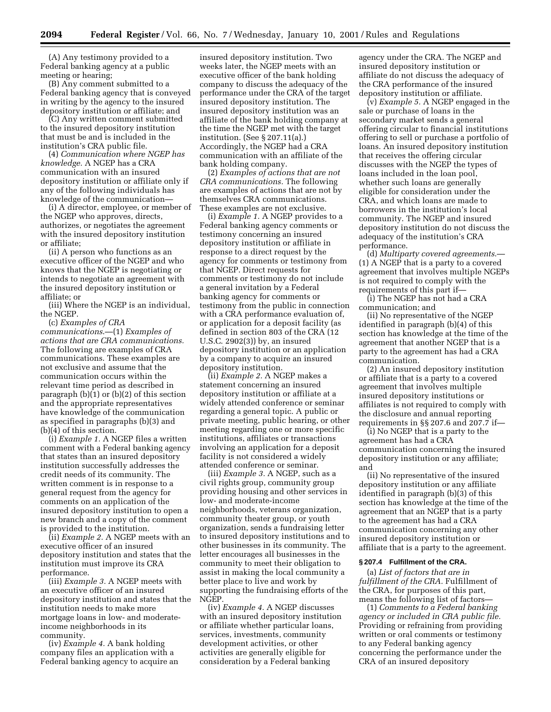(A) Any testimony provided to a Federal banking agency at a public meeting or hearing;

(B) Any comment submitted to a Federal banking agency that is conveyed in writing by the agency to the insured depository institution or affiliate; and

(C) Any written comment submitted to the insured depository institution that must be and is included in the institution's CRA public file.

(4) *Communication where NGEP has knowledge.* A NGEP has a CRA communication with an insured depository institution or affiliate only if any of the following individuals has knowledge of the communication—

(i) A director, employee, or member of the NGEP who approves, directs, authorizes, or negotiates the agreement with the insured depository institution or affiliate;

(ii) A person who functions as an executive officer of the NGEP and who knows that the NGEP is negotiating or intends to negotiate an agreement with the insured depository institution or affiliate; or

(iii) Where the NGEP is an individual, the NGEP.

(c) *Examples of CRA communications*.—(1) *Examples of actions that are CRA communications.* The following are examples of CRA communications. These examples are not exclusive and assume that the communication occurs within the relevant time period as described in paragraph  $(b)(1)$  or  $(b)(2)$  of this section and the appropriate representatives have knowledge of the communication as specified in paragraphs (b)(3) and (b)(4) of this section.

(i) *Example 1.* A NGEP files a written comment with a Federal banking agency that states than an insured depository institution successfully addresses the credit needs of its community. The written comment is in response to a general request from the agency for comments on an application of the insured depository institution to open a new branch and a copy of the comment is provided to the institution.

(ii) *Example 2.* A NGEP meets with an executive officer of an insured depository institution and states that the institution must improve its CRA performance.

(iii) *Example 3.* A NGEP meets with an executive officer of an insured depository institution and states that the institution needs to make more mortgage loans in low- and moderateincome neighborhoods in its community.

(iv) *Example 4.* A bank holding company files an application with a Federal banking agency to acquire an

insured depository institution. Two weeks later, the NGEP meets with an executive officer of the bank holding company to discuss the adequacy of the performance under the CRA of the target insured depository institution. The insured depository institution was an affiliate of the bank holding company at the time the NGEP met with the target institution. (See § 207.11(a).) Accordingly, the NGEP had a CRA communication with an affiliate of the bank holding company.

(2) *Examples of actions that are not CRA communications.* The following are examples of actions that are not by themselves CRA communications. These examples are not exclusive.

(i) *Example 1.* A NGEP provides to a Federal banking agency comments or testimony concerning an insured depository institution or affiliate in response to a direct request by the agency for comments or testimony from that NGEP. Direct requests for comments or testimony do not include a general invitation by a Federal banking agency for comments or testimony from the public in connection with a CRA performance evaluation of, or application for a deposit facility (as defined in section 803 of the CRA (12 U.S.C. 2902(3)) by, an insured depository institution or an application by a company to acquire an insured depository institution.

(ii) *Example 2.* A NGEP makes a statement concerning an insured depository institution or affiliate at a widely attended conference or seminar regarding a general topic. A public or private meeting, public hearing, or other meeting regarding one or more specific institutions, affiliates or transactions involving an application for a deposit facility is not considered a widely attended conference or seminar.

(iii) *Example 3.* A NGEP, such as a civil rights group, community group providing housing and other services in low- and moderate-income neighborhoods, veterans organization, community theater group, or youth organization, sends a fundraising letter to insured depository institutions and to other businesses in its community. The letter encourages all businesses in the community to meet their obligation to assist in making the local community a better place to live and work by supporting the fundraising efforts of the NGEP.

(iv) *Example 4.* A NGEP discusses with an insured depository institution or affiliate whether particular loans, services, investments, community development activities, or other activities are generally eligible for consideration by a Federal banking

agency under the CRA. The NGEP and insured depository institution or affiliate do not discuss the adequacy of the CRA performance of the insured depository institution or affiliate.

(v) *Example 5.* A NGEP engaged in the sale or purchase of loans in the secondary market sends a general offering circular to financial institutions offering to sell or purchase a portfolio of loans. An insured depository institution that receives the offering circular discusses with the NGEP the types of loans included in the loan pool, whether such loans are generally eligible for consideration under the CRA, and which loans are made to borrowers in the institution's local community. The NGEP and insured depository institution do not discuss the adequacy of the institution's CRA performance.

(d) *Multiparty covered agreements*.— (1) A NGEP that is a party to a covered agreement that involves multiple NGEPs is not required to comply with the requirements of this part if—

(i) The NGEP has not had a CRA communication; and

(ii) No representative of the NGEP identified in paragraph (b)(4) of this section has knowledge at the time of the agreement that another NGEP that is a party to the agreement has had a CRA communication.

(2) An insured depository institution or affiliate that is a party to a covered agreement that involves multiple insured depository institutions or affiliates is not required to comply with the disclosure and annual reporting requirements in §§ 207.6 and 207.7 if—

(i) No NGEP that is a party to the agreement has had a CRA communication concerning the insured depository institution or any affiliate; and

(ii) No representative of the insured depository institution or any affiliate identified in paragraph (b)(3) of this section has knowledge at the time of the agreement that an NGEP that is a party to the agreement has had a CRA communication concerning any other insured depository institution or affiliate that is a party to the agreement.

#### **§ 207.4 Fulfillment of the CRA.**

(a) *List of factors that are in fulfillment of the CRA.* Fulfillment of the CRA, for purposes of this part, means the following list of factors—

(1) *Comments to a Federal banking agency or included in CRA public file.* Providing or refraining from providing written or oral comments or testimony to any Federal banking agency concerning the performance under the CRA of an insured depository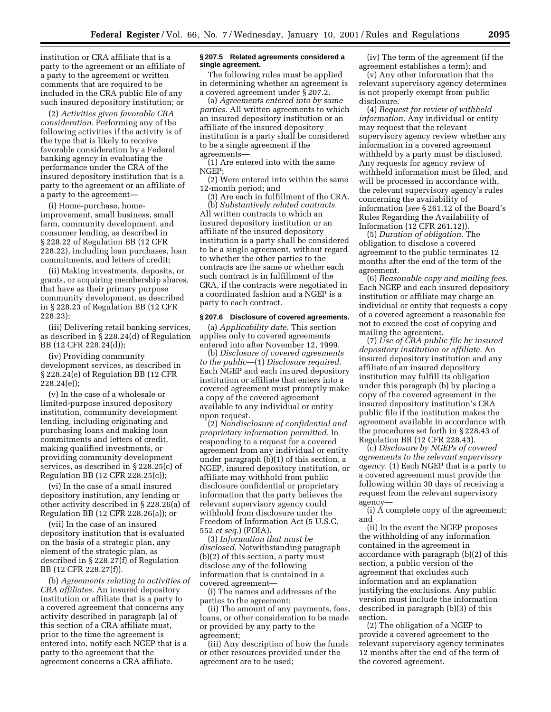institution or CRA affiliate that is a party to the agreement or an affiliate of a party to the agreement or written comments that are required to be included in the CRA public file of any such insured depository institution; or

(2) *Activities given favorable CRA consideration.* Performing any of the following activities if the activity is of the type that is likely to receive favorable consideration by a Federal banking agency in evaluating the performance under the CRA of the insured depository institution that is a party to the agreement or an affiliate of a party to the agreement—

(i) Home-purchase, homeimprovement, small business, small farm, community development, and consumer lending, as described in § 228.22 of Regulation BB (12 CFR 228.22), including loan purchases, loan commitments, and letters of credit;

(ii) Making investments, deposits, or grants, or acquiring membership shares, that have as their primary purpose community development, as described in § 228.23 of Regulation BB (12 CFR 228.23);

(iii) Delivering retail banking services, as described in § 228.24(d) of Regulation BB (12 CFR 228.24(d));

(iv) Providing community development services, as described in § 228.24(e) of Regulation BB (12 CFR 228.24(e));

(v) In the case of a wholesale or limited-purpose insured depository institution, community development lending, including originating and purchasing loans and making loan commitments and letters of credit, making qualified investments, or providing community development services, as described in § 228.25(c) of Regulation BB (12 CFR 228.25(c));

(vi) In the case of a small insured depository institution, any lending or other activity described in § 228.26(a) of Regulation BB (12 CFR 228.26(a)); or

(vii) In the case of an insured depository institution that is evaluated on the basis of a strategic plan, any element of the strategic plan, as described in § 228.27(f) of Regulation BB (12 CFR 228.27(f)).

(b) *Agreements relating to activities of CRA affiliates.* An insured depository institution or affiliate that is a party to a covered agreement that concerns any activity described in paragraph (a) of this section of a CRA affiliate must, prior to the time the agreement is entered into, notify each NGEP that is a party to the agreement that the agreement concerns a CRA affiliate.

#### **§ 207.5 Related agreements considered a single agreement.**

The following rules must be applied in determining whether an agreement is a covered agreement under § 207.2.

(a) *Agreements entered into by same parties.* All written agreements to which an insured depository institution or an affiliate of the insured depository institution is a party shall be considered to be a single agreement if the agreements—

(1) Are entered into with the same NGEP;

(2) Were entered into within the same 12-month period; and

(3) Are each in fulfillment of the CRA. (b) *Substantively related contracts.* All written contracts to which an insured depository institution or an affiliate of the insured depository institution is a party shall be considered to be a single agreement, without regard to whether the other parties to the contracts are the same or whether each such contract is in fulfillment of the CRA, if the contracts were negotiated in a coordinated fashion and a NGEP is a party to each contract.

#### **§ 207.6 Disclosure of covered agreements.**

(a) *Applicability date.* This section applies only to covered agreements entered into after November 12, 1999.

(b) *Disclosure of covered agreements to the public*—(1) *Disclosure required.* Each NGEP and each insured depository institution or affiliate that enters into a covered agreement must promptly make a copy of the covered agreement available to any individual or entity upon request.

(2) *Nondisclosure of confidential and proprietary information permitted.* In responding to a request for a covered agreement from any individual or entity under paragraph (b)(1) of this section, a NGEP, insured depository institution, or affiliate may withhold from public disclosure confidential or proprietary information that the party believes the relevant supervisory agency could withhold from disclosure under the Freedom of Information Act (5 U.S.C. 552 *et seq.*) (FOIA).

(3) *Information that must be disclosed.* Notwithstanding paragraph (b)(2) of this section, a party must disclose any of the following information that is contained in a covered agreement—

(i) The names and addresses of the parties to the agreement;

(ii) The amount of any payments, fees, loans, or other consideration to be made or provided by any party to the agreement;

(iii) Any description of how the funds or other resources provided under the agreement are to be used;

(iv) The term of the agreement (if the agreement establishes a term); and

(v) Any other information that the relevant supervisory agency determines is not properly exempt from public disclosure.

(4) *Request for review of withheld information.* Any individual or entity may request that the relevant supervisory agency review whether any information in a covered agreement withheld by a party must be disclosed. Any requests for agency review of withheld information must be filed, and will be processed in accordance with, the relevant supervisory agency's rules concerning the availability of information (*see* § 261.12 of the Board's Rules Regarding the Availability of Information (12 CFR 261.12)).

(5) *Duration of obligation.* The obligation to disclose a covered agreement to the public terminates 12 months after the end of the term of the agreement.

(6) *Reasonable copy and mailing fees.* Each NGEP and each insured depository institution or affiliate may charge an individual or entity that requests a copy of a covered agreement a reasonable fee not to exceed the cost of copying and mailing the agreement.

(7) *Use of CRA public file by insured depository institution or affiliate.* An insured depository institution and any affiliate of an insured depository institution may fulfill its obligation under this paragraph (b) by placing a copy of the covered agreement in the insured depository institution's CRA public file if the institution makes the agreement available in accordance with the procedures set forth in § 228.43 of Regulation BB (12 CFR 228.43).

(c) *Disclosure by NGEPs of covered agreements to the relevant supervisory agency.* (1) Each NGEP that is a party to a covered agreement must provide the following within 30 days of receiving a request from the relevant supervisory agency—

(i) A complete copy of the agreement; and

(ii) In the event the NGEP proposes the withholding of any information contained in the agreement in accordance with paragraph (b)(2) of this section, a public version of the agreement that excludes such information and an explanation justifying the exclusions. Any public version must include the information described in paragraph (b)(3) of this section.

(2) The obligation of a NGEP to provide a covered agreement to the relevant supervisory agency terminates 12 months after the end of the term of the covered agreement.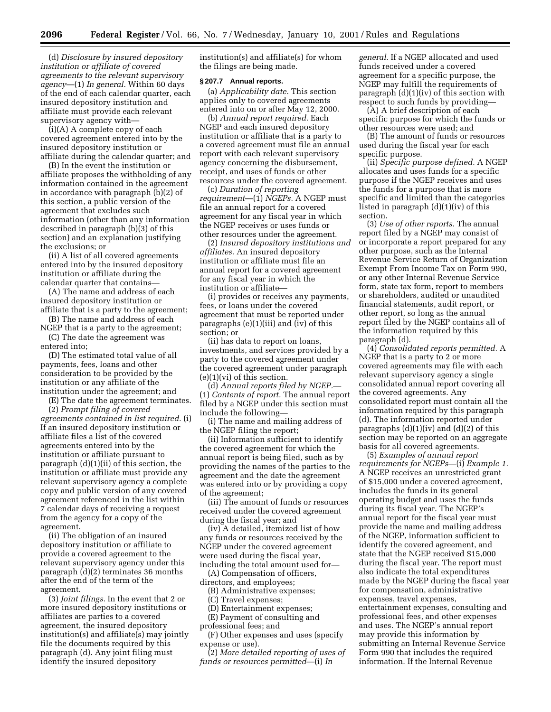(d) *Disclosure by insured depository institution or affiliate of covered agreements to the relevant supervisory agency*—(1) *In general.* Within 60 days of the end of each calendar quarter, each insured depository institution and affiliate must provide each relevant supervisory agency with—

(i)(A) A complete copy of each covered agreement entered into by the insured depository institution or affiliate during the calendar quarter; and

(B) In the event the institution or affiliate proposes the withholding of any information contained in the agreement in accordance with paragraph (b)(2) of this section, a public version of the agreement that excludes such information (other than any information described in paragraph (b)(3) of this section) and an explanation justifying the exclusions; or

(ii) A list of all covered agreements entered into by the insured depository institution or affiliate during the calendar quarter that contains—

(A) The name and address of each insured depository institution or affiliate that is a party to the agreement;

(B) The name and address of each NGEP that is a party to the agreement;

(C) The date the agreement was entered into;

(D) The estimated total value of all payments, fees, loans and other consideration to be provided by the institution or any affiliate of the institution under the agreement; and

(E) The date the agreement terminates.

(2) *Prompt filing of covered*

*agreements contained in list required.* (i) If an insured depository institution or affiliate files a list of the covered agreements entered into by the institution or affiliate pursuant to paragraph (d)(1)(ii) of this section, the institution or affiliate must provide any relevant supervisory agency a complete copy and public version of any covered agreement referenced in the list within 7 calendar days of receiving a request from the agency for a copy of the agreement.

(ii) The obligation of an insured depository institution or affiliate to provide a covered agreement to the relevant supervisory agency under this paragraph (d)(2) terminates 36 months after the end of the term of the agreement.

(3) *Joint filings.* In the event that 2 or more insured depository institutions or affiliates are parties to a covered agreement, the insured depository institution(s) and affiliate(s) may jointly file the documents required by this paragraph (d). Any joint filing must identify the insured depository

institution(s) and affiliate(s) for whom the filings are being made.

#### **§ 207.7 Annual reports.**

(a) *Applicability date.* This section applies only to covered agreements entered into on or after May 12, 2000.

(b) *Annual report required.* Each NGEP and each insured depository institution or affiliate that is a party to a covered agreement must file an annual report with each relevant supervisory agency concerning the disbursement, receipt, and uses of funds or other resources under the covered agreement.

(c) *Duration of reporting requirement*—(1) *NGEPs.* A NGEP must file an annual report for a covered agreement for any fiscal year in which the NGEP receives or uses funds or other resources under the agreement.

(2) *Insured depository institutions and affiliates.* An insured depository institution or affiliate must file an annual report for a covered agreement for any fiscal year in which the institution or affiliate—

(i) provides or receives any payments, fees, or loans under the covered agreement that must be reported under paragraphs (e)(1)(iii) and (iv) of this section; or

(ii) has data to report on loans, investments, and services provided by a party to the covered agreement under the covered agreement under paragraph  $(e)(1)(vi)$  of this section.

(d) *Annual reports filed by NGEP.*— (1) *Contents of report.* The annual report filed by a NGEP under this section must include the following—

(i) The name and mailing address of the NGEP filing the report;

(ii) Information sufficient to identify the covered agreement for which the annual report is being filed, such as by providing the names of the parties to the agreement and the date the agreement was entered into or by providing a copy of the agreement;

(iii) The amount of funds or resources received under the covered agreement during the fiscal year; and

(iv) A detailed, itemized list of how any funds or resources received by the NGEP under the covered agreement were used during the fiscal year, including the total amount used for—

(A) Compensation of officers, directors, and employees;

(B) Administrative expenses;

(C) Travel expenses;

(D) Entertainment expenses;

(E) Payment of consulting and

professional fees; and

(F) Other expenses and uses (specify expense or use).

(2) *More detailed reporting of uses of funds or resources permitted*—(i) *In*

*general.* If a NGEP allocated and used funds received under a covered agreement for a specific purpose, the NGEP may fulfill the requirements of paragraph (d)(1)(iv) of this section with respect to such funds by providing—

(A) A brief description of each specific purpose for which the funds or other resources were used; and

(B) The amount of funds or resources used during the fiscal year for each specific purpose.

(ii) *Specific purpose defined.* A NGEP allocates and uses funds for a specific purpose if the NGEP receives and uses the funds for a purpose that is more specific and limited than the categories listed in paragraph (d)(1)(iv) of this section.

(3) *Use of other reports.* The annual report filed by a NGEP may consist of or incorporate a report prepared for any other purpose, such as the Internal Revenue Service Return of Organization Exempt From Income Tax on Form 990, or any other Internal Revenue Service form, state tax form, report to members or shareholders, audited or unaudited financial statements, audit report, or other report, so long as the annual report filed by the NGEP contains all of the information required by this paragraph (d).

(4) *Consolidated reports permitted.* A NGEP that is a party to 2 or more covered agreements may file with each relevant supervisory agency a single consolidated annual report covering all the covered agreements. Any consolidated report must contain all the information required by this paragraph (d). The information reported under paragraphs  $(d)(1)(iv)$  and  $(d)(2)$  of this section may be reported on an aggregate basis for all covered agreements.

(5) *Examples of annual report requirements for NGEPs*—(i) *Example 1.* A NGEP receives an unrestricted grant of \$15,000 under a covered agreement, includes the funds in its general operating budget and uses the funds during its fiscal year. The NGEP's annual report for the fiscal year must provide the name and mailing address of the NGEP, information sufficient to identify the covered agreement, and state that the NGEP received \$15,000 during the fiscal year. The report must also indicate the total expenditures made by the NGEP during the fiscal year for compensation, administrative expenses, travel expenses, entertainment expenses, consulting and professional fees, and other expenses and uses. The NGEP's annual report may provide this information by submitting an Internal Revenue Service Form 990 that includes the required information. If the Internal Revenue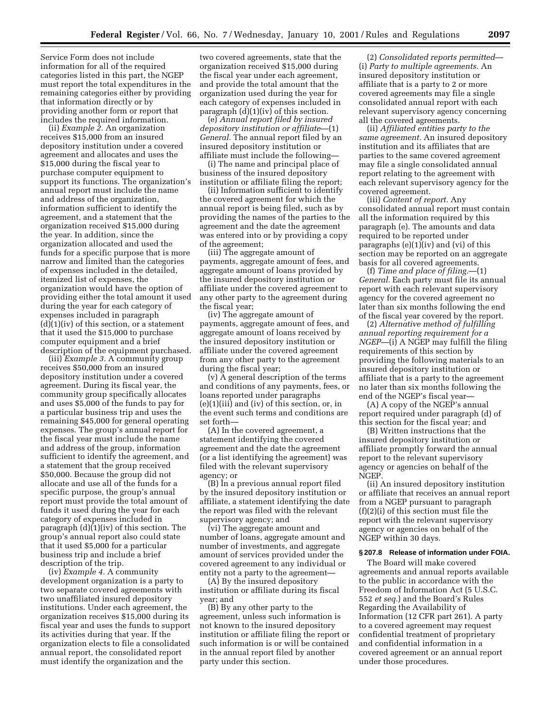Service Form does not include information for all of the required categories listed in this part, the NGEP must report the total expenditures in the remaining categories either by providing that information directly or by providing another form or report that includes the required information.

(ii) *Example 2.* An organization receives \$15,000 from an insured depository institution under a covered agreement and allocates and uses the \$15,000 during the fiscal year to purchase computer equipment to support its functions. The organization's annual report must include the name and address of the organization, information sufficient to identify the agreement, and a statement that the organization received \$15,000 during the year. In addition, since the organization allocated and used the funds for a specific purpose that is more narrow and limited than the categories of expenses included in the detailed, itemized list of expenses, the organization would have the option of providing either the total amount it used during the year for each category of expenses included in paragraph  $(d)(1)(iv)$  of this section, or a statement that it used the \$15,000 to purchase computer equipment and a brief description of the equipment purchased.

(iii) *Example 3.* A community group receives \$50,000 from an insured depository institution under a covered agreement. During its fiscal year, the community group specifically allocates and uses \$5,000 of the funds to pay for a particular business trip and uses the remaining \$45,000 for general operating expenses. The group's annual report for the fiscal year must include the name and address of the group, information sufficient to identify the agreement, and a statement that the group received \$50,000. Because the group did not allocate and use all of the funds for a specific purpose, the group's annual report must provide the total amount of funds it used during the year for each category of expenses included in paragraph (d)(1)(iv) of this section. The group's annual report also could state that it used \$5,000 for a particular business trip and include a brief description of the trip.

(iv) *Example 4.* A community development organization is a party to two separate covered agreements with two unaffiliated insured depository institutions. Under each agreement, the organization receives \$15,000 during its fiscal year and uses the funds to support its activities during that year. If the organization elects to file a consolidated annual report, the consolidated report must identify the organization and the

two covered agreements, state that the organization received \$15,000 during the fiscal year under each agreement, and provide the total amount that the organization used during the year for each category of expenses included in paragraph (d)(1)(iv) of this section.

(e) *Annual report filed by insured depository institution or affiliate*—(1) *General.* The annual report filed by an insured depository institution or affiliate must include the following—

(i) The name and principal place of business of the insured depository institution or affiliate filing the report;

(ii) Information sufficient to identify the covered agreement for which the annual report is being filed, such as by providing the names of the parties to the agreement and the date the agreement was entered into or by providing a copy of the agreement;

(iii) The aggregate amount of payments, aggregate amount of fees, and aggregate amount of loans provided by the insured depository institution or affiliate under the covered agreement to any other party to the agreement during the fiscal year;

(iv) The aggregate amount of payments, aggregate amount of fees, and aggregate amount of loans received by the insured depository institution or affiliate under the covered agreement from any other party to the agreement during the fiscal year;

(v) A general description of the terms and conditions of any payments, fees, or loans reported under paragraphs (e)(1)(iii) and (iv) of this section, or, in the event such terms and conditions are set forth—

(A) In the covered agreement, a statement identifying the covered agreement and the date the agreement (or a list identifying the agreement) was filed with the relevant supervisory agency; or

(B) In a previous annual report filed by the insured depository institution or affiliate, a statement identifying the date the report was filed with the relevant supervisory agency; and

(vi) The aggregate amount and number of loans, aggregate amount and number of investments, and aggregate amount of services provided under the covered agreement to any individual or entity not a party to the agreement—

(A) By the insured depository institution or affiliate during its fiscal year; and

(B) By any other party to the agreement, unless such information is not known to the insured depository institution or affiliate filing the report or such information is or will be contained in the annual report filed by another party under this section.

(2) *Consolidated reports permitted*— (i) *Party to multiple agreements.* An insured depository institution or affiliate that is a party to 2 or more covered agreements may file a single consolidated annual report with each relevant supervisory agency concerning all the covered agreements.

(ii) *Affiliated entities party to the same agreement.* An insured depository institution and its affiliates that are parties to the same covered agreement may file a single consolidated annual report relating to the agreement with each relevant supervisory agency for the covered agreement.

(iii) *Content of report.* Any consolidated annual report must contain all the information required by this paragraph (e). The amounts and data required to be reported under paragraphs  $(e)(1)(iv)$  and  $(vi)$  of this section may be reported on an aggregate basis for all covered agreements.

(f) *Time and place of filing.*—(1) *General.* Each party must file its annual report with each relevant supervisory agency for the covered agreement no later than six months following the end of the fiscal year covered by the report.

(2) *Alternative method of fulfilling annual reporting requirement for a NGEP*—(i) A NGEP may fulfill the filing requirements of this section by providing the following materials to an insured depository institution or affiliate that is a party to the agreement no later than six months following the end of the NGEP's fiscal year—

(A) A copy of the NGEP's annual report required under paragraph (d) of this section for the fiscal year; and

(B) Written instructions that the insured depository institution or affiliate promptly forward the annual report to the relevant supervisory agency or agencies on behalf of the NGEP.

(ii) An insured depository institution or affiliate that receives an annual report from a NGEP pursuant to paragraph (f)(2)(i) of this section must file the report with the relevant supervisory agency or agencies on behalf of the NGEP within 30 days.

#### **§ 207.8 Release of information under FOIA.**

The Board will make covered agreements and annual reports available to the public in accordance with the Freedom of Information Act (5 U.S.C. 552 *et seq.*) and the Board's Rules Regarding the Availability of Information (12 CFR part 261). A party to a covered agreement may request confidential treatment of proprietary and confidential information in a covered agreement or an annual report under those procedures.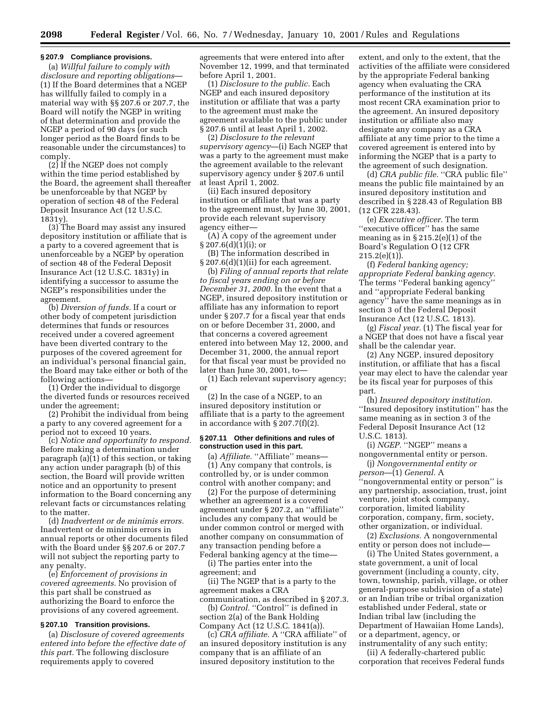#### **§ 207.9 Compliance provisions.**

(a) *Willful failure to comply with disclosure and reporting obligations*— (1) If the Board determines that a NGEP has willfully failed to comply in a material way with §§ 207.6 or 207.7, the Board will notify the NGEP in writing of that determination and provide the NGEP a period of 90 days (or such longer period as the Board finds to be reasonable under the circumstances) to comply.

(2) If the NGEP does not comply within the time period established by the Board, the agreement shall thereafter be unenforceable by that NGEP by operation of section 48 of the Federal Deposit Insurance Act (12 U.S.C. 1831y).

(3) The Board may assist any insured depository institution or affiliate that is a party to a covered agreement that is unenforceable by a NGEP by operation of section 48 of the Federal Deposit Insurance Act (12 U.S.C. 1831y) in identifying a successor to assume the NGEP's responsibilities under the agreement.

(b) *Diversion of funds.* If a court or other body of competent jurisdiction determines that funds or resources received under a covered agreement have been diverted contrary to the purposes of the covered agreement for an individual's personal financial gain, the Board may take either or both of the following actions—

(1) Order the individual to disgorge the diverted funds or resources received under the agreement;

(2) Prohibit the individual from being a party to any covered agreement for a period not to exceed 10 years.

(c) *Notice and opportunity to respond.* Before making a determination under paragraph (a)(1) of this section, or taking any action under paragraph (b) of this section, the Board will provide written notice and an opportunity to present information to the Board concerning any relevant facts or circumstances relating to the matter.

(d) *Inadvertent or de minimis errors.* Inadvertent or de minimis errors in annual reports or other documents filed with the Board under §§ 207.6 or 207.7 will not subject the reporting party to any penalty.

(e) *Enforcement of provisions in covered agreements.* No provision of this part shall be construed as authorizing the Board to enforce the provisions of any covered agreement.

## **§ 207.10 Transition provisions.**

(a) *Disclosure of covered agreements entered into before the effective date of this part.* The following disclosure requirements apply to covered

agreements that were entered into after November 12, 1999, and that terminated before April 1, 2001.

(1) *Disclosure to the public.* Each NGEP and each insured depository institution or affiliate that was a party to the agreement must make the agreement available to the public under § 207.6 until at least April 1, 2002.

(2) *Disclosure to the relevant supervisory agency*—(i) Each NGEP that was a party to the agreement must make the agreement available to the relevant supervisory agency under § 207.6 until at least April 1, 2002.

(ii) Each insured depository institution or affiliate that was a party to the agreement must, by June 30, 2001, provide each relevant supervisory agency either—

(A) A copy of the agreement under  $§ 207.6(d)(1)(i);$  or

(B) The information described in  $\S 207.6(d)(1)(ii)$  for each agreement.

(b) *Filing of annual reports that relate to fiscal years ending on or before December 31, 2000.* In the event that a NGEP, insured depository institution or affiliate has any information to report under § 207.7 for a fiscal year that ends on or before December 31, 2000, and that concerns a covered agreement entered into between May 12, 2000, and December 31, 2000, the annual report for that fiscal year must be provided no later than June 30, 2001, to—

(1) Each relevant supervisory agency; or

(2) In the case of a NGEP, to an insured depository institution or affiliate that is a party to the agreement in accordance with § 207.7(f)(2).

## **§ 207.11 Other definitions and rules of construction used in this part.**

(a) *Affiliate.* "Affiliate" means-(1) Any company that controls, is controlled by, or is under common control with another company; and

(2) For the purpose of determining whether an agreement is a covered agreement under § 207.2, an ''affiliate'' includes any company that would be under common control or merged with another company on consummation of any transaction pending before a Federal banking agency at the time—

(i) The parties enter into the agreement; and

(ii) The NGEP that is a party to the agreement makes a CRA

communication, as described in § 207.3. (b) *Control.* "Control" is defined in section 2(a) of the Bank Holding

Company Act (12 U.S.C. 1841(a)). (c) *CRA affiliate.* A ''CRA affiliate'' of an insured depository institution is any company that is an affiliate of an insured depository institution to the

extent, and only to the extent, that the activities of the affiliate were considered by the appropriate Federal banking agency when evaluating the CRA performance of the institution at its most recent CRA examination prior to the agreement. An insured depository institution or affiliate also may designate any company as a CRA affiliate at any time prior to the time a covered agreement is entered into by informing the NGEP that is a party to the agreement of such designation.

(d) *CRA public file.* ''CRA public file'' means the public file maintained by an insured depository institution and described in § 228.43 of Regulation BB (12 CFR 228.43).

(e) *Executive officer.* The term "executive officer" has the same meaning as in  $\S 215.2(e)(1)$  of the Board's Regulation O (12 CFR 215.2(e)(1)).

(f) *Federal banking agency; appropriate Federal banking agency.* The terms ''Federal banking agency'' and ''appropriate Federal banking agency'' have the same meanings as in section 3 of the Federal Deposit Insurance Act (12 U.S.C. 1813).

(g) *Fiscal year.* (1) The fiscal year for a NGEP that does not have a fiscal year shall be the calendar year.

(2) Any NGEP, insured depository institution, or affiliate that has a fiscal year may elect to have the calendar year be its fiscal year for purposes of this part.

(h) *Insured depository institution.* ''Insured depository institution'' has the same meaning as in section 3 of the Federal Deposit Insurance Act (12 U.S.C. 1813).

(i) *NGEP*. "NGEP" means a nongovernmental entity or person.

(j) *Nongovernmental entity or person*—(1) *General.* A ''nongovernmental entity or person'' is any partnership, association, trust, joint venture, joint stock company, corporation, limited liability corporation, company, firm, society, other organization, or individual.

(2) *Exclusions.* A nongovernmental entity or person does not include—

(i) The United States government, a state government, a unit of local government (including a county, city, town, township, parish, village, or other general-purpose subdivision of a state) or an Indian tribe or tribal organization established under Federal, state or Indian tribal law (including the Department of Hawaiian Home Lands), or a department, agency, or instrumentality of any such entity;

(ii) A federally-chartered public corporation that receives Federal funds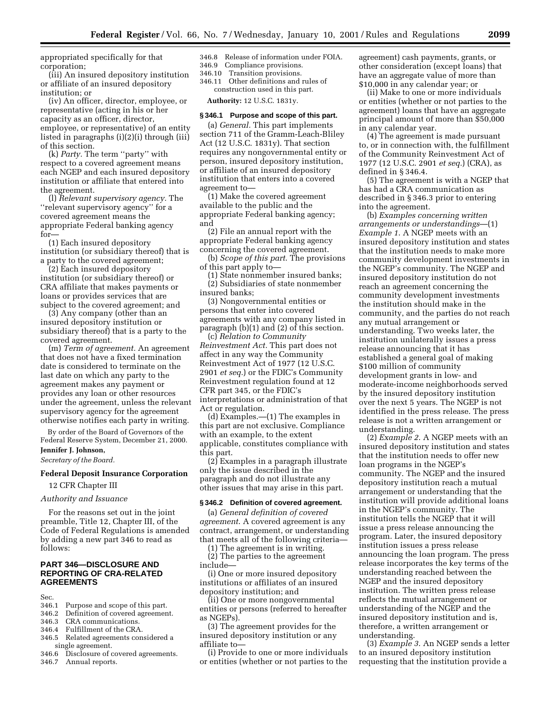appropriated specifically for that corporation;

(iii) An insured depository institution or affiliate of an insured depository institution; or

(iv) An officer, director, employee, or representative (acting in his or her capacity as an officer, director, employee, or representative) of an entity listed in paragraphs (i)(2)(i) through (iii) of this section.

(k) *Party.* The term ''party'' with respect to a covered agreement means each NGEP and each insured depository institution or affiliate that entered into the agreement.

(l) *Relevant supervisory agency.* The ''relevant supervisory agency'' for a covered agreement means the appropriate Federal banking agency for—

(1) Each insured depository institution (or subsidiary thereof) that is a party to the covered agreement;

(2) Each insured depository institution (or subsidiary thereof) or CRA affiliate that makes payments or loans or provides services that are subject to the covered agreement; and

(3) Any company (other than an insured depository institution or subsidiary thereof) that is a party to the covered agreement.

(m) *Term of agreement.* An agreement that does not have a fixed termination date is considered to terminate on the last date on which any party to the agreement makes any payment or provides any loan or other resources under the agreement, unless the relevant supervisory agency for the agreement otherwise notifies each party in writing.

By order of the Board of Governors of the Federal Reserve System, December 21, 2000. **Jennifer J. Johnson,**

*Secretary of the Board.*

## **Federal Deposit Insurance Corporation**

12 CFR Chapter III

#### *Authority and Issuance*

For the reasons set out in the joint preamble, Title 12, Chapter III, of the Code of Federal Regulations is amended by adding a new part 346 to read as follows:

## **PART 346—DISCLOSURE AND REPORTING OF CRA-RELATED AGREEMENTS**

- Sec.<br>346.1 346.1 Purpose and scope of this part.<br>346.2 Definition of covered agreement
- 346.2 Definition of covered agreement.<br>346.3 CRA communications.
- CRA communications.
- 346.4 Fulfillment of the CRA.<br>346.5 Related agreements con
- Related agreements considered a single agreement.<br>346.6 Disclosure of c
- Disclosure of covered agreements.
- 346.7 Annual reports.

346.8 Release of information under FOIA. 346.9 Compliance provisions.

346.10 Transition provisions.

346.11 Other definitions and rules of construction used in this part.

**Authority:** 12 U.S.C. 1831y.

#### **§ 346.1 Purpose and scope of this part.**

(a) *General.* This part implements section 711 of the Gramm-Leach-Bliley Act (12 U.S.C. 1831y). That section requires any nongovernmental entity or person, insured depository institution, or affiliate of an insured depository institution that enters into a covered agreement to—

(1) Make the covered agreement available to the public and the appropriate Federal banking agency; and

(2) File an annual report with the appropriate Federal banking agency concerning the covered agreement.

(b) *Scope of this part*. The provisions of this part apply to—

(1) State nonmember insured banks; (2) Subsidiaries of state nonmember insured banks;

(3) Nongovernmental entities or persons that enter into covered agreements with any company listed in paragraph (b)(1) and (2) of this section.

(c) *Relation to Community Reinvestment Act.* This part does not affect in any way the Community Reinvestment Act of 1977 (12 U.S.C. 2901 *et seq.*) or the FDIC's Community Reinvestment regulation found at 12 CFR part 345, or the FDIC's interpretations or administration of that Act or regulation.

(d) Examples.—(1) The examples in this part are not exclusive. Compliance with an example, to the extent applicable, constitutes compliance with this part.

(2) Examples in a paragraph illustrate only the issue described in the paragraph and do not illustrate any other issues that may arise in this part.

## **§ 346.2 Definition of covered agreement.**

(a) *General definition of covered agreement*. A covered agreement is any contract, arrangement, or understanding that meets all of the following criteria—

(1) The agreement is in writing. (2) The parties to the agreement include—

(i) One or more insured depository institutions or affiliates of an insured depository institution; and

(ii) One or more nongovernmental entities or persons (referred to hereafter as NGEPs).

(3) The agreement provides for the insured depository institution or any affiliate to—

(i) Provide to one or more individuals or entities (whether or not parties to the agreement) cash payments, grants, or other consideration (except loans) that have an aggregate value of more than \$10,000 in any calendar year; or

(ii) Make to one or more individuals or entities (whether or not parties to the agreement) loans that have an aggregate principal amount of more than \$50,000 in any calendar year.

(4) The agreement is made pursuant to, or in connection with, the fulfillment of the Community Reinvestment Act of 1977 (12 U.S.C. 2901 *et seq.*) (CRA), as defined in § 346.4.

(5) The agreement is with a NGEP that has had a CRA communication as described in § 346.3 prior to entering into the agreement.

(b) *Examples concerning written arrangements or understandings*—(1) *Example 1*. A NGEP meets with an insured depository institution and states that the institution needs to make more community development investments in the NGEP's community. The NGEP and insured depository institution do not reach an agreement concerning the community development investments the institution should make in the community, and the parties do not reach any mutual arrangement or understanding. Two weeks later, the institution unilaterally issues a press release announcing that it has established a general goal of making \$100 million of community development grants in low- and moderate-income neighborhoods served by the insured depository institution over the next 5 years. The NGEP is not identified in the press release. The press release is not a written arrangement or understanding.

(2) *Example 2*. A NGEP meets with an insured depository institution and states that the institution needs to offer new loan programs in the NGEP's community. The NGEP and the insured depository institution reach a mutual arrangement or understanding that the institution will provide additional loans in the NGEP's community. The institution tells the NGEP that it will issue a press release announcing the program. Later, the insured depository institution issues a press release announcing the loan program. The press release incorporates the key terms of the understanding reached between the NGEP and the insured depository institution. The written press release reflects the mutual arrangement or understanding of the NGEP and the insured depository institution and is, therefore, a written arrangement or understanding.

(3) *Example 3*. An NGEP sends a letter to an insured depository institution requesting that the institution provide a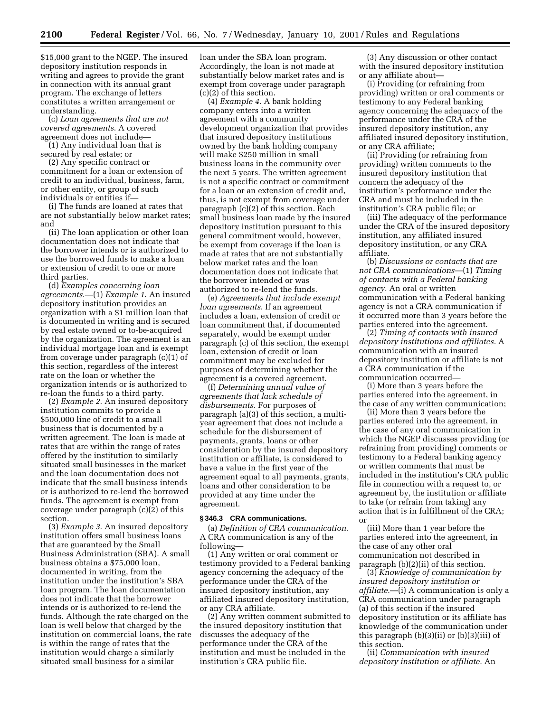\$15,000 grant to the NGEP. The insured depository institution responds in writing and agrees to provide the grant in connection with its annual grant program. The exchange of letters constitutes a written arrangement or understanding.

(c) *Loan agreements that are not covered agreements*. A covered agreement does not include—

(1) Any individual loan that is secured by real estate; or

(2) Any specific contract or commitment for a loan or extension of credit to an individual, business, farm, or other entity, or group of such individuals or entities if—

(i) The funds are loaned at rates that are not substantially below market rates; and

(ii) The loan application or other loan documentation does not indicate that the borrower intends or is authorized to use the borrowed funds to make a loan or extension of credit to one or more third parties.

(d) *Examples concerning loan agreements*.—(1) *Example 1*. An insured depository institution provides an organization with a \$1 million loan that is documented in writing and is secured by real estate owned or to-be-acquired by the organization. The agreement is an individual mortgage loan and is exempt from coverage under paragraph (c)(1) of this section, regardless of the interest rate on the loan or whether the organization intends or is authorized to re-loan the funds to a third party.

(2) *Example 2*. An insured depository institution commits to provide a \$500,000 line of credit to a small business that is documented by a written agreement. The loan is made at rates that are within the range of rates offered by the institution to similarly situated small businesses in the market and the loan documentation does not indicate that the small business intends or is authorized to re-lend the borrowed funds. The agreement is exempt from coverage under paragraph (c)(2) of this section.

(3) *Example 3*. An insured depository institution offers small business loans that are guaranteed by the Small Business Administration (SBA). A small business obtains a \$75,000 loan, documented in writing, from the institution under the institution's SBA loan program. The loan documentation does not indicate that the borrower intends or is authorized to re-lend the funds. Although the rate charged on the loan is well below that charged by the institution on commercial loans, the rate is within the range of rates that the institution would charge a similarly situated small business for a similar

loan under the SBA loan program. Accordingly, the loan is not made at substantially below market rates and is exempt from coverage under paragraph (c)(2) of this section.

(4) *Example 4*. A bank holding company enters into a written agreement with a community development organization that provides that insured depository institutions owned by the bank holding company will make \$250 million in small business loans in the community over the next 5 years. The written agreement is not a specific contract or commitment for a loan or an extension of credit and, thus, is not exempt from coverage under paragraph (c)(2) of this section. Each small business loan made by the insured depository institution pursuant to this general commitment would, however, be exempt from coverage if the loan is made at rates that are not substantially below market rates and the loan documentation does not indicate that the borrower intended or was authorized to re-lend the funds.

(e) *Agreements that include exempt loan agreements*. If an agreement includes a loan, extension of credit or loan commitment that, if documented separately, would be exempt under paragraph (c) of this section, the exempt loan, extension of credit or loan commitment may be excluded for purposes of determining whether the agreement is a covered agreement.

(f) *Determining annual value of agreements that lack schedule of disbursements*. For purposes of paragraph (a)(3) of this section, a multiyear agreement that does not include a schedule for the disbursement of payments, grants, loans or other consideration by the insured depository institution or affiliate, is considered to have a value in the first year of the agreement equal to all payments, grants, loans and other consideration to be provided at any time under the agreement.

#### **§ 346.3 CRA communications.**

(a) *Definition of CRA communication*. A CRA communication is any of the following—

(1) Any written or oral comment or testimony provided to a Federal banking agency concerning the adequacy of the performance under the CRA of the insured depository institution, any affiliated insured depository institution, or any CRA affiliate.

(2) Any written comment submitted to the insured depository institution that discusses the adequacy of the performance under the CRA of the institution and must be included in the institution's CRA public file.

(3) Any discussion or other contact with the insured depository institution or any affiliate about—

(i) Providing (or refraining from providing) written or oral comments or testimony to any Federal banking agency concerning the adequacy of the performance under the CRA of the insured depository institution, any affiliated insured depository institution, or any CRA affiliate;

(ii) Providing (or refraining from providing) written comments to the insured depository institution that concern the adequacy of the institution's performance under the CRA and must be included in the institution's CRA public file; or

(iii) The adequacy of the performance under the CRA of the insured depository institution, any affiliated insured depository institution, or any CRA affiliate.

(b) *Discussions or contacts that are not CRA communications*—(1) *Timing of contacts with a Federal banking agency.* An oral or written communication with a Federal banking agency is not a CRA communication if it occurred more than 3 years before the parties entered into the agreement.

(2) *Timing of contacts with insured depository institutions and affiliates.* A communication with an insured depository institution or affiliate is not a CRA communication if the communication occurred—

(i) More than 3 years before the parties entered into the agreement, in the case of any written communication;

(ii) More than 3 years before the parties entered into the agreement, in the case of any oral communication in which the NGEP discusses providing (or refraining from providing) comments or testimony to a Federal banking agency or written comments that must be included in the institution's CRA public file in connection with a request to, or agreement by, the institution or affiliate to take (or refrain from taking) any action that is in fulfillment of the CRA; or

(iii) More than 1 year before the parties entered into the agreement, in the case of any other oral communication not described in paragraph (b)(2)(ii) of this section.

(3) *Knowledge of communication by insured depository institution or affiliate*.—(i) A communication is only a CRA communication under paragraph (a) of this section if the insured depository institution or its affiliate has knowledge of the communication under this paragraph (b)(3)(ii) or (b)(3)(iii) of this section.

(ii) *Communication with insured depository institution or affiliate.* An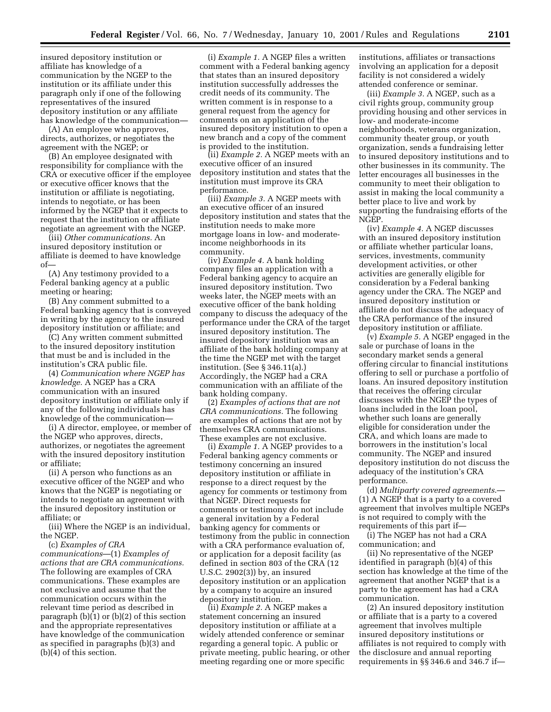insured depository institution or affiliate has knowledge of a communication by the NGEP to the institution or its affiliate under this paragraph only if one of the following representatives of the insured depository institution or any affiliate has knowledge of the communication—

(A) An employee who approves, directs, authorizes, or negotiates the agreement with the NGEP; or

(B) An employee designated with responsibility for compliance with the CRA or executive officer if the employee or executive officer knows that the institution or affiliate is negotiating, intends to negotiate, or has been informed by the NGEP that it expects to request that the institution or affiliate negotiate an agreement with the NGEP.

(iii) *Other communications.* An insured depository institution or affiliate is deemed to have knowledge of—

(A) Any testimony provided to a Federal banking agency at a public meeting or hearing;

(B) Any comment submitted to a Federal banking agency that is conveyed in writing by the agency to the insured depository institution or affiliate; and

(C) Any written comment submitted to the insured depository institution that must be and is included in the institution's CRA public file.

(4) *Communication where NGEP has knowledge.* A NGEP has a CRA communication with an insured depository institution or affiliate only if any of the following individuals has knowledge of the communication—

(i) A director, employee, or member of the NGEP who approves, directs, authorizes, or negotiates the agreement with the insured depository institution or affiliate;

(ii) A person who functions as an executive officer of the NGEP and who knows that the NGEP is negotiating or intends to negotiate an agreement with the insured depository institution or affiliate; or

(iii) Where the NGEP is an individual, the NGEP.

(c) *Examples of CRA communications*—(1) *Examples of actions that are CRA communications.* The following are examples of CRA communications. These examples are not exclusive and assume that the communication occurs within the relevant time period as described in paragraph  $(b)(1)$  or  $(b)(2)$  of this section and the appropriate representatives have knowledge of the communication as specified in paragraphs (b)(3) and (b)(4) of this section.

(i) *Example 1.* A NGEP files a written comment with a Federal banking agency that states than an insured depository institution successfully addresses the credit needs of its community. The written comment is in response to a general request from the agency for comments on an application of the insured depository institution to open a new branch and a copy of the comment is provided to the institution.

(ii) *Example 2.* A NGEP meets with an executive officer of an insured depository institution and states that the institution must improve its CRA performance.

(iii) *Example 3.* A NGEP meets with an executive officer of an insured depository institution and states that the institution needs to make more mortgage loans in low- and moderateincome neighborhoods in its community.

(iv) *Example 4.* A bank holding company files an application with a Federal banking agency to acquire an insured depository institution. Two weeks later, the NGEP meets with an executive officer of the bank holding company to discuss the adequacy of the performance under the CRA of the target insured depository institution. The insured depository institution was an affiliate of the bank holding company at the time the NGEP met with the target institution. (See § 346.11(a).) Accordingly, the NGEP had a CRA communication with an affiliate of the bank holding company.

(2) *Examples of actions that are not CRA communications.* The following are examples of actions that are not by themselves CRA communications. These examples are not exclusive.

(i) *Example 1.* A NGEP provides to a Federal banking agency comments or testimony concerning an insured depository institution or affiliate in response to a direct request by the agency for comments or testimony from that NGEP. Direct requests for comments or testimony do not include a general invitation by a Federal banking agency for comments or testimony from the public in connection with a CRA performance evaluation of, or application for a deposit facility (as defined in section 803 of the CRA (12 U.S.C. 2902(3)) by, an insured depository institution or an application by a company to acquire an insured depository institution.

(ii) *Example 2.* A NGEP makes a statement concerning an insured depository institution or affiliate at a widely attended conference or seminar regarding a general topic. A public or private meeting, public hearing, or other meeting regarding one or more specific

institutions, affiliates or transactions involving an application for a deposit facility is not considered a widely attended conference or seminar.

(iii) *Example 3.* A NGEP, such as a civil rights group, community group providing housing and other services in low- and moderate-income neighborhoods, veterans organization, community theater group, or youth organization, sends a fundraising letter to insured depository institutions and to other businesses in its community. The letter encourages all businesses in the community to meet their obligation to assist in making the local community a better place to live and work by supporting the fundraising efforts of the NGEP.

(iv) *Example 4.* A NGEP discusses with an insured depository institution or affiliate whether particular loans, services, investments, community development activities, or other activities are generally eligible for consideration by a Federal banking agency under the CRA. The NGEP and insured depository institution or affiliate do not discuss the adequacy of the CRA performance of the insured depository institution or affiliate.

(v) *Example 5.* A NGEP engaged in the sale or purchase of loans in the secondary market sends a general offering circular to financial institutions offering to sell or purchase a portfolio of loans. An insured depository institution that receives the offering circular discusses with the NGEP the types of loans included in the loan pool, whether such loans are generally eligible for consideration under the CRA, and which loans are made to borrowers in the institution's local community. The NGEP and insured depository institution do not discuss the adequacy of the institution's CRA performance.

(d) *Multiparty covered agreements*.— (1) A NGEP that is a party to a covered agreement that involves multiple NGEPs is not required to comply with the requirements of this part if—

(i) The NGEP has not had a CRA communication; and

(ii) No representative of the NGEP identified in paragraph (b)(4) of this section has knowledge at the time of the agreement that another NGEP that is a party to the agreement has had a CRA communication.

(2) An insured depository institution or affiliate that is a party to a covered agreement that involves multiple insured depository institutions or affiliates is not required to comply with the disclosure and annual reporting requirements in §§ 346.6 and 346.7 if—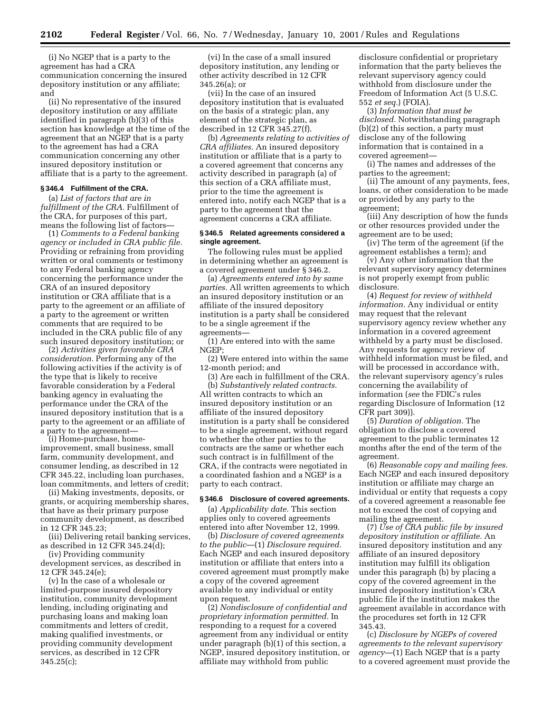(i) No NGEP that is a party to the agreement has had a CRA communication concerning the insured depository institution or any affiliate; and

(ii) No representative of the insured depository institution or any affiliate identified in paragraph (b)(3) of this section has knowledge at the time of the agreement that an NGEP that is a party to the agreement has had a CRA communication concerning any other insured depository institution or affiliate that is a party to the agreement.

## **§ 346.4 Fulfillment of the CRA.**

(a) *List of factors that are in fulfillment of the CRA.* Fulfillment of the CRA, for purposes of this part, means the following list of factors—

(1) *Comments to a Federal banking agency or included in CRA public file.* Providing or refraining from providing written or oral comments or testimony to any Federal banking agency concerning the performance under the CRA of an insured depository institution or CRA affiliate that is a party to the agreement or an affiliate of a party to the agreement or written comments that are required to be included in the CRA public file of any such insured depository institution; or

(2) *Activities given favorable CRA consideration.* Performing any of the following activities if the activity is of the type that is likely to receive favorable consideration by a Federal banking agency in evaluating the performance under the CRA of the insured depository institution that is a party to the agreement or an affiliate of a party to the agreement—

(i) Home-purchase, homeimprovement, small business, small farm, community development, and consumer lending, as described in 12 CFR 345.22, including loan purchases, loan commitments, and letters of credit;

(ii) Making investments, deposits, or grants, or acquiring membership shares, that have as their primary purpose community development, as described in 12 CFR 345.23;

(iii) Delivering retail banking services, as described in 12 CFR 345.24(d);

(iv) Providing community development services, as described in 12 CFR 345.24(e);

(v) In the case of a wholesale or limited-purpose insured depository institution, community development lending, including originating and purchasing loans and making loan commitments and letters of credit, making qualified investments, or providing community development services, as described in 12 CFR 345.25(c);

(vi) In the case of a small insured depository institution, any lending or other activity described in 12 CFR 345.26(a); or

(vii) In the case of an insured depository institution that is evaluated on the basis of a strategic plan, any element of the strategic plan, as described in 12 CFR 345.27(f).

(b) *Agreements relating to activities of CRA affiliates.* An insured depository institution or affiliate that is a party to a covered agreement that concerns any activity described in paragraph (a) of this section of a CRA affiliate must, prior to the time the agreement is entered into, notify each NGEP that is a party to the agreement that the agreement concerns a CRA affiliate.

#### **§ 346.5 Related agreements considered a single agreement.**

The following rules must be applied in determining whether an agreement is a covered agreement under § 346.2.

(a) *Agreements entered into by same parties.* All written agreements to which an insured depository institution or an affiliate of the insured depository institution is a party shall be considered to be a single agreement if the agreements—

(1) Are entered into with the same NGEP;

(2) Were entered into within the same 12-month period; and

(3) Are each in fulfillment of the CRA. (b) *Substantively related contracts.* All written contracts to which an insured depository institution or an affiliate of the insured depository institution is a party shall be considered to be a single agreement, without regard to whether the other parties to the contracts are the same or whether each such contract is in fulfillment of the CRA, if the contracts were negotiated in a coordinated fashion and a NGEP is a party to each contract.

#### **§ 346.6 Disclosure of covered agreements.**

(a) *Applicability date.* This section applies only to covered agreements entered into after November 12, 1999.

(b) *Disclosure of covered agreements to the public*—(1) *Disclosure required.* Each NGEP and each insured depository institution or affiliate that enters into a covered agreement must promptly make a copy of the covered agreement available to any individual or entity upon request.

(2) *Nondisclosure of confidential and proprietary information permitted.* In responding to a request for a covered agreement from any individual or entity under paragraph (b)(1) of this section, a NGEP, insured depository institution, or affiliate may withhold from public

disclosure confidential or proprietary information that the party believes the relevant supervisory agency could withhold from disclosure under the Freedom of Information Act (5 U.S.C. 552 *et seq.*) (FOIA).

(3) *Information that must be disclosed.* Notwithstanding paragraph (b)(2) of this section, a party must disclose any of the following information that is contained in a covered agreement—

(i) The names and addresses of the parties to the agreement;

(ii) The amount of any payments, fees, loans, or other consideration to be made or provided by any party to the agreement;

(iii) Any description of how the funds or other resources provided under the agreement are to be used;

(iv) The term of the agreement (if the agreement establishes a term); and

(v) Any other information that the relevant supervisory agency determines is not properly exempt from public disclosure.

(4) *Request for review of withheld information.* Any individual or entity may request that the relevant supervisory agency review whether any information in a covered agreement withheld by a party must be disclosed. Any requests for agency review of withheld information must be filed, and will be processed in accordance with, the relevant supervisory agency's rules concerning the availability of information (*see* the FDIC's rules regarding Disclosure of Information (12 CFR part 309)).

(5) *Duration of obligation.* The obligation to disclose a covered agreement to the public terminates 12 months after the end of the term of the agreement.

(6) *Reasonable copy and mailing fees.* Each NGEP and each insured depository institution or affiliate may charge an individual or entity that requests a copy of a covered agreement a reasonable fee not to exceed the cost of copying and mailing the agreement.

(7) *Use of CRA public file by insured depository institution or affiliate.* An insured depository institution and any affiliate of an insured depository institution may fulfill its obligation under this paragraph (b) by placing a copy of the covered agreement in the insured depository institution's CRA public file if the institution makes the agreement available in accordance with the procedures set forth in 12 CFR 345.43.

(c) *Disclosure by NGEPs of covered agreements to the relevant supervisory agency*—(1) Each NGEP that is a party to a covered agreement must provide the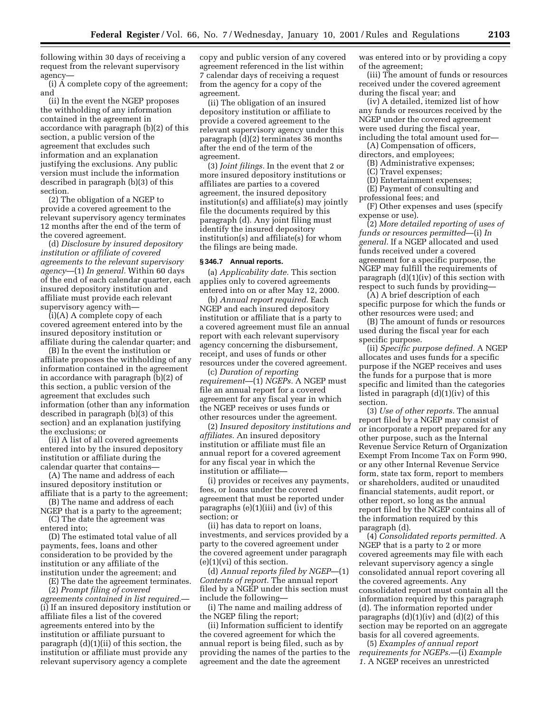following within 30 days of receiving a request from the relevant supervisory agency—

(i) A complete copy of the agreement; and

(ii) In the event the NGEP proposes the withholding of any information contained in the agreement in accordance with paragraph (b)(2) of this section, a public version of the agreement that excludes such information and an explanation justifying the exclusions. Any public version must include the information described in paragraph (b)(3) of this section.

(2) The obligation of a NGEP to provide a covered agreement to the relevant supervisory agency terminates 12 months after the end of the term of the covered agreement.

(d) *Disclosure by insured depository institution or affiliate of covered agreements to the relevant supervisory agency*—(1) *In general.* Within 60 days of the end of each calendar quarter, each insured depository institution and affiliate must provide each relevant supervisory agency with—

(i)(A) A complete copy of each covered agreement entered into by the insured depository institution or affiliate during the calendar quarter; and

(B) In the event the institution or affiliate proposes the withholding of any information contained in the agreement in accordance with paragraph (b)(2) of this section, a public version of the agreement that excludes such information (other than any information described in paragraph (b)(3) of this section) and an explanation justifying the exclusions; or

(ii) A list of all covered agreements entered into by the insured depository institution or affiliate during the calendar quarter that contains—

(A) The name and address of each insured depository institution or affiliate that is a party to the agreement;

(B) The name and address of each NGEP that is a party to the agreement;

(C) The date the agreement was entered into;

(D) The estimated total value of all payments, fees, loans and other consideration to be provided by the institution or any affiliate of the institution under the agreement; and

(E) The date the agreement terminates.

(2) *Prompt filing of covered agreements contained in list required.*— (i) If an insured depository institution or affiliate files a list of the covered agreements entered into by the institution or affiliate pursuant to paragraph (d)(1)(ii) of this section, the institution or affiliate must provide any relevant supervisory agency a complete

copy and public version of any covered agreement referenced in the list within 7 calendar days of receiving a request from the agency for a copy of the agreement.

(ii) The obligation of an insured depository institution or affiliate to provide a covered agreement to the relevant supervisory agency under this paragraph (d)(2) terminates 36 months after the end of the term of the agreement.

(3) *Joint filings.* In the event that 2 or more insured depository institutions or affiliates are parties to a covered agreement, the insured depository institution(s) and affiliate(s) may jointly file the documents required by this paragraph (d). Any joint filing must identify the insured depository institution(s) and affiliate(s) for whom the filings are being made.

#### **§ 346.7 Annual reports.**

(a) *Applicability date.* This section applies only to covered agreements entered into on or after May 12, 2000.

(b) *Annual report required.* Each NGEP and each insured depository institution or affiliate that is a party to a covered agreement must file an annual report with each relevant supervisory agency concerning the disbursement, receipt, and uses of funds or other resources under the covered agreement.

(c) *Duration of reporting requirement*—(1) *NGEPs.* A NGEP must file an annual report for a covered agreement for any fiscal year in which the NGEP receives or uses funds or other resources under the agreement.

(2) *Insured depository institutions and affiliates.* An insured depository institution or affiliate must file an annual report for a covered agreement for any fiscal year in which the institution or affiliate—

(i) provides or receives any payments, fees, or loans under the covered agreement that must be reported under paragraphs (e)(1)(iii) and (iv) of this section; or

(ii) has data to report on loans, investments, and services provided by a party to the covered agreement under the covered agreement under paragraph  $(e)(1)(vi)$  of this section.

(d) *Annual reports filed by NGEP*—(1) *Contents of report.* The annual report filed by a NGEP under this section must include the following—

(i) The name and mailing address of the NGEP filing the report;

(ii) Information sufficient to identify the covered agreement for which the annual report is being filed, such as by providing the names of the parties to the agreement and the date the agreement

was entered into or by providing a copy of the agreement;

(iii) The amount of funds or resources received under the covered agreement during the fiscal year; and

(iv) A detailed, itemized list of how any funds or resources received by the NGEP under the covered agreement were used during the fiscal year, including the total amount used for—

(A) Compensation of officers,

directors, and employees; (B) Administrative expenses;

- (C) Travel expenses;
- (D) Entertainment expenses;
- (E) Payment of consulting and

professional fees; and

(F) Other expenses and uses (specify expense or use).

(2) *More detailed reporting of uses of funds or resources permitted*—(i) *In general.* If a NGEP allocated and used funds received under a covered agreement for a specific purpose, the NGEP may fulfill the requirements of paragraph  $(d)(1)(iv)$  of this section with respect to such funds by providing—

(A) A brief description of each specific purpose for which the funds or other resources were used; and

(B) The amount of funds or resources used during the fiscal year for each specific purpose.

(ii) *Specific purpose defined.* A NGEP allocates and uses funds for a specific purpose if the NGEP receives and uses the funds for a purpose that is more specific and limited than the categories listed in paragraph (d)(1)(iv) of this section.

(3) *Use of other reports.* The annual report filed by a NGEP may consist of or incorporate a report prepared for any other purpose, such as the Internal Revenue Service Return of Organization Exempt From Income Tax on Form 990, or any other Internal Revenue Service form, state tax form, report to members or shareholders, audited or unaudited financial statements, audit report, or other report, so long as the annual report filed by the NGEP contains all of the information required by this paragraph (d).

(4) *Consolidated reports permitted.* A NGEP that is a party to 2 or more covered agreements may file with each relevant supervisory agency a single consolidated annual report covering all the covered agreements. Any consolidated report must contain all the information required by this paragraph (d). The information reported under paragraphs  $(d)(1)(iv)$  and  $(d)(2)$  of this section may be reported on an aggregate basis for all covered agreements.

(5) *Examples of annual report requirements for NGEPs.*—(i) *Example 1.* A NGEP receives an unrestricted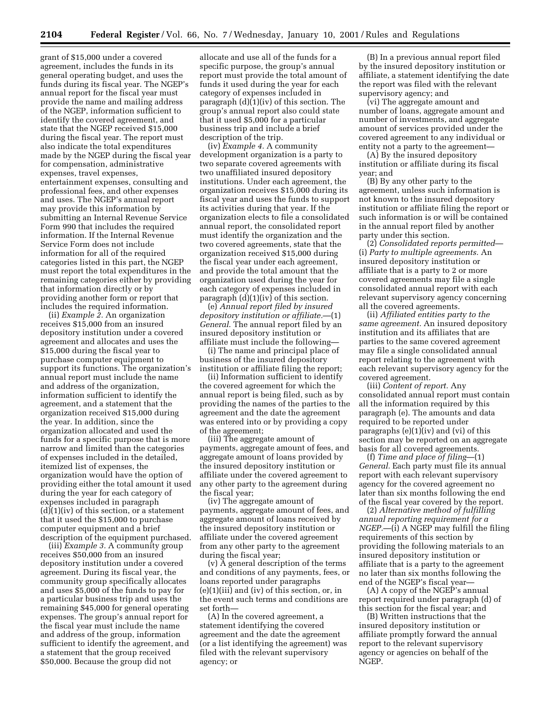grant of \$15,000 under a covered agreement, includes the funds in its general operating budget, and uses the funds during its fiscal year. The NGEP's annual report for the fiscal year must provide the name and mailing address of the NGEP, information sufficient to identify the covered agreement, and state that the NGEP received \$15,000 during the fiscal year. The report must also indicate the total expenditures made by the NGEP during the fiscal year for compensation, administrative expenses, travel expenses, entertainment expenses, consulting and professional fees, and other expenses and uses. The NGEP's annual report may provide this information by submitting an Internal Revenue Service Form 990 that includes the required information. If the Internal Revenue Service Form does not include information for all of the required categories listed in this part, the NGEP must report the total expenditures in the remaining categories either by providing that information directly or by providing another form or report that includes the required information.

(ii) *Example 2.* An organization receives \$15,000 from an insured depository institution under a covered agreement and allocates and uses the \$15,000 during the fiscal year to purchase computer equipment to support its functions. The organization's annual report must include the name and address of the organization, information sufficient to identify the agreement, and a statement that the organization received \$15,000 during the year. In addition, since the organization allocated and used the funds for a specific purpose that is more narrow and limited than the categories of expenses included in the detailed, itemized list of expenses, the organization would have the option of providing either the total amount it used during the year for each category of expenses included in paragraph  $(d)(1)(iv)$  of this section, or a statement that it used the \$15,000 to purchase computer equipment and a brief description of the equipment purchased.

(iii) *Example 3.* A community group receives \$50,000 from an insured depository institution under a covered agreement. During its fiscal year, the community group specifically allocates and uses \$5,000 of the funds to pay for a particular business trip and uses the remaining \$45,000 for general operating expenses. The group's annual report for the fiscal year must include the name and address of the group, information sufficient to identify the agreement, and a statement that the group received \$50,000. Because the group did not

allocate and use all of the funds for a specific purpose, the group's annual report must provide the total amount of funds it used during the year for each category of expenses included in paragraph (d)(1)(iv) of this section. The group's annual report also could state that it used \$5,000 for a particular business trip and include a brief description of the trip.

(iv) *Example 4.* A community development organization is a party to two separate covered agreements with two unaffiliated insured depository institutions. Under each agreement, the organization receives \$15,000 during its fiscal year and uses the funds to support its activities during that year. If the organization elects to file a consolidated annual report, the consolidated report must identify the organization and the two covered agreements, state that the organization received \$15,000 during the fiscal year under each agreement, and provide the total amount that the organization used during the year for each category of expenses included in paragraph  $(d)(1)(iv)$  of this section.

(e) *Annual report filed by insured depository institution or affiliate.*—(1) *General*. The annual report filed by an insured depository institution or affiliate must include the following—

(i) The name and principal place of business of the insured depository institution or affiliate filing the report;

(ii) Information sufficient to identify the covered agreement for which the annual report is being filed, such as by providing the names of the parties to the agreement and the date the agreement was entered into or by providing a copy of the agreement;

(iii) The aggregate amount of payments, aggregate amount of fees, and aggregate amount of loans provided by the insured depository institution or affiliate under the covered agreement to any other party to the agreement during the fiscal year;

(iv) The aggregate amount of payments, aggregate amount of fees, and aggregate amount of loans received by the insured depository institution or affiliate under the covered agreement from any other party to the agreement during the fiscal year;

(v) A general description of the terms and conditions of any payments, fees, or loans reported under paragraphs (e)(1)(iii) and (iv) of this section, or, in the event such terms and conditions are set forth—

(A) In the covered agreement, a statement identifying the covered agreement and the date the agreement (or a list identifying the agreement) was filed with the relevant supervisory agency; or

(B) In a previous annual report filed by the insured depository institution or affiliate, a statement identifying the date the report was filed with the relevant supervisory agency; and

(vi) The aggregate amount and number of loans, aggregate amount and number of investments, and aggregate amount of services provided under the covered agreement to any individual or entity not a party to the agreement—

(A) By the insured depository institution or affiliate during its fiscal year; and

(B) By any other party to the agreement, unless such information is not known to the insured depository institution or affiliate filing the report or such information is or will be contained in the annual report filed by another party under this section.

(2) *Consolidated reports permitted*— (i) *Party to multiple agreements.* An insured depository institution or affiliate that is a party to 2 or more covered agreements may file a single consolidated annual report with each relevant supervisory agency concerning all the covered agreements.

(ii) *Affiliated entities party to the same agreement.* An insured depository institution and its affiliates that are parties to the same covered agreement may file a single consolidated annual report relating to the agreement with each relevant supervisory agency for the covered agreement.

(iii) *Content of report.* Any consolidated annual report must contain all the information required by this paragraph (e). The amounts and data required to be reported under paragraphs (e)(1)(iv) and (vi) of this section may be reported on an aggregate basis for all covered agreements.

(f) *Time and place of filing*—(1) *General.* Each party must file its annual report with each relevant supervisory agency for the covered agreement no later than six months following the end of the fiscal year covered by the report.

(2) *Alternative method of fulfilling annual reporting requirement for a NGEP.*—(i) A NGEP may fulfill the filing requirements of this section by providing the following materials to an insured depository institution or affiliate that is a party to the agreement no later than six months following the end of the NGEP's fiscal year—

(A) A copy of the NGEP's annual report required under paragraph (d) of this section for the fiscal year; and

(B) Written instructions that the insured depository institution or affiliate promptly forward the annual report to the relevant supervisory agency or agencies on behalf of the NGEP.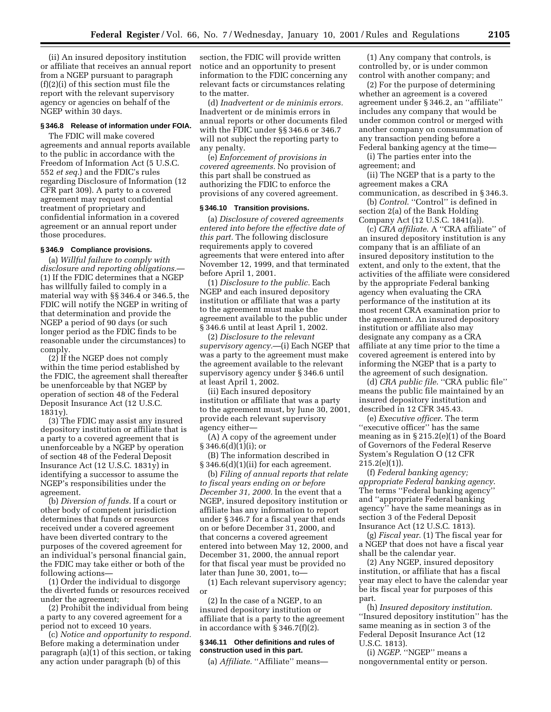(ii) An insured depository institution or affiliate that receives an annual report from a NGEP pursuant to paragraph (f)(2)(i) of this section must file the report with the relevant supervisory agency or agencies on behalf of the NGEP within 30 days.

## **§ 346.8 Release of information under FOIA.**

The FDIC will make covered agreements and annual reports available to the public in accordance with the Freedom of Information Act (5 U.S.C. 552 *et seq.*) and the FDIC's rules regarding Disclosure of Information (12 CFR part 309). A party to a covered agreement may request confidential treatment of proprietary and confidential information in a covered agreement or an annual report under those procedures.

#### **§ 346.9 Compliance provisions.**

(a) *Willful failure to comply with disclosure and reporting obligations*.— (1) If the FDIC determines that a NGEP has willfully failed to comply in a material way with §§ 346.4 or 346.5, the FDIC will notify the NGEP in writing of that determination and provide the NGEP a period of 90 days (or such longer period as the FDIC finds to be reasonable under the circumstances) to comply.

 $(2)$  If the NGEP does not comply within the time period established by the FDIC, the agreement shall thereafter be unenforceable by that NGEP by operation of section 48 of the Federal Deposit Insurance Act (12 U.S.C. 1831y).

(3) The FDIC may assist any insured depository institution or affiliate that is a party to a covered agreement that is unenforceable by a NGEP by operation of section 48 of the Federal Deposit Insurance Act (12 U.S.C. 1831y) in identifying a successor to assume the NGEP's responsibilities under the agreement.

(b) *Diversion of funds.* If a court or other body of competent jurisdiction determines that funds or resources received under a covered agreement have been diverted contrary to the purposes of the covered agreement for an individual's personal financial gain, the FDIC may take either or both of the following actions—

(1) Order the individual to disgorge the diverted funds or resources received under the agreement;

(2) Prohibit the individual from being a party to any covered agreement for a period not to exceed 10 years.

(c) *Notice and opportunity to respond.* Before making a determination under paragraph (a)(1) of this section, or taking any action under paragraph (b) of this

section, the FDIC will provide written notice and an opportunity to present information to the FDIC concerning any relevant facts or circumstances relating to the matter.

(d) *Inadvertent or de minimis errors.* Inadvertent or de minimis errors in annual reports or other documents filed with the FDIC under §§ 346.6 or 346.7 will not subject the reporting party to any penalty.

(e) *Enforcement of provisions in covered agreements.* No provision of this part shall be construed as authorizing the FDIC to enforce the provisions of any covered agreement.

#### **§ 346.10 Transition provisions.**

(a) *Disclosure of covered agreements entered into before the effective date of this part.* The following disclosure requirements apply to covered agreements that were entered into after November 12, 1999, and that terminated before April 1, 2001.

(1) *Disclosure to the public.* Each NGEP and each insured depository institution or affiliate that was a party to the agreement must make the agreement available to the public under § 346.6 until at least April 1, 2002.

(2) *Disclosure to the relevant supervisory agency.*—(i) Each NGEP that was a party to the agreement must make the agreement available to the relevant supervisory agency under § 346.6 until at least April 1, 2002.

(ii) Each insured depository institution or affiliate that was a party to the agreement must, by June 30, 2001, provide each relevant supervisory agency either—

(A) A copy of the agreement under  $§ 346.6(d)(1)(i);$  or

(B) The information described in § 346.6(d)(1)(ii) for each agreement.

(b) *Filing of annual reports that relate to fiscal years ending on or before December 31, 2000.* In the event that a NGEP, insured depository institution or affiliate has any information to report under § 346.7 for a fiscal year that ends on or before December 31, 2000, and that concerns a covered agreement entered into between May 12, 2000, and December 31, 2000, the annual report for that fiscal year must be provided no later than June 30, 2001, to—

(1) Each relevant supervisory agency; or

(2) In the case of a NGEP, to an insured depository institution or affiliate that is a party to the agreement in accordance with § 346.7(f)(2).

### **§ 346.11 Other definitions and rules of construction used in this part.**

(a) *Affiliate.* "Affiliate" means-

(1) Any company that controls, is controlled by, or is under common control with another company; and

(2) For the purpose of determining whether an agreement is a covered agreement under § 346.2, an ''affiliate'' includes any company that would be under common control or merged with another company on consummation of any transaction pending before a Federal banking agency at the time—

(i) The parties enter into the agreement; and

(ii) The NGEP that is a party to the agreement makes a CRA

communication, as described in § 346.3. (b) *Control*. "Control" is defined in

section 2(a) of the Bank Holding Company Act (12 U.S.C. 1841(a)).

(c) *CRA affiliate*. A ''CRA affiliate'' of an insured depository institution is any company that is an affiliate of an insured depository institution to the extent, and only to the extent, that the activities of the affiliate were considered by the appropriate Federal banking agency when evaluating the CRA performance of the institution at its most recent CRA examination prior to the agreement. An insured depository institution or affiliate also may designate any company as a CRA affiliate at any time prior to the time a covered agreement is entered into by informing the NGEP that is a party to the agreement of such designation.

(d) *CRA public file*. ''CRA public file'' means the public file maintained by an insured depository institution and described in 12 CFR 345.43.

(e) *Executive officer*. The term "executive officer" has the same meaning as in § 215.2(e)(1) of the Board of Governors of the Federal Reserve System's Regulation O (12 CFR  $215.2(e)(1)$ ).

(f) *Federal banking agency; appropriate Federal banking agency*. The terms ''Federal banking agency'' and ''appropriate Federal banking agency'' have the same meanings as in section 3 of the Federal Deposit Insurance Act (12 U.S.C. 1813).

(g) *Fiscal year*. (1) The fiscal year for a NGEP that does not have a fiscal year shall be the calendar year.

(2) Any NGEP, insured depository institution, or affiliate that has a fiscal year may elect to have the calendar year be its fiscal year for purposes of this part.

(h) *Insured depository institution*. ''Insured depository institution'' has the same meaning as in section 3 of the Federal Deposit Insurance Act (12 U.S.C. 1813).

(i) *NGEP*. ''NGEP'' means a nongovernmental entity or person.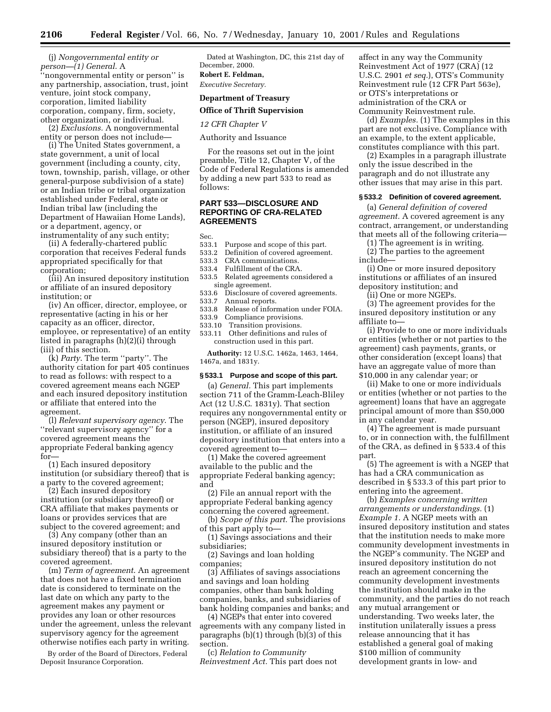(j) *Nongovernmental entity or person—(1) General*. A 'nongovernmental entity or person'' is any partnership, association, trust, joint venture, joint stock company, corporation, limited liability corporation, company, firm, society, other organization, or individual.

(2) *Exclusions.* A nongovernmental entity or person does not include—

(i) The United States government, a state government, a unit of local government (including a county, city, town, township, parish, village, or other general-purpose subdivision of a state) or an Indian tribe or tribal organization established under Federal, state or Indian tribal law (including the Department of Hawaiian Home Lands), or a department, agency, or instrumentality of any such entity;

(ii) A federally-chartered public corporation that receives Federal funds appropriated specifically for that corporation;

(iii) An insured depository institution or affiliate of an insured depository institution; or

(iv) An officer, director, employee, or representative (acting in his or her capacity as an officer, director, employee, or representative) of an entity listed in paragraphs (h)(2)(i) through (iii) of this section.

(k) *Party*. The term ''party''. The authority citation for part 405 continues to read as follows: with respect to a covered agreement means each NGEP and each insured depository institution or affiliate that entered into the agreement.

(l) *Relevant supervisory agency*. The ''relevant supervisory agency'' for a covered agreement means the appropriate Federal banking agency for—

(1) Each insured depository institution (or subsidiary thereof) that is a party to the covered agreement;

(2) Each insured depository institution (or subsidiary thereof) or CRA affiliate that makes payments or loans or provides services that are subject to the covered agreement; and

(3) Any company (other than an insured depository institution or subsidiary thereof) that is a party to the covered agreement.

(m) *Term of agreement*. An agreement that does not have a fixed termination date is considered to terminate on the last date on which any party to the agreement makes any payment or provides any loan or other resources under the agreement, unless the relevant supervisory agency for the agreement otherwise notifies each party in writing.

By order of the Board of Directors, Federal Deposit Insurance Corporation.

Dated at Washington, DC, this 21st day of December, 2000.

## **Robert E. Feldman,**

*Executive Secretary.*

## **Department of Treasury**

**Office of Thrift Supervision**

*12 CFR Chapter V*

Authority and Issuance

For the reasons set out in the joint preamble, Title 12, Chapter V, of the Code of Federal Regulations is amended by adding a new part 533 to read as follows:

## **PART 533—DISCLOSURE AND REPORTING OF CRA-RELATED AGREEMENTS**

Sec.

- 533.1 Purpose and scope of this part.
- 533.2 Definition of covered agreement.
- 533.3 CRA communications.
- 533.4 Fulfillment of the CRA.
- 533.5 Related agreements considered a single agreement.
- 533.6 Disclosure of covered agreements.
- 533.7 Annual reports.
- 533.8 Release of information under FOIA.
- 533.9 Compliance provisions. 533.10 Transition provisions.
- 533.11 Other definitions and rules of
- construction used in this part.

**Authority:** 12 U.S.C. 1462a, 1463, 1464, 1467a, and 1831y.

#### **§ 533.1 Purpose and scope of this part.**

(a) *General.* This part implements section 711 of the Gramm-Leach-Bliley Act (12 U.S.C. 1831y). That section requires any nongovernmental entity or person (NGEP), insured depository institution, or affiliate of an insured depository institution that enters into a covered agreement to—

(1) Make the covered agreement available to the public and the appropriate Federal banking agency; and

(2) File an annual report with the appropriate Federal banking agency concerning the covered agreement.

(b) *Scope of this part.* The provisions of this part apply to—

(1) Savings associations and their subsidiaries;

(2) Savings and loan holding companies;

(3) Affiliates of savings associations and savings and loan holding companies, other than bank holding companies, banks, and subsidiaries of bank holding companies and banks; and

(4) NGEPs that enter into covered agreements with any company listed in paragraphs (b)(1) through (b)(3) of this section.

(c) *Relation to Community Reinvestment Act.* This part does not affect in any way the Community Reinvestment Act of 1977 (CRA) (12 U.S.C. 2901 *et seq.*), OTS's Community Reinvestment rule (12 CFR Part 563e), or OTS's interpretations or administration of the CRA or Community Reinvestment rule.

(d) *Examples.* (1) The examples in this part are not exclusive. Compliance with an example, to the extent applicable, constitutes compliance with this part.

(2) Examples in a paragraph illustrate only the issue described in the paragraph and do not illustrate any other issues that may arise in this part.

#### **§ 533.2 Definition of covered agreement.**

(a) *General definition of covered agreement.* A covered agreement is any contract, arrangement, or understanding that meets all of the following criteria—

(1) The agreement is in writing. (2) The parties to the agreement include—

(i) One or more insured depository institutions or affiliates of an insured depository institution; and

(ii) One or more NGEPs.

(3) The agreement provides for the insured depository institution or any affiliate to—

(i) Provide to one or more individuals or entities (whether or not parties to the agreement) cash payments, grants, or other consideration (except loans) that have an aggregate value of more than \$10,000 in any calendar year; or

(ii) Make to one or more individuals or entities (whether or not parties to the agreement) loans that have an aggregate principal amount of more than \$50,000 in any calendar year.

(4) The agreement is made pursuant to, or in connection with, the fulfillment of the CRA, as defined in § 533.4 of this part.

(5) The agreement is with a NGEP that has had a CRA communication as described in § 533.3 of this part prior to entering into the agreement.

(b) *Examples concerning written arrangements or understandings.* (1) *Example 1.* A NGEP meets with an insured depository institution and states that the institution needs to make more community development investments in the NGEP's community. The NGEP and insured depository institution do not reach an agreement concerning the community development investments the institution should make in the community, and the parties do not reach any mutual arrangement or understanding. Two weeks later, the institution unilaterally issues a press release announcing that it has established a general goal of making \$100 million of community development grants in low- and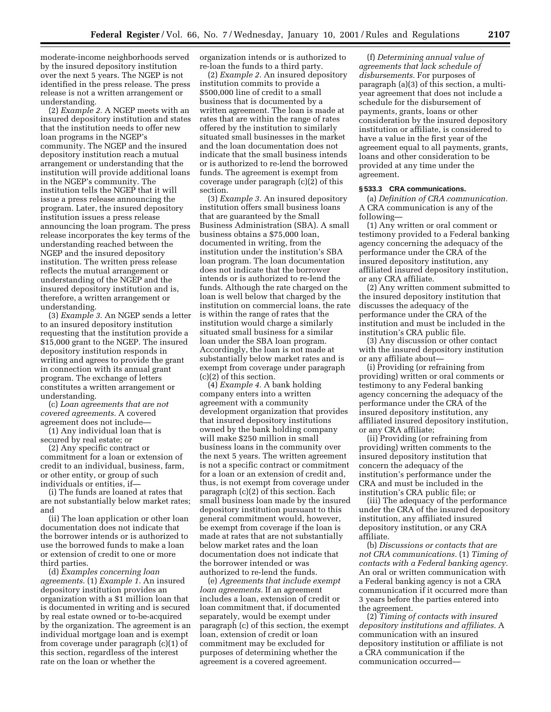moderate-income neighborhoods served by the insured depository institution over the next 5 years. The NGEP is not identified in the press release. The press release is not a written arrangement or understanding.

(2) *Example 2.* A NGEP meets with an insured depository institution and states that the institution needs to offer new loan programs in the NGEP's community. The NGEP and the insured depository institution reach a mutual arrangement or understanding that the institution will provide additional loans in the NGEP's community. The institution tells the NGEP that it will issue a press release announcing the program. Later, the insured depository institution issues a press release announcing the loan program. The press release incorporates the key terms of the understanding reached between the NGEP and the insured depository institution. The written press release reflects the mutual arrangement or understanding of the NGEP and the insured depository institution and is, therefore, a written arrangement or understanding.

(3) *Example 3.* An NGEP sends a letter to an insured depository institution requesting that the institution provide a \$15,000 grant to the NGEP. The insured depository institution responds in writing and agrees to provide the grant in connection with its annual grant program. The exchange of letters constitutes a written arrangement or understanding.

(c) *Loan agreements that are not covered agreements.* A covered agreement does not include—

(1) Any individual loan that is secured by real estate; or

(2) Any specific contract or commitment for a loan or extension of credit to an individual, business, farm, or other entity, or group of such individuals or entities, if—

(i) The funds are loaned at rates that are not substantially below market rates; and

(ii) The loan application or other loan documentation does not indicate that the borrower intends or is authorized to use the borrowed funds to make a loan or extension of credit to one or more third parties.

(d) *Examples concerning loan agreements.* (1) *Example 1.* An insured depository institution provides an organization with a \$1 million loan that is documented in writing and is secured by real estate owned or to-be-acquired by the organization. The agreement is an individual mortgage loan and is exempt from coverage under paragraph (c)(1) of this section, regardless of the interest rate on the loan or whether the

organization intends or is authorized to re-loan the funds to a third party.

(2) *Example 2.* An insured depository institution commits to provide a \$500,000 line of credit to a small business that is documented by a written agreement. The loan is made at rates that are within the range of rates offered by the institution to similarly situated small businesses in the market and the loan documentation does not indicate that the small business intends or is authorized to re-lend the borrowed funds. The agreement is exempt from coverage under paragraph (c)(2) of this section.

(3) *Example 3.* An insured depository institution offers small business loans that are guaranteed by the Small Business Administration (SBA). A small business obtains a \$75,000 loan, documented in writing, from the institution under the institution's SBA loan program. The loan documentation does not indicate that the borrower intends or is authorized to re-lend the funds. Although the rate charged on the loan is well below that charged by the institution on commercial loans, the rate is within the range of rates that the institution would charge a similarly situated small business for a similar loan under the SBA loan program. Accordingly, the loan is not made at substantially below market rates and is exempt from coverage under paragraph (c)(2) of this section.

(4) *Example 4.* A bank holding company enters into a written agreement with a community development organization that provides that insured depository institutions owned by the bank holding company will make \$250 million in small business loans in the community over the next 5 years. The written agreement is not a specific contract or commitment for a loan or an extension of credit and, thus, is not exempt from coverage under paragraph (c)(2) of this section. Each small business loan made by the insured depository institution pursuant to this general commitment would, however, be exempt from coverage if the loan is made at rates that are not substantially below market rates and the loan documentation does not indicate that the borrower intended or was authorized to re-lend the funds.

(e) *Agreements that include exempt loan agreements.* If an agreement includes a loan, extension of credit or loan commitment that, if documented separately, would be exempt under paragraph (c) of this section, the exempt loan, extension of credit or loan commitment may be excluded for purposes of determining whether the agreement is a covered agreement.

(f) *Determining annual value of agreements that lack schedule of disbursements.* For purposes of paragraph (a)(3) of this section, a multiyear agreement that does not include a schedule for the disbursement of payments, grants, loans or other consideration by the insured depository institution or affiliate, is considered to have a value in the first year of the agreement equal to all payments, grants, loans and other consideration to be provided at any time under the agreement.

#### **§ 533.3 CRA communications.**

(a) *Definition of CRA communication.* A CRA communication is any of the following—

(1) Any written or oral comment or testimony provided to a Federal banking agency concerning the adequacy of the performance under the CRA of the insured depository institution, any affiliated insured depository institution, or any CRA affiliate.

(2) Any written comment submitted to the insured depository institution that discusses the adequacy of the performance under the CRA of the institution and must be included in the institution's CRA public file.

(3) Any discussion or other contact with the insured depository institution or any affiliate about—

(i) Providing (or refraining from providing) written or oral comments or testimony to any Federal banking agency concerning the adequacy of the performance under the CRA of the insured depository institution, any affiliated insured depository institution, or any CRA affiliate;

(ii) Providing (or refraining from providing) written comments to the insured depository institution that concern the adequacy of the institution's performance under the CRA and must be included in the institution's CRA public file; or

(iii) The adequacy of the performance under the CRA of the insured depository institution, any affiliated insured depository institution, or any CRA affiliate.

(b) *Discussions or contacts that are not CRA communications.* (1) *Timing of contacts with a Federal banking agency.* An oral or written communication with a Federal banking agency is not a CRA communication if it occurred more than 3 years before the parties entered into the agreement.

(2) *Timing of contacts with insured depository institutions and affiliates.* A communication with an insured depository institution or affiliate is not a CRA communication if the communication occurred—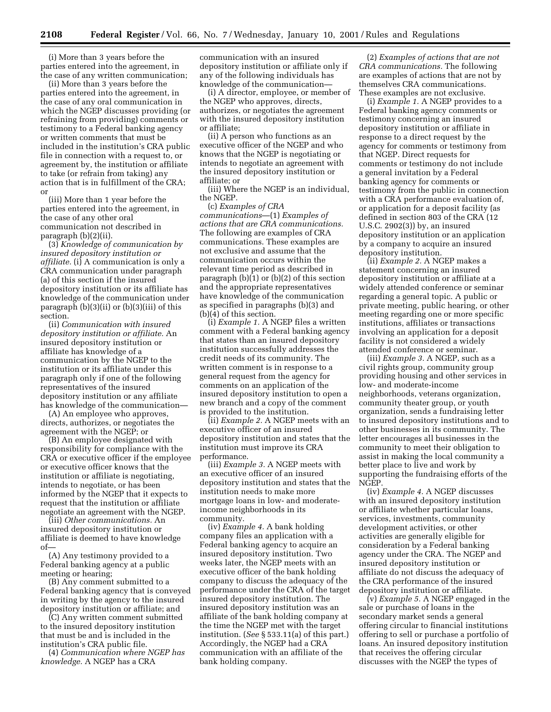(i) More than 3 years before the parties entered into the agreement, in the case of any written communication;

(ii) More than 3 years before the parties entered into the agreement, in the case of any oral communication in which the NGEP discusses providing (or refraining from providing) comments or testimony to a Federal banking agency or written comments that must be included in the institution's CRA public file in connection with a request to, or agreement by, the institution or affiliate to take (or refrain from taking) any action that is in fulfillment of the CRA; or

(iii) More than 1 year before the parties entered into the agreement, in the case of any other oral communication not described in paragraph (b)(2)(ii).

(3) *Knowledge of communication by insured depository institution or affiliate.* (i) A communication is only a CRA communication under paragraph (a) of this section if the insured depository institution or its affiliate has knowledge of the communication under paragraph (b)(3)(ii) or (b)(3)(iii) of this section.

(ii) *Communication with insured depository institution or affiliate.* An insured depository institution or affiliate has knowledge of a communication by the NGEP to the institution or its affiliate under this paragraph only if one of the following representatives of the insured depository institution or any affiliate has knowledge of the communication—

(A) An employee who approves, directs, authorizes, or negotiates the agreement with the NGEP; or

(B) An employee designated with responsibility for compliance with the CRA or executive officer if the employee or executive officer knows that the institution or affiliate is negotiating, intends to negotiate, or has been informed by the NGEP that it expects to request that the institution or affiliate negotiate an agreement with the NGEP.

(iii) *Other communications.* An insured depository institution or affiliate is deemed to have knowledge of—

(A) Any testimony provided to a Federal banking agency at a public meeting or hearing;

(B) Any comment submitted to a Federal banking agency that is conveyed in writing by the agency to the insured depository institution or affiliate; and

(C) Any written comment submitted to the insured depository institution that must be and is included in the institution's CRA public file.

(4) *Communication where NGEP has knowledge.* A NGEP has a CRA

communication with an insured depository institution or affiliate only if any of the following individuals has knowledge of the communication—

(i) A director, employee, or member of the NGEP who approves, directs, authorizes, or negotiates the agreement with the insured depository institution or affiliate;

(ii) A person who functions as an executive officer of the NGEP and who knows that the NGEP is negotiating or intends to negotiate an agreement with the insured depository institution or affiliate; or

(iii) Where the NGEP is an individual, the NGEP.

(c) *Examples of CRA communications*—(1) *Examples of actions that are CRA communications.* The following are examples of CRA communications. These examples are not exclusive and assume that the communication occurs within the relevant time period as described in paragraph (b)(1) or (b)(2) of this section and the appropriate representatives have knowledge of the communication as specified in paragraphs (b)(3) and  $(b)(4)$  of this section.

(i) *Example 1.* A NGEP files a written comment with a Federal banking agency that states than an insured depository institution successfully addresses the credit needs of its community. The written comment is in response to a general request from the agency for comments on an application of the insured depository institution to open a new branch and a copy of the comment is provided to the institution.

(ii) *Example 2.* A NGEP meets with an executive officer of an insured depository institution and states that the institution must improve its CRA performance.

(iii) *Example 3.* A NGEP meets with an executive officer of an insured depository institution and states that the institution needs to make more mortgage loans in low- and moderateincome neighborhoods in its community.

(iv) *Example 4.* A bank holding company files an application with a Federal banking agency to acquire an insured depository institution. Two weeks later, the NGEP meets with an executive officer of the bank holding company to discuss the adequacy of the performance under the CRA of the target insured depository institution. The insured depository institution was an affiliate of the bank holding company at the time the NGEP met with the target institution. (*See* § 533.11(a) of this part.) Accordingly, the NGEP had a CRA communication with an affiliate of the bank holding company.

(2) *Examples of actions that are not CRA communications.* The following are examples of actions that are not by themselves CRA communications. These examples are not exclusive.

(i) *Example 1.* A NGEP provides to a Federal banking agency comments or testimony concerning an insured depository institution or affiliate in response to a direct request by the agency for comments or testimony from that NGEP. Direct requests for comments or testimony do not include a general invitation by a Federal banking agency for comments or testimony from the public in connection with a CRA performance evaluation of, or application for a deposit facility (as defined in section 803 of the CRA (12 U.S.C. 2902(3)) by, an insured depository institution or an application by a company to acquire an insured depository institution.

(ii) *Example 2.* A NGEP makes a statement concerning an insured depository institution or affiliate at a widely attended conference or seminar regarding a general topic. A public or private meeting, public hearing, or other meeting regarding one or more specific institutions, affiliates or transactions involving an application for a deposit facility is not considered a widely attended conference or seminar.

(iii) *Example 3.* A NGEP, such as a civil rights group, community group providing housing and other services in low- and moderate-income neighborhoods, veterans organization, community theater group, or youth organization, sends a fundraising letter to insured depository institutions and to other businesses in its community. The letter encourages all businesses in the community to meet their obligation to assist in making the local community a better place to live and work by supporting the fundraising efforts of the NGEP.

(iv) *Example 4.* A NGEP discusses with an insured depository institution or affiliate whether particular loans, services, investments, community development activities, or other activities are generally eligible for consideration by a Federal banking agency under the CRA. The NGEP and insured depository institution or affiliate do not discuss the adequacy of the CRA performance of the insured depository institution or affiliate.

(v) *Example 5.* A NGEP engaged in the sale or purchase of loans in the secondary market sends a general offering circular to financial institutions offering to sell or purchase a portfolio of loans. An insured depository institution that receives the offering circular discusses with the NGEP the types of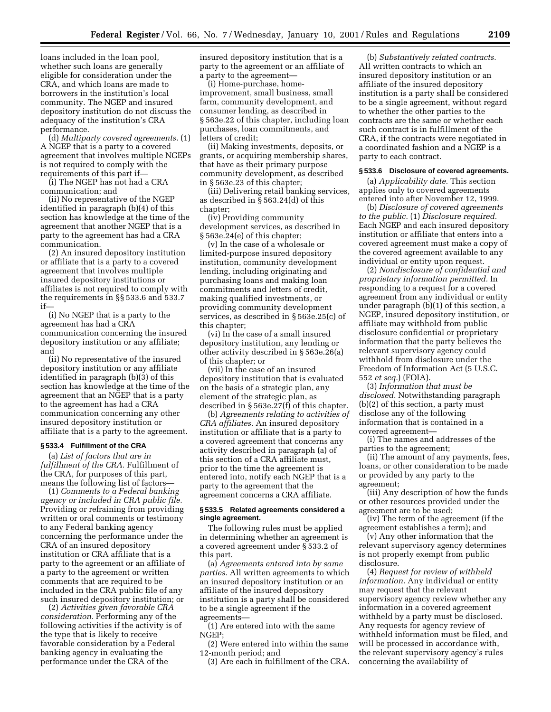loans included in the loan pool, whether such loans are generally eligible for consideration under the CRA, and which loans are made to borrowers in the institution's local community. The NGEP and insured depository institution do not discuss the adequacy of the institution's CRA performance.

(d) *Multiparty covered agreements.* (1) A NGEP that is a party to a covered agreement that involves multiple NGEPs is not required to comply with the requirements of this part if—

(i) The NGEP has not had a CRA communication; and

(ii) No representative of the NGEP identified in paragraph (b)(4) of this section has knowledge at the time of the agreement that another NGEP that is a party to the agreement has had a CRA communication.

(2) An insured depository institution or affiliate that is a party to a covered agreement that involves multiple insured depository institutions or affiliates is not required to comply with the requirements in §§ 533.6 and 533.7 if—

(i) No NGEP that is a party to the agreement has had a CRA communication concerning the insured depository institution or any affiliate; and

(ii) No representative of the insured depository institution or any affiliate identified in paragraph (b)(3) of this section has knowledge at the time of the agreement that an NGEP that is a party to the agreement has had a CRA communication concerning any other insured depository institution or affiliate that is a party to the agreement.

#### **§ 533.4 Fulfillment of the CRA**

(a) *List of factors that are in fulfillment of the CRA.* Fulfillment of the CRA, for purposes of this part, means the following list of factors—

(1) *Comments to a Federal banking agency or included in CRA public file.* Providing or refraining from providing written or oral comments or testimony to any Federal banking agency concerning the performance under the CRA of an insured depository institution or CRA affiliate that is a party to the agreement or an affiliate of a party to the agreement or written comments that are required to be included in the CRA public file of any such insured depository institution; or

(2) *Activities given favorable CRA consideration.* Performing any of the following activities if the activity is of the type that is likely to receive favorable consideration by a Federal banking agency in evaluating the performance under the CRA of the

insured depository institution that is a party to the agreement or an affiliate of a party to the agreement—

(i) Home-purchase, homeimprovement, small business, small farm, community development, and consumer lending, as described in § 563e.22 of this chapter, including loan purchases, loan commitments, and letters of credit;

(ii) Making investments, deposits, or grants, or acquiring membership shares, that have as their primary purpose community development, as described in § 563e.23 of this chapter;

(iii) Delivering retail banking services, as described in § 563.24(d) of this chapter;

(iv) Providing community development services, as described in § 563e.24(e) of this chapter;

(v) In the case of a wholesale or limited-purpose insured depository institution, community development lending, including originating and purchasing loans and making loan commitments and letters of credit, making qualified investments, or providing community development services, as described in § 563e.25(c) of this chapter;

(vi) In the case of a small insured depository institution, any lending or other activity described in § 563e.26(a) of this chapter; or

(vii) In the case of an insured depository institution that is evaluated on the basis of a strategic plan, any element of the strategic plan, as described in § 563e.27(f) of this chapter.

(b) *Agreements relating to activities of CRA affiliates.* An insured depository institution or affiliate that is a party to a covered agreement that concerns any activity described in paragraph (a) of this section of a CRA affiliate must, prior to the time the agreement is entered into, notify each NGEP that is a party to the agreement that the agreement concerns a CRA affiliate.

#### **§ 533.5 Related agreements considered a single agreement.**

The following rules must be applied in determining whether an agreement is a covered agreement under § 533.2 of this part.

(a) *Agreements entered into by same parties.* All written agreements to which an insured depository institution or an affiliate of the insured depository institution is a party shall be considered to be a single agreement if the agreements—

(1) Are entered into with the same NGEP;

(2) Were entered into within the same 12-month period; and

(3) Are each in fulfillment of the CRA.

(b) *Substantively related contracts.* All written contracts to which an insured depository institution or an affiliate of the insured depository institution is a party shall be considered to be a single agreement, without regard to whether the other parties to the contracts are the same or whether each such contract is in fulfillment of the CRA, if the contracts were negotiated in a coordinated fashion and a NGEP is a party to each contract.

#### **§ 533.6 Disclosure of covered agreements.**

(a) *Applicability date.* This section applies only to covered agreements entered into after November 12, 1999.

(b) *Disclosure of covered agreements to the public.* (1) *Disclosure required.* Each NGEP and each insured depository institution or affiliate that enters into a covered agreement must make a copy of the covered agreement available to any individual or entity upon request.

(2) *Nondisclosure of confidential and proprietary information permitted.* In responding to a request for a covered agreement from any individual or entity under paragraph (b)(1) of this section, a NGEP, insured depository institution, or affiliate may withhold from public disclosure confidential or proprietary information that the party believes the relevant supervisory agency could withhold from disclosure under the Freedom of Information Act (5 U.S.C. 552 *et seq.*) (FOIA).

(3) *Information that must be disclosed.* Notwithstanding paragraph (b)(2) of this section, a party must disclose any of the following information that is contained in a covered agreement—

(i) The names and addresses of the parties to the agreement;

(ii) The amount of any payments, fees, loans, or other consideration to be made or provided by any party to the agreement;

(iii) Any description of how the funds or other resources provided under the agreement are to be used;

(iv) The term of the agreement (if the agreement establishes a term); and

(v) Any other information that the relevant supervisory agency determines is not properly exempt from public disclosure.

(4) *Request for review of withheld information.* Any individual or entity may request that the relevant supervisory agency review whether any information in a covered agreement withheld by a party must be disclosed. Any requests for agency review of withheld information must be filed, and will be processed in accordance with, the relevant supervisory agency's rules concerning the availability of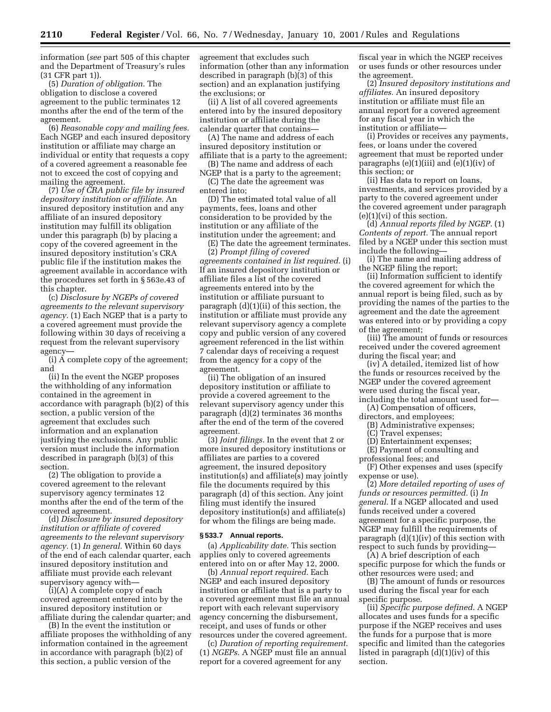information (*see* part 505 of this chapter and the Department of Treasury's rules (31 CFR part 1)).

(5) *Duration of obligation.* The obligation to disclose a covered agreement to the public terminates 12 months after the end of the term of the agreement.

(6) *Reasonable copy and mailing fees.* Each NGEP and each insured depository institution or affiliate may charge an individual or entity that requests a copy of a covered agreement a reasonable fee not to exceed the cost of copying and mailing the agreement.

(7) *Use of CRA public file by insured depository institution or affiliate.* An insured depository institution and any affiliate of an insured depository institution may fulfill its obligation under this paragraph (b) by placing a copy of the covered agreement in the insured depository institution's CRA public file if the institution makes the agreement available in accordance with the procedures set forth in § 563e.43 of this chapter.

(c) *Disclosure by NGEPs of covered agreements to the relevant supervisory agency.* (1) Each NGEP that is a party to a covered agreement must provide the following within 30 days of receiving a request from the relevant supervisory agency—

(i) A complete copy of the agreement; and

(ii) In the event the NGEP proposes the withholding of any information contained in the agreement in accordance with paragraph (b)(2) of this section, a public version of the agreement that excludes such information and an explanation justifying the exclusions. Any public version must include the information described in paragraph (b)(3) of this section.

(2) The obligation to provide a covered agreement to the relevant supervisory agency terminates 12 months after the end of the term of the covered agreement.

(d) *Disclosure by insured depository institution or affiliate of covered agreements to the relevant supervisory agency.* (1) *In general.* Within 60 days of the end of each calendar quarter, each insured depository institution and affiliate must provide each relevant supervisory agency with—

(i)(A) A complete copy of each covered agreement entered into by the insured depository institution or affiliate during the calendar quarter; and

(B) In the event the institution or affiliate proposes the withholding of any information contained in the agreement in accordance with paragraph (b)(2) of this section, a public version of the

agreement that excludes such information (other than any information described in paragraph (b)(3) of this section) and an explanation justifying the exclusions; or

(ii) A list of all covered agreements entered into by the insured depository institution or affiliate during the calendar quarter that contains—

(A) The name and address of each insured depository institution or affiliate that is a party to the agreement;

(B) The name and address of each NGEP that is a party to the agreement;

(C) The date the agreement was entered into;

(D) The estimated total value of all payments, fees, loans and other consideration to be provided by the institution or any affiliate of the institution under the agreement; and

(E) The date the agreement terminates. (2) *Prompt filing of covered agreements contained in list required.* (i) If an insured depository institution or affiliate files a list of the covered agreements entered into by the institution or affiliate pursuant to paragraph (d)(1)(ii) of this section, the institution or affiliate must provide any relevant supervisory agency a complete copy and public version of any covered agreement referenced in the list within 7 calendar days of receiving a request from the agency for a copy of the agreement.

(ii) The obligation of an insured depository institution or affiliate to provide a covered agreement to the relevant supervisory agency under this paragraph (d)(2) terminates 36 months after the end of the term of the covered agreement.

(3) *Joint filings.* In the event that 2 or more insured depository institutions or affiliates are parties to a covered agreement, the insured depository institution(s) and affiliate(s) may jointly file the documents required by this paragraph (d) of this section. Any joint filing must identify the insured depository institution(s) and affiliate(s) for whom the filings are being made.

#### **§ 533.7 Annual reports.**

(a) *Applicability date.* This section applies only to covered agreements entered into on or after May 12, 2000.

(b) *Annual report required.* Each NGEP and each insured depository institution or affiliate that is a party to a covered agreement must file an annual report with each relevant supervisory agency concerning the disbursement, receipt, and uses of funds or other resources under the covered agreement.

(c) *Duration of reporting requirement.* (1) *NGEPs.* A NGEP must file an annual report for a covered agreement for any

fiscal year in which the NGEP receives or uses funds or other resources under the agreement.

(2) *Insured depository institutions and affiliates.* An insured depository institution or affiliate must file an annual report for a covered agreement for any fiscal year in which the institution or affiliate—

(i) Provides or receives any payments, fees, or loans under the covered agreement that must be reported under paragraphs  $(e)(1)(iii)$  and  $(e)(1)(iv)$  of this section; or

(ii) Has data to report on loans, investments, and services provided by a party to the covered agreement under the covered agreement under paragraph  $(e)(1)(vi)$  of this section.

(d) *Annual reports filed by NGEP.* (1) *Contents of report.* The annual report filed by a NGEP under this section must include the following—

(i) The name and mailing address of the NGEP filing the report;

(ii) Information sufficient to identify the covered agreement for which the annual report is being filed, such as by providing the names of the parties to the agreement and the date the agreement was entered into or by providing a copy of the agreement;

(iii) The amount of funds or resources received under the covered agreement during the fiscal year; and

(iv) A detailed, itemized list of how the funds or resources received by the NGEP under the covered agreement were used during the fiscal year, including the total amount used for—

(A) Compensation of officers,

directors, and employees; (B) Administrative expenses;

- 
- (C) Travel expenses; (D) Entertainment expenses;
- (E) Payment of consulting and
- professional fees; and

(F) Other expenses and uses (specify expense or use).

(2) *More detailed reporting of uses of funds or resources permitted.* (i) *In general.* If a NGEP allocated and used funds received under a covered agreement for a specific purpose, the NGEP may fulfill the requirements of paragraph (d)(1)(iv) of this section with respect to such funds by providing—

(A) A brief description of each specific purpose for which the funds or other resources were used; and

(B) The amount of funds or resources used during the fiscal year for each specific purpose.

(ii) *Specific purpose defined.* A NGEP allocates and uses funds for a specific purpose if the NGEP receives and uses the funds for a purpose that is more specific and limited than the categories listed in paragraph (d)(1)(iv) of this section.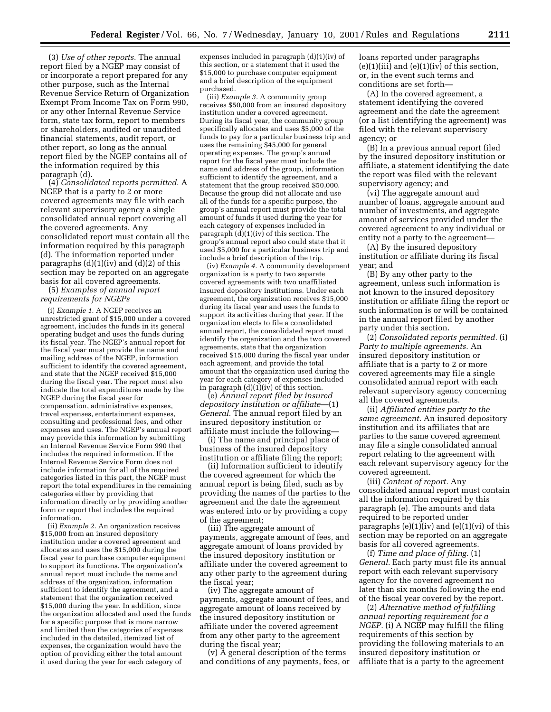(3) *Use of other reports.* The annual report filed by a NGEP may consist of or incorporate a report prepared for any other purpose, such as the Internal Revenue Service Return of Organization Exempt From Income Tax on Form 990, or any other Internal Revenue Service form, state tax form, report to members or shareholders, audited or unaudited financial statements, audit report, or other report, so long as the annual report filed by the NGEP contains all of the information required by this paragraph (d).

(4) *Consolidated reports permitted.* A NGEP that is a party to 2 or more covered agreements may file with each relevant supervisory agency a single consolidated annual report covering all the covered agreements. Any consolidated report must contain all the information required by this paragraph (d). The information reported under paragraphs  $(d)(1)(iv)$  and  $(d)(2)$  of this section may be reported on an aggregate basis for all covered agreements.

(5) *Examples of annual report requirements for NGEPs*

(i) *Example 1.* A NGEP receives an unrestricted grant of \$15,000 under a covered agreement, includes the funds in its general operating budget and uses the funds during its fiscal year. The NGEP's annual report for the fiscal year must provide the name and mailing address of the NGEP, information sufficient to identify the covered agreement, and state that the NGEP received \$15,000 during the fiscal year. The report must also indicate the total expenditures made by the NGEP during the fiscal year for compensation, administrative expenses, travel expenses, entertainment expenses, consulting and professional fees, and other expenses and uses. The NGEP's annual report may provide this information by submitting an Internal Revenue Service Form 990 that includes the required information. If the Internal Revenue Service Form does not include information for all of the required categories listed in this part, the NGEP must report the total expenditures in the remaining categories either by providing that information directly or by providing another form or report that includes the required information.

(ii) *Example 2.* An organization receives \$15,000 from an insured depository institution under a covered agreement and allocates and uses the \$15,000 during the fiscal year to purchase computer equipment to support its functions. The organization's annual report must include the name and address of the organization, information sufficient to identify the agreement, and a statement that the organization received \$15,000 during the year. In addition, since the organization allocated and used the funds for a specific purpose that is more narrow and limited than the categories of expenses included in the detailed, itemized list of expenses, the organization would have the option of providing either the total amount it used during the year for each category of

expenses included in paragraph (d)(1)(iv) of this section, or a statement that it used the \$15,000 to purchase computer equipment and a brief description of the equipment purchased.

(iii) *Example 3.* A community group receives \$50,000 from an insured depository institution under a covered agreement. During its fiscal year, the community group specifically allocates and uses \$5,000 of the funds to pay for a particular business trip and uses the remaining \$45,000 for general operating expenses. The group's annual report for the fiscal year must include the name and address of the group, information sufficient to identify the agreement, and a statement that the group received \$50,000. Because the group did not allocate and use all of the funds for a specific purpose, the group's annual report must provide the total amount of funds it used during the year for each category of expenses included in paragraph  $(d)(1)(iv)$  of this section. The group's annual report also could state that it used \$5,000 for a particular business trip and include a brief description of the trip.

(iv) *Example 4.* A community development organization is a party to two separate covered agreements with two unaffiliated insured depository institutions. Under each agreement, the organization receives \$15,000 during its fiscal year and uses the funds to support its activities during that year. If the organization elects to file a consolidated annual report, the consolidated report must identify the organization and the two covered agreements, state that the organization received \$15,000 during the fiscal year under each agreement, and provide the total amount that the organization used during the year for each category of expenses included in paragraph  $(d)(1)(iv)$  of this section.

(e) *Annual report filed by insured depository institution or affiliate*—(1) *General.* The annual report filed by an insured depository institution or affiliate must include the following—

(i) The name and principal place of business of the insured depository institution or affiliate filing the report;

(ii) Information sufficient to identify the covered agreement for which the annual report is being filed, such as by providing the names of the parties to the agreement and the date the agreement was entered into or by providing a copy of the agreement;

(iii) The aggregate amount of payments, aggregate amount of fees, and aggregate amount of loans provided by the insured depository institution or affiliate under the covered agreement to any other party to the agreement during the fiscal year;

(iv) The aggregate amount of payments, aggregate amount of fees, and aggregate amount of loans received by the insured depository institution or affiliate under the covered agreement from any other party to the agreement during the fiscal year;

(v) A general description of the terms and conditions of any payments, fees, or loans reported under paragraphs  $(e)(1)(iii)$  and  $(e)(1)(iv)$  of this section, or, in the event such terms and conditions are set forth—

(A) In the covered agreement, a statement identifying the covered agreement and the date the agreement (or a list identifying the agreement) was filed with the relevant supervisory agency; or

(B) In a previous annual report filed by the insured depository institution or affiliate, a statement identifying the date the report was filed with the relevant supervisory agency; and

(vi) The aggregate amount and number of loans, aggregate amount and number of investments, and aggregate amount of services provided under the covered agreement to any individual or entity not a party to the agreement—

(A) By the insured depository institution or affiliate during its fiscal year; and

(B) By any other party to the agreement, unless such information is not known to the insured depository institution or affiliate filing the report or such information is or will be contained in the annual report filed by another party under this section.

(2) *Consolidated reports permitted.* (i) *Party to multiple agreements.* An insured depository institution or affiliate that is a party to 2 or more covered agreements may file a single consolidated annual report with each relevant supervisory agency concerning all the covered agreements.

(ii) *Affiliated entities party to the same agreement.* An insured depository institution and its affiliates that are parties to the same covered agreement may file a single consolidated annual report relating to the agreement with each relevant supervisory agency for the covered agreement.

(iii) *Content of report.* Any consolidated annual report must contain all the information required by this paragraph (e). The amounts and data required to be reported under paragraphs  $(e)(1)(iv)$  and  $(e)(1)(vi)$  of this section may be reported on an aggregate basis for all covered agreements.

(f) *Time and place of filing.* (1) *General.* Each party must file its annual report with each relevant supervisory agency for the covered agreement no later than six months following the end of the fiscal year covered by the report.

(2) *Alternative method of fulfilling annual reporting requirement for a NGEP.* (i) A NGEP may fulfill the filing requirements of this section by providing the following materials to an insured depository institution or affiliate that is a party to the agreement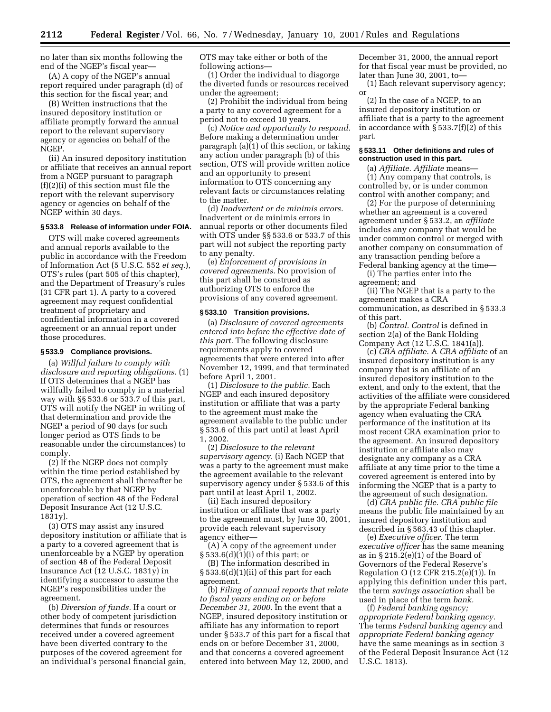no later than six months following the end of the NGEP's fiscal year—

(A) A copy of the NGEP's annual report required under paragraph (d) of this section for the fiscal year; and

(B) Written instructions that the insured depository institution or affiliate promptly forward the annual report to the relevant supervisory agency or agencies on behalf of the NGEP.

(ii) An insured depository institution or affiliate that receives an annual report from a NGEP pursuant to paragraph (f)(2)(i) of this section must file the report with the relevant supervisory agency or agencies on behalf of the NGEP within 30 days.

#### **§ 533.8 Release of information under FOIA.**

OTS will make covered agreements and annual reports available to the public in accordance with the Freedom of Information Act (5 U.S.C. 552 *et seq.*), OTS's rules (part 505 of this chapter), and the Department of Treasury's rules (31 CFR part 1). A party to a covered agreement may request confidential treatment of proprietary and confidential information in a covered agreement or an annual report under those procedures.

#### **§ 533.9 Compliance provisions.**

(a) *Willful failure to comply with disclosure and reporting obligations.* (1) If OTS determines that a NGEP has willfully failed to comply in a material way with §§ 533.6 or 533.7 of this part, OTS will notify the NGEP in writing of that determination and provide the NGEP a period of 90 days (or such longer period as OTS finds to be reasonable under the circumstances) to comply.

(2) If the NGEP does not comply within the time period established by OTS, the agreement shall thereafter be unenforceable by that NGEP by operation of section 48 of the Federal Deposit Insurance Act (12 U.S.C. 1831y).

(3) OTS may assist any insured depository institution or affiliate that is a party to a covered agreement that is unenforceable by a NGEP by operation of section 48 of the Federal Deposit Insurance Act (12 U.S.C. 1831y) in identifying a successor to assume the NGEP's responsibilities under the agreement.

(b) *Diversion of funds.* If a court or other body of competent jurisdiction determines that funds or resources received under a covered agreement have been diverted contrary to the purposes of the covered agreement for an individual's personal financial gain, OTS may take either or both of the following actions—

(1) Order the individual to disgorge the diverted funds or resources received under the agreement;

(2) Prohibit the individual from being a party to any covered agreement for a period not to exceed 10 years.

(c) *Notice and opportunity to respond.* Before making a determination under paragraph (a)(1) of this section, or taking any action under paragraph (b) of this section, OTS will provide written notice and an opportunity to present information to OTS concerning any relevant facts or circumstances relating to the matter.

(d) *Inadvertent or de minimis errors.* Inadvertent or de minimis errors in annual reports or other documents filed with OTS under §§ 533.6 or 533.7 of this part will not subject the reporting party to any penalty.

(e) *Enforcement of provisions in covered agreements.* No provision of this part shall be construed as authorizing OTS to enforce the provisions of any covered agreement.

#### **§ 533.10 Transition provisions.**

(a) *Disclosure of covered agreements entered into before the effective date of this part.* The following disclosure requirements apply to covered agreements that were entered into after November 12, 1999, and that terminated before April 1, 2001.

(1) *Disclosure to the public.* Each NGEP and each insured depository institution or affiliate that was a party to the agreement must make the agreement available to the public under § 533.6 of this part until at least April 1, 2002.

(2) *Disclosure to the relevant supervisory agency.* (i) Each NGEP that was a party to the agreement must make the agreement available to the relevant supervisory agency under § 533.6 of this part until at least April 1, 2002.

(ii) Each insured depository institution or affiliate that was a party to the agreement must, by June 30, 2001, provide each relevant supervisory agency either—

(A) A copy of the agreement under § 533.6(d)(1)(i) of this part; or

(B) The information described in § 533.6(d)(1)(ii) of this part for each agreement.

(b) *Filing of annual reports that relate to fiscal years ending on or before December 31, 2000.* In the event that a NGEP, insured depository institution or affiliate has any information to report under § 533.7 of this part for a fiscal that ends on or before December 31, 2000, and that concerns a covered agreement entered into between May 12, 2000, and

December 31, 2000, the annual report for that fiscal year must be provided, no later than June 30, 2001, to—

(1) Each relevant supervisory agency; or

(2) In the case of a NGEP, to an insured depository institution or affiliate that is a party to the agreement in accordance with § 533.7(f)(2) of this part.

#### **§ 533.11 Other definitions and rules of construction used in this part.**

(a) *Affiliate. Affiliate* means— (1) Any company that controls, is controlled by, or is under common control with another company; and

(2) For the purpose of determining whether an agreement is a covered agreement under § 533.2, an *affiliate* includes any company that would be under common control or merged with another company on consummation of any transaction pending before a Federal banking agency at the time—

(i) The parties enter into the agreement; and

(ii) The NGEP that is a party to the agreement makes a CRA communication, as described in § 533.3 of this part.

(b) *Control. Control* is defined in section 2(a) of the Bank Holding Company Act (12 U.S.C. 1841(a)).

(c) *CRA affiliate.* A *CRA affiliate* of an insured depository institution is any company that is an affiliate of an insured depository institution to the extent, and only to the extent, that the activities of the affiliate were considered by the appropriate Federal banking agency when evaluating the CRA performance of the institution at its most recent CRA examination prior to the agreement. An insured depository institution or affiliate also may designate any company as a CRA affiliate at any time prior to the time a covered agreement is entered into by informing the NGEP that is a party to the agreement of such designation.

(d) *CRA public file. CRA public file* means the public file maintained by an insured depository institution and described in § 563.43 of this chapter.

(e) *Executive officer.* The term *executive officer* has the same meaning as in § 215.2(e)(1) of the Board of Governors of the Federal Reserve's Regulation O (12 CFR 215.2(e)(1)). In applying this definition under this part, the term *savings association* shall be used in place of the term *bank.*

(f) *Federal banking agency; appropriate Federal banking agency.* The terms *Federal banking agency* and *appropriate Federal banking agency* have the same meanings as in section 3 of the Federal Deposit Insurance Act (12 U.S.C. 1813).